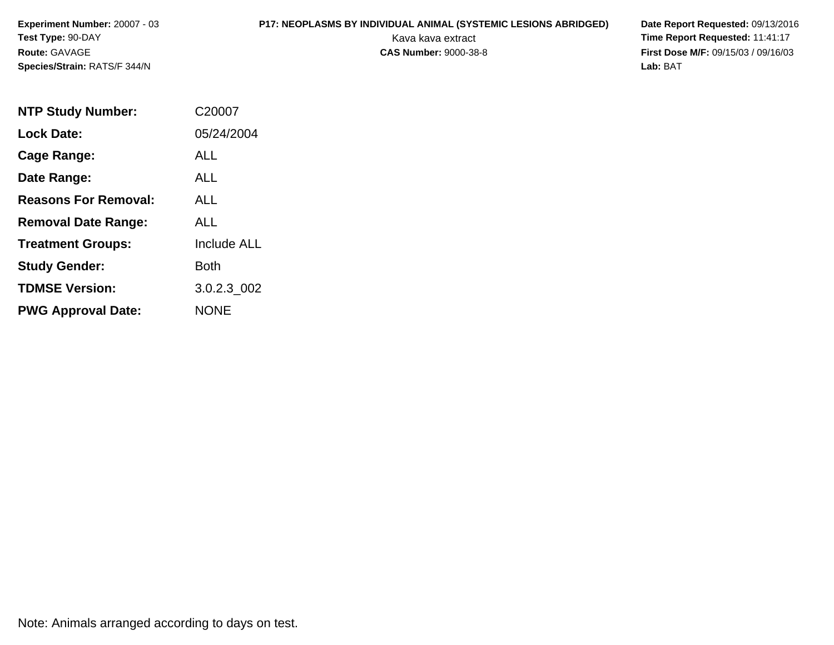# **P17: NEOPLASMS BY INDIVIDUAL ANIMAL (SYSTEMIC LESIONS ABRIDGED) Date Report Requested: 09/13/2016<br>Kava kava extract <b>Time Report Requested:** 11:41:17

Kava kava extract **Time Report Requested:** 11:41:17<br>**CAS Number:** 9000-38-8 **Time Report Requested:** 11:41:17 **First Dose M/F:** 09/15/03 / 09/16/03<br>Lab: BAT **Lab:** BAT

| <b>NTP Study Number:</b>    | C20007             |
|-----------------------------|--------------------|
| <b>Lock Date:</b>           | 05/24/2004         |
| Cage Range:                 | <b>ALL</b>         |
| Date Range:                 | ALL                |
| <b>Reasons For Removal:</b> | ALL                |
| <b>Removal Date Range:</b>  | <b>ALL</b>         |
| <b>Treatment Groups:</b>    | <b>Include ALL</b> |
| <b>Study Gender:</b>        | <b>Both</b>        |
| <b>TDMSE Version:</b>       | 3.0.2.3 002        |
| <b>PWG Approval Date:</b>   | <b>NONE</b>        |

Note: Animals arranged according to days on test.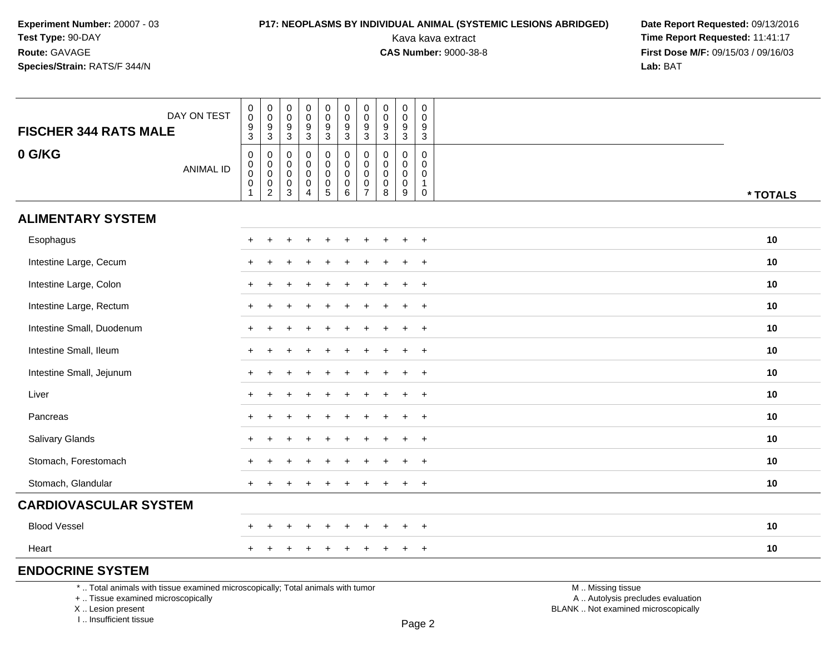# **P17: NEOPLASMS BY INDIVIDUAL ANIMAL (SYSTEMIC LESIONS ABRIDGED) Date Report Requested: 09/13/2016<br>Kava kava extract <b>Time Report Requested:** 11:41:17

Kava kava extract **Time Report Requested:** 11:41:17<br>**CAS Number:** 9000-38-8 **Time Report Requested:** 11:41:17 **First Dose M/F:** 09/15/03 / 09/16/03<br>Lab: BAT **Lab:** BAT

| <b>FISCHER 344 RATS MALE</b>                                                    | DAY ON TEST      | $\pmb{0}$<br>$\pmb{0}$<br>$\frac{9}{3}$                | $_{\rm 0}^{\rm 0}$<br>$\frac{9}{3}$                 | $\boldsymbol{0}$<br>$\boldsymbol{0}$<br>9         | $\mathsf 0$<br>$\mathbf 0$<br>9                      | $\pmb{0}$<br>$\mathbf 0$<br>$\boldsymbol{9}$                   | $\pmb{0}$<br>$\mathbf 0$<br>$\boldsymbol{9}$             | $\mathbf 0$<br>$\mathbf 0$<br>9                         | $\pmb{0}$<br>0<br>9   | $\pmb{0}$<br>$\pmb{0}$<br>$\boldsymbol{9}$                                 | 0<br>0<br>9                                       |                   |          |
|---------------------------------------------------------------------------------|------------------|--------------------------------------------------------|-----------------------------------------------------|---------------------------------------------------|------------------------------------------------------|----------------------------------------------------------------|----------------------------------------------------------|---------------------------------------------------------|-----------------------|----------------------------------------------------------------------------|---------------------------------------------------|-------------------|----------|
|                                                                                 |                  |                                                        |                                                     | $\mathsf 3$                                       | $\sqrt{3}$                                           | 3                                                              | $\mathbf{3}$                                             | $\mathbf{3}$                                            | $\mathbf{3}$          | $\sqrt{3}$                                                                 | $\sqrt{3}$                                        |                   |          |
| 0 G/KG                                                                          | <b>ANIMAL ID</b> | $\pmb{0}$<br>$_{\rm 0}^{\rm 0}$<br>$\overline{0}$<br>1 | 0<br>$\mathbf 0$<br>$\overline{0}$<br>$\frac{0}{2}$ | $\mathbf 0$<br>0<br>$\mathbf 0$<br>$_{3}^{\rm 0}$ | 0<br>0<br>$\mathbf 0$<br>$\pmb{0}$<br>$\overline{4}$ | 0<br>0<br>$\mathbf 0$<br>$\begin{array}{c} 0 \\ 5 \end{array}$ | 0<br>$\mathbf 0$<br>$\ddot{\mathbf{0}}$<br>$\frac{0}{6}$ | 0<br>$\mathbf 0$<br>$\mathbf{0}$<br>0<br>$\overline{7}$ | 0<br>0<br>0<br>0<br>8 | $\mathbf 0$<br>$\mathbf 0$<br>$\mathbf 0$<br>$\pmb{0}$<br>$\boldsymbol{9}$ | 0<br>$\mathbf 0$<br>0<br>$\mathbf 1$<br>$\pmb{0}$ |                   | * TOTALS |
| <b>ALIMENTARY SYSTEM</b>                                                        |                  |                                                        |                                                     |                                                   |                                                      |                                                                |                                                          |                                                         |                       |                                                                            |                                                   |                   |          |
| Esophagus                                                                       |                  |                                                        |                                                     |                                                   |                                                      |                                                                |                                                          |                                                         |                       |                                                                            | $+$                                               |                   | 10       |
| Intestine Large, Cecum                                                          |                  |                                                        |                                                     |                                                   |                                                      |                                                                |                                                          |                                                         |                       |                                                                            | $\overline{+}$                                    |                   | 10       |
| Intestine Large, Colon                                                          |                  |                                                        |                                                     |                                                   |                                                      |                                                                |                                                          |                                                         |                       |                                                                            | $\div$                                            |                   | 10       |
| Intestine Large, Rectum                                                         |                  |                                                        |                                                     |                                                   |                                                      |                                                                |                                                          |                                                         |                       |                                                                            | $\overline{+}$                                    |                   | 10       |
| Intestine Small, Duodenum                                                       |                  | $+$                                                    |                                                     |                                                   |                                                      |                                                                |                                                          |                                                         |                       | $\div$                                                                     | $+$                                               |                   | 10       |
| Intestine Small, Ileum                                                          |                  | $\pm$                                                  |                                                     |                                                   |                                                      |                                                                |                                                          |                                                         |                       |                                                                            | $+$                                               |                   | 10       |
| Intestine Small, Jejunum                                                        |                  | $+$                                                    | $\overline{ }$                                      |                                                   |                                                      |                                                                |                                                          |                                                         |                       |                                                                            | $+$                                               |                   | 10       |
| Liver                                                                           |                  |                                                        |                                                     |                                                   |                                                      |                                                                |                                                          |                                                         |                       |                                                                            | $+$                                               |                   | 10       |
| Pancreas                                                                        |                  |                                                        |                                                     |                                                   |                                                      |                                                                |                                                          |                                                         |                       |                                                                            | $\ddot{}$                                         |                   | 10       |
| Salivary Glands                                                                 |                  | $+$                                                    |                                                     |                                                   |                                                      |                                                                |                                                          |                                                         |                       |                                                                            | $\overline{+}$                                    |                   | 10       |
| Stomach, Forestomach                                                            |                  |                                                        |                                                     |                                                   |                                                      |                                                                |                                                          |                                                         |                       |                                                                            | $+$                                               |                   | 10       |
| Stomach, Glandular                                                              |                  | $+$                                                    |                                                     |                                                   |                                                      |                                                                |                                                          |                                                         |                       | $\ddot{}$                                                                  | $\ddot{}$                                         |                   | 10       |
| <b>CARDIOVASCULAR SYSTEM</b>                                                    |                  |                                                        |                                                     |                                                   |                                                      |                                                                |                                                          |                                                         |                       |                                                                            |                                                   |                   |          |
| <b>Blood Vessel</b>                                                             |                  |                                                        |                                                     |                                                   |                                                      |                                                                |                                                          |                                                         |                       |                                                                            | $+$                                               |                   | 10       |
| Heart                                                                           |                  |                                                        |                                                     |                                                   |                                                      |                                                                |                                                          |                                                         |                       |                                                                            | $\ddot{}$                                         |                   | 10       |
| <b>ENDOCRINE SYSTEM</b>                                                         |                  |                                                        |                                                     |                                                   |                                                      |                                                                |                                                          |                                                         |                       |                                                                            |                                                   |                   |          |
| *  Total animals with tissue examined microscopically; Total animals with tumor |                  |                                                        |                                                     |                                                   |                                                      |                                                                |                                                          |                                                         |                       |                                                                            |                                                   | M  Missing tissue |          |

+ .. Tissue examined microscopically

X .. Lesion present

I .. Insufficient tissue

y the contract of the contract of the contract of the contract of the contract of  $\mathsf A$  . Autolysis precludes evaluation Lesion present BLANK .. Not examined microscopically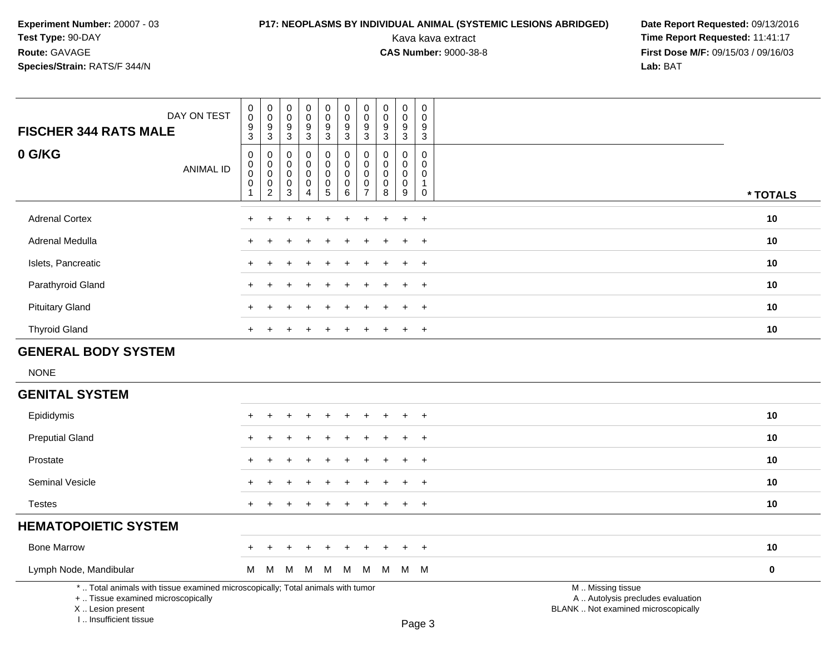# **P17: NEOPLASMS BY INDIVIDUAL ANIMAL (SYSTEMIC LESIONS ABRIDGED) Date Report Requested: 09/13/2016<br>Kava kava extract <b>Time Report Requested:** 11:41:17

| DAY ON TEST<br><b>FISCHER 344 RATS MALE</b>                                                                                                                         | $\pmb{0}$<br>$\ddot{\mathbf{0}}$<br>$\frac{9}{3}$ | $\mathbf 0$<br>$\mathbf 0$<br>$\frac{9}{3}$                                   | $\mathbf 0$<br>$\mathbf 0$<br>$\boldsymbol{9}$<br>$\mathbf{3}$ | $\mathbf 0$<br>$\mathsf 0$<br>$\boldsymbol{9}$<br>$\mathbf{3}$        | 0<br>$\mathbf 0$<br>9<br>$\mathbf{3}$                                       | $\pmb{0}$<br>$\overline{0}$<br>$\frac{9}{3}$            | $\pmb{0}$<br>$\mathbf 0$<br>$\frac{9}{3}$                                | $\pmb{0}$<br>$\mathbf 0$<br>9<br>$\mathbf{3}$                  | $\mathbf 0$<br>$\mathbf 0$<br>9<br>$\sqrt{3}$                    | $\pmb{0}$<br>$\mathbf 0$<br>9<br>$\overline{3}$              |                                                                                               |             |
|---------------------------------------------------------------------------------------------------------------------------------------------------------------------|---------------------------------------------------|-------------------------------------------------------------------------------|----------------------------------------------------------------|-----------------------------------------------------------------------|-----------------------------------------------------------------------------|---------------------------------------------------------|--------------------------------------------------------------------------|----------------------------------------------------------------|------------------------------------------------------------------|--------------------------------------------------------------|-----------------------------------------------------------------------------------------------|-------------|
| 0 G/KG<br><b>ANIMAL ID</b>                                                                                                                                          | $\mathbf 0$<br>0<br>0<br>$\pmb{0}$<br>1           | $\mathbf 0$<br>0<br>$\mathsf{O}\xspace$<br>$\boldsymbol{0}$<br>$\overline{2}$ | $\mathbf 0$<br>$\Omega$<br>$\mathbf 0$<br>$\mathbf 0$<br>3     | 0<br>$\mathbf 0$<br>$\mathbf 0$<br>$\boldsymbol{0}$<br>$\overline{4}$ | $\mathbf 0$<br>$\mathbf 0$<br>$\mathbf 0$<br>$\mathbf 0$<br>$5\phantom{.0}$ | $\mathbf 0$<br>0<br>$\mathbf 0$<br>$\pmb{0}$<br>$\,6\,$ | $\mathbf 0$<br>$\mathbf 0$<br>$\mathbf 0$<br>$\pmb{0}$<br>$\overline{7}$ | $\mathbf 0$<br>$\mathbf{0}$<br>$\mathbf 0$<br>$\mathbf 0$<br>8 | 0<br>$\mathbf 0$<br>$\mathbf 0$<br>$\pmb{0}$<br>$\boldsymbol{9}$ | $\mathbf 0$<br>$\mathbf 0$<br>0<br>$\mathbf{1}$<br>$\pmb{0}$ |                                                                                               | * TOTALS    |
| <b>Adrenal Cortex</b>                                                                                                                                               | $\ddot{}$                                         | ÷                                                                             |                                                                |                                                                       |                                                                             | $\div$                                                  |                                                                          |                                                                | $\ddot{}$                                                        | $+$                                                          |                                                                                               | 10          |
| Adrenal Medulla                                                                                                                                                     |                                                   |                                                                               |                                                                |                                                                       |                                                                             |                                                         |                                                                          |                                                                |                                                                  | $\ddot{}$                                                    |                                                                                               | 10          |
| Islets, Pancreatic                                                                                                                                                  |                                                   |                                                                               |                                                                |                                                                       |                                                                             |                                                         |                                                                          |                                                                | ÷                                                                | $^{+}$                                                       |                                                                                               | 10          |
| Parathyroid Gland                                                                                                                                                   |                                                   |                                                                               |                                                                |                                                                       |                                                                             |                                                         |                                                                          |                                                                |                                                                  | $\pm$                                                        |                                                                                               | 10          |
| <b>Pituitary Gland</b>                                                                                                                                              |                                                   |                                                                               |                                                                |                                                                       |                                                                             |                                                         |                                                                          |                                                                |                                                                  | $\ddot{}$                                                    |                                                                                               | 10          |
| <b>Thyroid Gland</b>                                                                                                                                                | $\ddot{}$                                         | $\pm$                                                                         |                                                                | $\div$                                                                |                                                                             | $\div$                                                  | +                                                                        | $\div$                                                         | $\ddot{}$                                                        | $+$                                                          |                                                                                               | 10          |
| <b>GENERAL BODY SYSTEM</b>                                                                                                                                          |                                                   |                                                                               |                                                                |                                                                       |                                                                             |                                                         |                                                                          |                                                                |                                                                  |                                                              |                                                                                               |             |
| <b>NONE</b>                                                                                                                                                         |                                                   |                                                                               |                                                                |                                                                       |                                                                             |                                                         |                                                                          |                                                                |                                                                  |                                                              |                                                                                               |             |
| <b>GENITAL SYSTEM</b>                                                                                                                                               |                                                   |                                                                               |                                                                |                                                                       |                                                                             |                                                         |                                                                          |                                                                |                                                                  |                                                              |                                                                                               |             |
| Epididymis                                                                                                                                                          |                                                   |                                                                               |                                                                |                                                                       |                                                                             |                                                         |                                                                          |                                                                |                                                                  |                                                              |                                                                                               | 10          |
| <b>Preputial Gland</b>                                                                                                                                              |                                                   |                                                                               |                                                                |                                                                       |                                                                             |                                                         |                                                                          |                                                                |                                                                  | $\overline{ }$                                               |                                                                                               | 10          |
| Prostate                                                                                                                                                            |                                                   |                                                                               |                                                                |                                                                       |                                                                             |                                                         |                                                                          |                                                                |                                                                  | $\overline{1}$                                               |                                                                                               | 10          |
| Seminal Vesicle                                                                                                                                                     |                                                   |                                                                               |                                                                |                                                                       |                                                                             |                                                         |                                                                          |                                                                | $\ddot{}$                                                        | $+$                                                          |                                                                                               | 10          |
| <b>Testes</b>                                                                                                                                                       | $\ddot{}$                                         | $\pm$                                                                         |                                                                |                                                                       |                                                                             | $\ddot{}$                                               | $\div$                                                                   | $\ddot{}$                                                      | $\ddot{}$                                                        | $+$                                                          |                                                                                               | 10          |
| <b>HEMATOPOIETIC SYSTEM</b>                                                                                                                                         |                                                   |                                                                               |                                                                |                                                                       |                                                                             |                                                         |                                                                          |                                                                |                                                                  |                                                              |                                                                                               |             |
| <b>Bone Marrow</b>                                                                                                                                                  |                                                   |                                                                               |                                                                |                                                                       |                                                                             |                                                         |                                                                          |                                                                |                                                                  | $\overline{+}$                                               |                                                                                               | 10          |
| Lymph Node, Mandibular                                                                                                                                              | м                                                 | M                                                                             | M                                                              | M                                                                     | M                                                                           | M                                                       | M                                                                        | M                                                              |                                                                  | M M                                                          |                                                                                               | $\mathbf 0$ |
| *  Total animals with tissue examined microscopically; Total animals with tumor<br>+  Tissue examined microscopically<br>X  Lesion present<br>I Insufficient tissue |                                                   |                                                                               |                                                                |                                                                       |                                                                             |                                                         |                                                                          |                                                                |                                                                  | $D_{200}$ 2                                                  | M  Missing tissue<br>A  Autolysis precludes evaluation<br>BLANK  Not examined microscopically |             |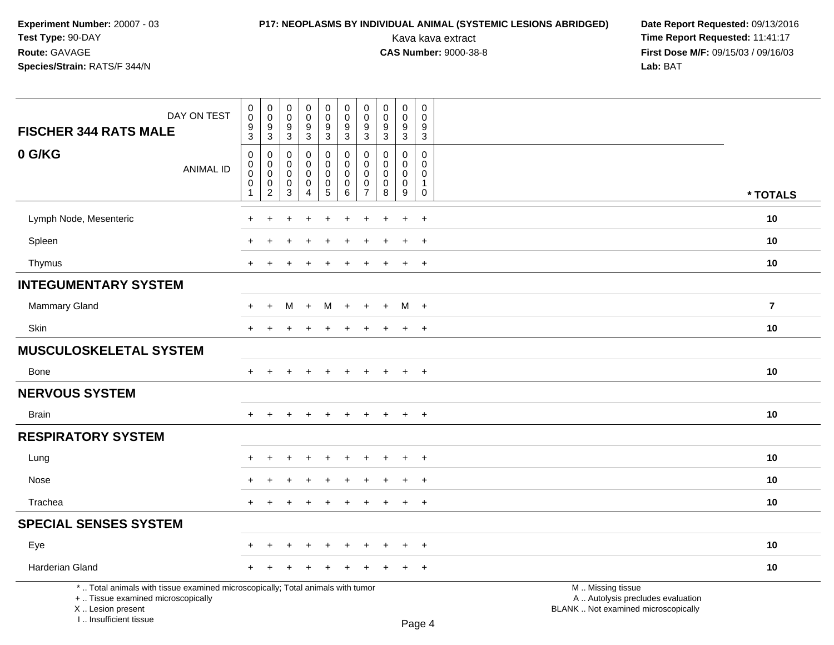# **P17: NEOPLASMS BY INDIVIDUAL ANIMAL (SYSTEMIC LESIONS ABRIDGED) Date Report Requested: 09/13/2016<br>Kava kava extract <b>Time Report Requested:** 11:41:17

| DAY ON TEST<br><b>FISCHER 344 RATS MALE</b>                                                                                                                         | $\boldsymbol{0}$<br>$\overline{0}$<br>$^9_3$                      | $\pmb{0}$<br>$\mathbf 0$<br>9<br>$\sqrt{3}$                    | $\mathbf 0$<br>$\mathbf 0$<br>9<br>$\mathbf{3}$         | $\boldsymbol{0}$<br>$\mathsf{O}\xspace$<br>$\boldsymbol{9}$<br>$\mathbf{3}$ | $\mathbf 0$<br>$\mathsf{O}\xspace$<br>$\boldsymbol{9}$<br>$\mathbf{3}$ | $\pmb{0}$<br>$\pmb{0}$<br>$\boldsymbol{9}$<br>$\mathbf{3}$          | $\mathbf 0$<br>$\pmb{0}$<br>$9\,$<br>$\mathbf{3}$             | $\pmb{0}$<br>$\mathbf 0$<br>$\boldsymbol{9}$<br>$\sqrt{3}$  | $\pmb{0}$<br>$\mathbf 0$<br>9<br>3 | $\pmb{0}$<br>$\mathbf 0$<br>9<br>$\mathbf{3}$                       |                                                                                               |                |
|---------------------------------------------------------------------------------------------------------------------------------------------------------------------|-------------------------------------------------------------------|----------------------------------------------------------------|---------------------------------------------------------|-----------------------------------------------------------------------------|------------------------------------------------------------------------|---------------------------------------------------------------------|---------------------------------------------------------------|-------------------------------------------------------------|------------------------------------|---------------------------------------------------------------------|-----------------------------------------------------------------------------------------------|----------------|
| 0 G/KG<br><b>ANIMAL ID</b>                                                                                                                                          | $\mathbf 0$<br>$\mathsf{O}\xspace$<br>$\pmb{0}$<br>$\pmb{0}$<br>1 | 0<br>$\mathbf 0$<br>$\mathbf 0$<br>$\pmb{0}$<br>$\overline{2}$ | $\Omega$<br>$\Omega$<br>$\mathbf 0$<br>$\mathbf 0$<br>3 | 0<br>$\mathbf 0$<br>0<br>0<br>4                                             | $\mathbf 0$<br>$\mathbf 0$<br>$\mathbf 0$<br>0<br>5                    | $\mathbf 0$<br>$\Omega$<br>$\pmb{0}$<br>$\pmb{0}$<br>$6\phantom{1}$ | $\mathbf 0$<br>$\Omega$<br>$\mathbf 0$<br>0<br>$\overline{7}$ | $\mathbf{0}$<br>$\Omega$<br>$\mathbf 0$<br>$\mathbf 0$<br>8 | 0<br>$\Omega$<br>0<br>0<br>9       | $\mathbf 0$<br>$\Omega$<br>$\pmb{0}$<br>$\mathbf{1}$<br>$\mathbf 0$ |                                                                                               | * TOTALS       |
| Lymph Node, Mesenteric                                                                                                                                              |                                                                   |                                                                |                                                         |                                                                             |                                                                        |                                                                     |                                                               |                                                             | $\ddot{}$                          | $\ddot{}$                                                           |                                                                                               | 10             |
| Spleen                                                                                                                                                              |                                                                   |                                                                |                                                         |                                                                             |                                                                        |                                                                     |                                                               |                                                             |                                    | $\ddot{}$                                                           |                                                                                               | 10             |
| Thymus                                                                                                                                                              | $\div$                                                            |                                                                |                                                         |                                                                             |                                                                        | $\div$                                                              |                                                               |                                                             | $\ddot{}$                          | $^{+}$                                                              |                                                                                               | 10             |
| <b>INTEGUMENTARY SYSTEM</b>                                                                                                                                         |                                                                   |                                                                |                                                         |                                                                             |                                                                        |                                                                     |                                                               |                                                             |                                    |                                                                     |                                                                                               |                |
| Mammary Gland                                                                                                                                                       | $\div$                                                            | +                                                              | М                                                       | $+$                                                                         | M                                                                      | $+$                                                                 | $+$                                                           | $\ddot{}$                                                   | $M +$                              |                                                                     |                                                                                               | $\overline{7}$ |
| <b>Skin</b>                                                                                                                                                         | $\ddot{}$                                                         | $\ddot{}$                                                      | ÷                                                       | $\pm$                                                                       | $\pm$                                                                  | $\div$                                                              | +                                                             | $\div$                                                      | $\ddot{}$                          | $+$                                                                 |                                                                                               | 10             |
| <b>MUSCULOSKELETAL SYSTEM</b>                                                                                                                                       |                                                                   |                                                                |                                                         |                                                                             |                                                                        |                                                                     |                                                               |                                                             |                                    |                                                                     |                                                                                               |                |
| <b>Bone</b>                                                                                                                                                         | $+$                                                               | $\ddot{}$                                                      |                                                         | $\ddot{}$                                                                   | $\ddot{}$                                                              | $\ddot{}$                                                           | $+$                                                           | $\overline{+}$                                              | $\ddot{}$                          | $+$                                                                 |                                                                                               | 10             |
| <b>NERVOUS SYSTEM</b>                                                                                                                                               |                                                                   |                                                                |                                                         |                                                                             |                                                                        |                                                                     |                                                               |                                                             |                                    |                                                                     |                                                                                               |                |
| <b>Brain</b>                                                                                                                                                        |                                                                   |                                                                |                                                         |                                                                             |                                                                        |                                                                     |                                                               |                                                             | $\ddot{}$                          | $+$                                                                 |                                                                                               | 10             |
| <b>RESPIRATORY SYSTEM</b>                                                                                                                                           |                                                                   |                                                                |                                                         |                                                                             |                                                                        |                                                                     |                                                               |                                                             |                                    |                                                                     |                                                                                               |                |
| Lung                                                                                                                                                                |                                                                   |                                                                |                                                         |                                                                             |                                                                        |                                                                     |                                                               |                                                             |                                    | $\ddot{}$                                                           |                                                                                               | 10             |
| Nose                                                                                                                                                                |                                                                   |                                                                |                                                         |                                                                             |                                                                        |                                                                     |                                                               |                                                             |                                    | $\overline{+}$                                                      |                                                                                               | 10             |
| Trachea                                                                                                                                                             | $\pm$                                                             | $\ddot{}$                                                      |                                                         | $\div$                                                                      | $\ddot{}$                                                              | $\ddot{}$                                                           |                                                               | $\overline{+}$                                              | $+$                                | $+$                                                                 |                                                                                               | 10             |
| <b>SPECIAL SENSES SYSTEM</b>                                                                                                                                        |                                                                   |                                                                |                                                         |                                                                             |                                                                        |                                                                     |                                                               |                                                             |                                    |                                                                     |                                                                                               |                |
| Eye                                                                                                                                                                 |                                                                   |                                                                |                                                         |                                                                             |                                                                        |                                                                     |                                                               |                                                             | $\ddot{}$                          | $^{+}$                                                              |                                                                                               | 10             |
| Harderian Gland                                                                                                                                                     |                                                                   |                                                                |                                                         |                                                                             |                                                                        |                                                                     |                                                               |                                                             | $\div$                             | $+$                                                                 |                                                                                               | 10             |
| *  Total animals with tissue examined microscopically; Total animals with tumor<br>+  Tissue examined microscopically<br>X  Lesion present<br>I Insufficient tissue |                                                                   |                                                                |                                                         |                                                                             |                                                                        |                                                                     |                                                               |                                                             |                                    | $D_{200}$ $\Lambda$                                                 | M  Missing tissue<br>A  Autolysis precludes evaluation<br>BLANK  Not examined microscopically |                |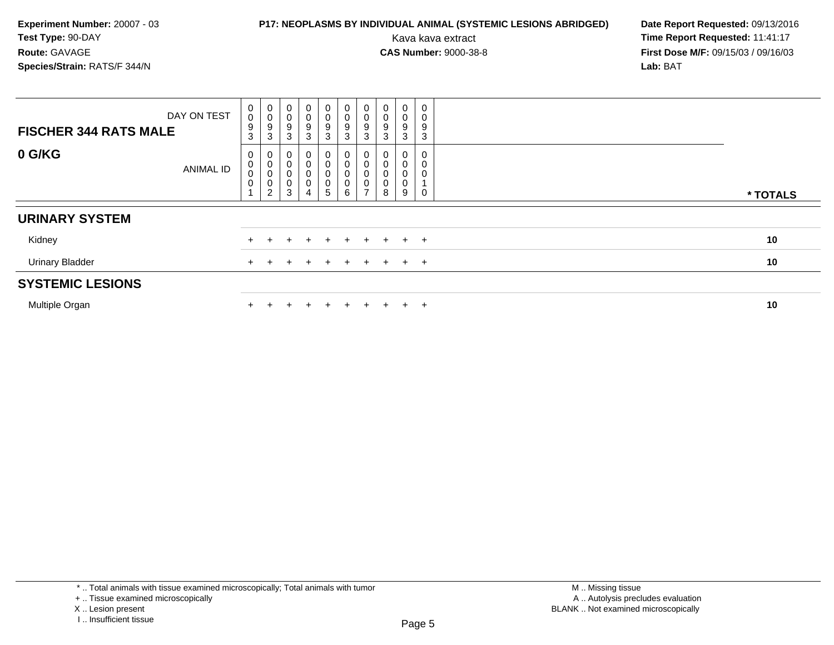## **P17: NEOPLASMS BY INDIVIDUAL ANIMAL (SYSTEMIC LESIONS ABRIDGED) Date Report Requested: 09/13/2016<br>Kava kava extract <b>Time Report Requested:** 11:41:17

| <b>FISCHER 344 RATS MALE</b> | DAY ON TEST      | 0<br>0<br>9<br>3           | $\begin{smallmatrix} 0\\0 \end{smallmatrix}$<br>$\boldsymbol{9}$<br>$\mathbf{3}$ | $\mathbf 0$<br>0<br>9<br>3    | $\boldsymbol{0}$<br>$\pmb{0}$<br>9<br>3                               | 0<br>$_{9}^{\rm 0}$<br>3            | $\begin{smallmatrix}0\0\0\9\end{smallmatrix}$<br>$\mathbf{3}$ | 0<br>$\frac{0}{9}$<br>3                                             | $\begin{smallmatrix}0\0\0\9\end{smallmatrix}$<br>3                | $\begin{smallmatrix}0\0\0\9\end{smallmatrix}$<br>3 | $\pmb{0}$<br>0<br>9<br>3 |          |
|------------------------------|------------------|----------------------------|----------------------------------------------------------------------------------|-------------------------------|-----------------------------------------------------------------------|-------------------------------------|---------------------------------------------------------------|---------------------------------------------------------------------|-------------------------------------------------------------------|----------------------------------------------------|--------------------------|----------|
| 0 G/KG                       | <b>ANIMAL ID</b> | 0<br>0<br>0<br>$\mathbf 0$ | 0<br>$\,0\,$<br>$\mathbf 0$<br>$\begin{smallmatrix} 0\\2 \end{smallmatrix}$      | 0<br>0<br>0<br>$\pmb{0}$<br>3 | $\mathbf 0$<br>$\boldsymbol{0}$<br>$\boldsymbol{0}$<br>$\overline{4}$ | 0<br>0<br>0<br>0<br>$5\phantom{.0}$ | 0<br>0<br>$\pmb{0}$<br>$\mathsf{O}\xspace$<br>6               | 0<br>$\pmb{0}$<br>$\ddot{\mathbf{0}}$<br>$\pmb{0}$<br>$\rightarrow$ | 0<br>$\begin{smallmatrix}0\\0\end{smallmatrix}$<br>$\pmb{0}$<br>8 | 0<br>$\pmb{0}$<br>$\pmb{0}$<br>$\pmb{0}$<br>9      | 0<br>0<br>0<br>0         | * TOTALS |
| <b>URINARY SYSTEM</b>        |                  |                            |                                                                                  |                               |                                                                       |                                     |                                                               |                                                                     |                                                                   |                                                    |                          |          |
| Kidney                       |                  |                            |                                                                                  |                               |                                                                       |                                     | ÷.                                                            | $+$                                                                 |                                                                   |                                                    | $+$ $+$                  | 10       |
| <b>Urinary Bladder</b>       |                  |                            |                                                                                  |                               |                                                                       |                                     | $+$                                                           |                                                                     |                                                                   |                                                    | $+$ $+$                  | 10       |
| <b>SYSTEMIC LESIONS</b>      |                  |                            |                                                                                  |                               |                                                                       |                                     |                                                               |                                                                     |                                                                   |                                                    |                          |          |
| Multiple Organ               |                  |                            |                                                                                  |                               | ÷                                                                     |                                     | $+$                                                           | $+$                                                                 |                                                                   | $+$                                                | $+$                      | 10       |

<sup>\* ..</sup> Total animals with tissue examined microscopically; Total animals with tumor

<sup>+ ..</sup> Tissue examined microscopically

X .. Lesion present

I .. Insufficient tissue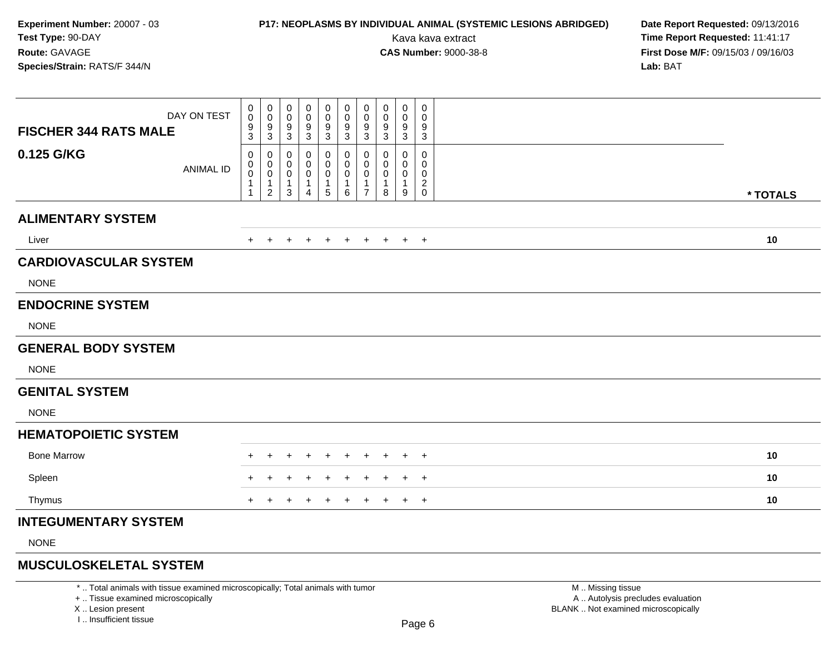### **P17: NEOPLASMS BY INDIVIDUAL ANIMAL (SYSTEMIC LESIONS ABRIDGED) Date Report Requested: 09/13/2016<br>Kava kava extract <b>Time Report Requested:** 11:41:17

Kava kava extract **Time Report Requested:** 11:41:17<br>**CAS Number:** 9000-38-8 **Time Report Requested:** 11:41:17 **First Dose M/F:** 09/15/03 / 09/16/03<br>**Lab:** BAT **Lab:** BAT

| DAY ON TEST<br><b>FISCHER 344 RATS MALE</b> | 0<br>0<br>9<br>$\overline{3}$ | 0<br>$\mathbf 0$<br>$\frac{9}{3}$                               | 0<br>0<br>9<br>$\overline{3}$              | 0<br>0<br>9<br>$\mathbf{3}$                   | $\mathbf 0$<br>0<br>9<br>$\mathbf{3}$                        | 0<br>$\pmb{0}$<br>9<br>3                    | 0<br>$\mathbf 0$<br>9<br>$\sqrt{3}$                               | 0<br>0<br>9<br>3      | $\mathbf 0$<br>0<br>9<br>$\overline{3}$ | $\pmb{0}$<br>0<br>9<br>$\sqrt{3}$                              |          |
|---------------------------------------------|-------------------------------|-----------------------------------------------------------------|--------------------------------------------|-----------------------------------------------|--------------------------------------------------------------|---------------------------------------------|-------------------------------------------------------------------|-----------------------|-----------------------------------------|----------------------------------------------------------------|----------|
| 0.125 G/KG<br><b>ANIMAL ID</b>              | 0<br>0<br>0<br>1<br>1         | 0<br>$\pmb{0}$<br>$\pmb{0}$<br>$\overline{1}$<br>$\overline{2}$ | 0<br>0<br>$\mathbf 0$<br>$\mathbf{1}$<br>3 | 0<br>0<br>0<br>$\mathbf{1}$<br>$\overline{4}$ | 0<br>0<br>$\boldsymbol{0}$<br>$\mathbf{1}$<br>$\overline{5}$ | 0<br>$\pmb{0}$<br>$\pmb{0}$<br>1<br>$\,6\,$ | 0<br>$\mathbf 0$<br>$\mathbf 0$<br>$\mathbf{1}$<br>$\overline{7}$ | 0<br>0<br>0<br>1<br>8 | 0<br>0<br>0<br>$\mathbf{1}$<br>9        | $\mathbf 0$<br>0<br>0<br>$\overline{2}$<br>$\mathsf{O}\xspace$ | * TOTALS |
| <b>ALIMENTARY SYSTEM</b>                    |                               |                                                                 |                                            |                                               |                                                              |                                             |                                                                   |                       |                                         |                                                                |          |
| Liver                                       | $+$                           | $\pm$                                                           |                                            |                                               |                                                              |                                             |                                                                   | $\pm$                 |                                         | $+$ $+$                                                        | 10       |
| <b>CARDIOVASCULAR SYSTEM</b>                |                               |                                                                 |                                            |                                               |                                                              |                                             |                                                                   |                       |                                         |                                                                |          |
| <b>NONE</b>                                 |                               |                                                                 |                                            |                                               |                                                              |                                             |                                                                   |                       |                                         |                                                                |          |
| <b>ENDOCRINE SYSTEM</b>                     |                               |                                                                 |                                            |                                               |                                                              |                                             |                                                                   |                       |                                         |                                                                |          |
| <b>NONE</b>                                 |                               |                                                                 |                                            |                                               |                                                              |                                             |                                                                   |                       |                                         |                                                                |          |
| <b>GENERAL BODY SYSTEM</b>                  |                               |                                                                 |                                            |                                               |                                                              |                                             |                                                                   |                       |                                         |                                                                |          |
| <b>NONE</b>                                 |                               |                                                                 |                                            |                                               |                                                              |                                             |                                                                   |                       |                                         |                                                                |          |
| <b>GENITAL SYSTEM</b>                       |                               |                                                                 |                                            |                                               |                                                              |                                             |                                                                   |                       |                                         |                                                                |          |
| <b>NONE</b>                                 |                               |                                                                 |                                            |                                               |                                                              |                                             |                                                                   |                       |                                         |                                                                |          |
| <b>HEMATOPOIETIC SYSTEM</b>                 |                               |                                                                 |                                            |                                               |                                                              |                                             |                                                                   |                       |                                         |                                                                |          |
| <b>Bone Marrow</b>                          |                               |                                                                 |                                            |                                               |                                                              |                                             |                                                                   |                       |                                         | $\pm$                                                          | 10       |
| Spleen                                      |                               |                                                                 |                                            |                                               |                                                              |                                             |                                                                   |                       |                                         | $\overline{+}$                                                 | 10       |
| Thymus                                      | +                             |                                                                 |                                            |                                               |                                                              |                                             |                                                                   |                       | $+$                                     | $+$                                                            | 10       |
| <b>INTEGUMENTARY SYSTEM</b>                 |                               |                                                                 |                                            |                                               |                                                              |                                             |                                                                   |                       |                                         |                                                                |          |
| <b>NONE</b>                                 |                               |                                                                 |                                            |                                               |                                                              |                                             |                                                                   |                       |                                         |                                                                |          |
| <u> Aizmi mmill Aliammin</u>                |                               |                                                                 |                                            |                                               |                                                              |                                             |                                                                   |                       |                                         |                                                                |          |

#### **MUSCULOSKELETAL SYSTEM**

\* .. Total animals with tissue examined microscopically; Total animals with tumor

+ .. Tissue examined microscopically

X .. Lesion present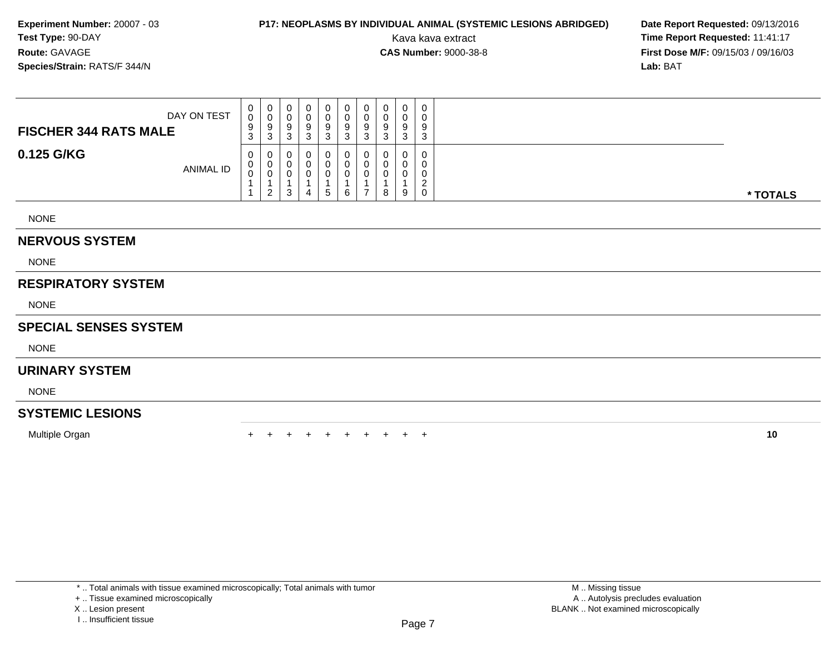### **P17: NEOPLASMS BY INDIVIDUAL ANIMAL (SYSTEMIC LESIONS ABRIDGED) Date Report Requested: 09/13/2016<br>Kava kava extract <b>Time Report Requested:** 11:41:17

Kava kava extract **Time Report Requested:** 11:41:17<br>**CAS Number:** 9000-38-8 **Time Report Requested:** 11:41:17 **First Dose M/F:** 09/15/03 / 09/16/03<br>**Lab:** BAT **Lab:** BAT

| <b>NONE</b>                  |             |                             |             |                       |             |                        |                  |        |             |                  |                                                  |          |
|------------------------------|-------------|-----------------------------|-------------|-----------------------|-------------|------------------------|------------------|--------|-------------|------------------|--------------------------------------------------|----------|
| 0.125 G/KG                   | ANIMAL ID   | 0<br>U<br>$\sim$<br>U       | 2           | 0<br>U<br>⌒<br>υ<br>3 | U<br>4      | 0<br>0<br>$\mathbf{b}$ | 0<br>0<br>0<br>6 |        | 8           | 9                | 0<br>0<br>0<br>$\sim$<br><u>_</u><br>$\mathbf 0$ | * TOTALS |
| <b>FISCHER 344 RATS MALE</b> | DAY ON TEST | $\mathbf{0}$<br>0<br>9<br>3 | U<br>9<br>3 | 0<br>⌒<br>υ<br>9<br>3 | 0<br>9<br>3 | 0<br>0<br>9<br>3       | 0<br>0<br>9<br>3 | 9<br>3 | v<br>9<br>3 | 0<br>v<br>9<br>3 | $\mathbf 0$<br>0<br>9<br>3                       |          |

#### **NERVOUS SYSTEM**

NONE

### **RESPIRATORY SYSTEM**

NONE

#### **SPECIAL SENSES SYSTEM**

NONE

### **URINARY SYSTEM**

NONE

### **SYSTEMIC LESIONS**

Multiple Organn  $+$ 

<sup>+</sup> <sup>+</sup> <sup>+</sup> <sup>+</sup> <sup>+</sup> <sup>+</sup> <sup>+</sup> <sup>+</sup> <sup>+</sup> **<sup>10</sup>**

+ .. Tissue examined microscopically

X .. Lesion present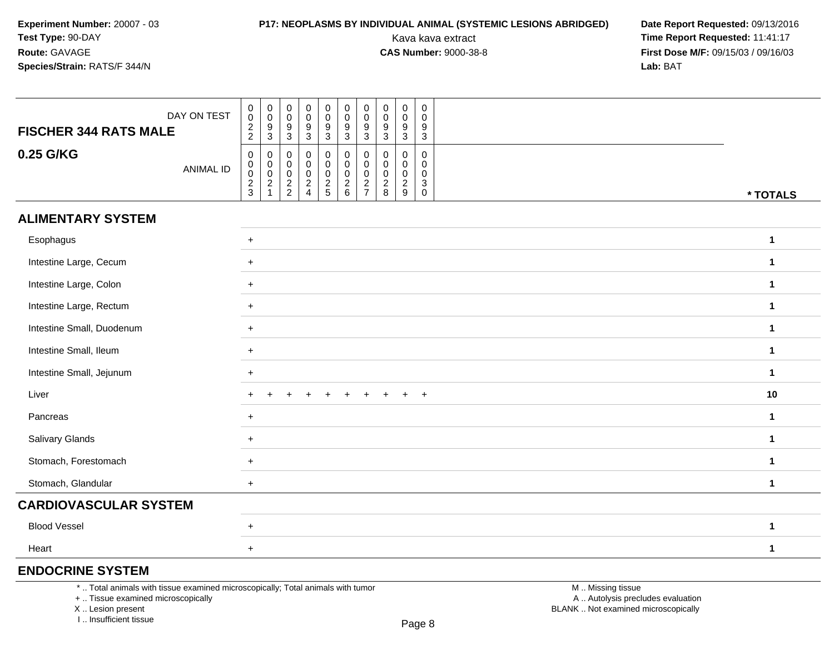### **P17: NEOPLASMS BY INDIVIDUAL ANIMAL (SYSTEMIC LESIONS ABRIDGED) Date Report Requested: 09/13/2016<br>Kava kava extract <b>Time Report Requested:** 11:41:17

Kava kava extract **Time Report Requested:** 11:41:17<br>**CAS Number:** 9000-38-8 **Time Report Requested:** 11:41:17 **First Dose M/F:** 09/15/03 / 09/16/03<br>**Lab:** BAT **Lab:** BAT

| <b>FISCHER 344 RATS MALE</b> | DAY ON TEST      | $\begin{array}{c} 0 \\ 0 \\ 2 \\ 2 \end{array}$        | $\begin{matrix} 0 \\ 0 \\ 9 \\ 3 \end{matrix}$                              | $_{\rm 0}^{\rm 0}$<br>$\frac{9}{3}$    | $\mathbf 0$<br>$\overline{0}$<br>$9\,$<br>$\mathbf{3}$ | $\begin{array}{c} 0 \\ 0 \\ 9 \\ 3 \end{array}$  | $\pmb{0}$<br>$\overline{0}$<br>$\boldsymbol{9}$<br>3 | $\mathbf 0$<br>$\ddot{\mathbf{0}}$<br>$\boldsymbol{9}$<br>3 | $\pmb{0}$<br>$\bar{0}$<br>9<br>$\mathbf{3}$ | $\pmb{0}$<br>$\ddot{\mathbf{0}}$<br>$9\,$<br>$\mathbf{3}$ | $\mathsf{O}\xspace$<br>$\mathbf 0$<br>9<br>$\mathbf{3}$                |              |
|------------------------------|------------------|--------------------------------------------------------|-----------------------------------------------------------------------------|----------------------------------------|--------------------------------------------------------|--------------------------------------------------|------------------------------------------------------|-------------------------------------------------------------|---------------------------------------------|-----------------------------------------------------------|------------------------------------------------------------------------|--------------|
| 0.25 G/KG                    | <b>ANIMAL ID</b> | $\pmb{0}$<br>$\mathbf 0$<br>$\pmb{0}$<br>$\frac{2}{3}$ | $\boldsymbol{0}$<br>$\pmb{0}$<br>$\begin{array}{c} 0 \\ 2 \\ 1 \end{array}$ | 0<br>$\boldsymbol{0}$<br>$\frac{0}{2}$ | 0<br>$\mathbf 0$<br>$\mathbf 0$<br>$\frac{2}{4}$       | 0<br>$\mathbf 0$<br>$\mathsf 0$<br>$\frac{2}{5}$ | 0<br>0<br>$\mathbf 0$<br>$\frac{2}{6}$               | 0<br>0<br>$\pmb{0}$<br>$\frac{2}{7}$                        | 0<br>0<br>0<br>$\frac{2}{8}$                | 0<br>0<br>0<br>$\overline{c}$<br>$9\,$                    | 0<br>$\mathbf 0$<br>$\mathbf{0}$<br>$\mathsf 3$<br>$\mathsf{O}\xspace$ | * TOTALS     |
| <b>ALIMENTARY SYSTEM</b>     |                  |                                                        |                                                                             |                                        |                                                        |                                                  |                                                      |                                                             |                                             |                                                           |                                                                        |              |
| Esophagus                    |                  | $+$                                                    |                                                                             |                                        |                                                        |                                                  |                                                      |                                                             |                                             |                                                           |                                                                        | $\mathbf{1}$ |
| Intestine Large, Cecum       |                  | $+$                                                    |                                                                             |                                        |                                                        |                                                  |                                                      |                                                             |                                             |                                                           |                                                                        | $\mathbf 1$  |
| Intestine Large, Colon       |                  | $+$                                                    |                                                                             |                                        |                                                        |                                                  |                                                      |                                                             |                                             |                                                           |                                                                        | $\mathbf{1}$ |
| Intestine Large, Rectum      |                  | $+$                                                    |                                                                             |                                        |                                                        |                                                  | $\mathbf 1$                                          |                                                             |                                             |                                                           |                                                                        |              |
| Intestine Small, Duodenum    |                  | $+$                                                    |                                                                             |                                        |                                                        |                                                  | $\mathbf{1}$                                         |                                                             |                                             |                                                           |                                                                        |              |
| Intestine Small, Ileum       |                  | $+$                                                    |                                                                             |                                        |                                                        |                                                  |                                                      |                                                             |                                             |                                                           |                                                                        | $\mathbf{1}$ |
| Intestine Small, Jejunum     |                  | $+$                                                    |                                                                             |                                        |                                                        |                                                  |                                                      |                                                             |                                             |                                                           |                                                                        | $\mathbf 1$  |
| Liver                        |                  |                                                        |                                                                             |                                        |                                                        |                                                  |                                                      |                                                             |                                             | $\ddot{}$                                                 | $+$                                                                    | 10           |
| Pancreas                     |                  | $+$                                                    |                                                                             |                                        |                                                        |                                                  |                                                      |                                                             |                                             |                                                           |                                                                        | $\mathbf{1}$ |
| Salivary Glands              |                  | $+$                                                    |                                                                             |                                        |                                                        |                                                  |                                                      |                                                             |                                             |                                                           |                                                                        | $\mathbf{1}$ |
| Stomach, Forestomach         |                  | $+$                                                    |                                                                             |                                        |                                                        |                                                  |                                                      |                                                             |                                             |                                                           |                                                                        | $\mathbf 1$  |
| Stomach, Glandular           |                  | $+$                                                    |                                                                             |                                        |                                                        |                                                  |                                                      |                                                             |                                             |                                                           |                                                                        | $\mathbf{1}$ |
| <b>CARDIOVASCULAR SYSTEM</b> |                  |                                                        |                                                                             |                                        |                                                        |                                                  |                                                      |                                                             |                                             |                                                           |                                                                        |              |
| <b>Blood Vessel</b>          |                  | $+$                                                    |                                                                             |                                        |                                                        |                                                  |                                                      |                                                             |                                             |                                                           |                                                                        | $\mathbf{1}$ |
| Heart                        |                  | $\ddot{}$                                              |                                                                             |                                        |                                                        |                                                  |                                                      |                                                             |                                             |                                                           |                                                                        | $\mathbf{1}$ |

### **ENDOCRINE SYSTEM**

\* .. Total animals with tissue examined microscopically; Total animals with tumor

+ .. Tissue examined microscopically

X .. Lesion present

I .. Insufficient tissue

 M .. Missing tissuey the contract of the contract of the contract of the contract of the contract of  $\mathsf A$  . Autolysis precludes evaluation Lesion present BLANK .. Not examined microscopically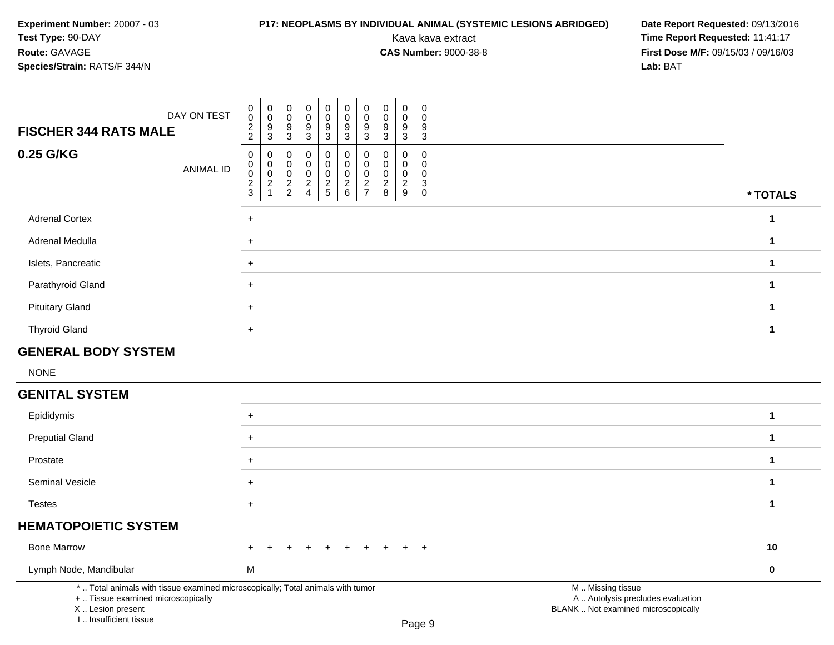# **P17: NEOPLASMS BY INDIVIDUAL ANIMAL (SYSTEMIC LESIONS ABRIDGED) Date Report Requested: 09/13/2016<br>Kava kava extract <b>Time Report Requested:** 11:41:17

| DAY ON TEST<br><b>FISCHER 344 RATS MALE</b>                                                                                                                         | $\pmb{0}$<br>$\pmb{0}$<br>$\pmb{0}$<br>$\mathbf 0$<br>$\pmb{0}$<br>$\mathbf 0$<br>$\pmb{0}$<br>0<br>$\frac{2}{2}$<br>$\frac{9}{3}$<br>$\frac{9}{3}$<br>9<br>3                                                                                 | $\pmb{0}$<br>$\pmb{0}$<br>$\mathsf 0$<br>$\pmb{0}$<br>$\mathsf 0$<br>0<br>$\pmb{0}$<br>$\mathbf 0$<br>$\mathbf 0$<br>$\mathbf 0$<br>0<br>$\mathbf 0$<br>$\boldsymbol{9}$<br>$\boldsymbol{9}$<br>$9$<br>$\boldsymbol{9}$<br>9<br>9<br>$\mathbf{3}$<br>$\mathbf{3}$<br>$\mathbf{3}$<br>$\mathbf{3}$<br>3<br>$\mathbf{3}$                                                   |                                                                                               |
|---------------------------------------------------------------------------------------------------------------------------------------------------------------------|-----------------------------------------------------------------------------------------------------------------------------------------------------------------------------------------------------------------------------------------------|--------------------------------------------------------------------------------------------------------------------------------------------------------------------------------------------------------------------------------------------------------------------------------------------------------------------------------------------------------------------------|-----------------------------------------------------------------------------------------------|
| 0.25 G/KG<br>ANIMAL ID                                                                                                                                              | $\mathbf 0$<br>$\boldsymbol{0}$<br>0<br>0<br>$\mathbf 0$<br>$\pmb{0}$<br>$\boldsymbol{0}$<br>$\mathbf 0$<br>$\pmb{0}$<br>$\mathbf 0$<br>$\pmb{0}$<br>0<br>$\frac{2}{3}$<br>$\overline{2}$<br>$\frac{2}{2}$<br>$\frac{2}{4}$<br>$\overline{1}$ | $\mathbf 0$<br>0<br>$\mathbf 0$<br>$\mathbf 0$<br>$\mathbf 0$<br>0<br>$\boldsymbol{0}$<br>$\mathbf 0$<br>$\mathbf 0$<br>$\mathbf 0$<br>$\mathbf 0$<br>$\Omega$<br>$\pmb{0}$<br>$\mathbf 0$<br>$\mathbf 0$<br>$\pmb{0}$<br>$\mathbf 0$<br>$\mathbf 0$<br>$\frac{2}{5}$<br>$\frac{2}{6}$<br>$\frac{2}{8}$<br>$\frac{2}{9}$<br>$\frac{2}{7}$<br>$\mathbf{3}$<br>$\mathbf 0$ | * TOTALS                                                                                      |
| <b>Adrenal Cortex</b>                                                                                                                                               | $+$                                                                                                                                                                                                                                           |                                                                                                                                                                                                                                                                                                                                                                          | $\mathbf{1}$                                                                                  |
| Adrenal Medulla                                                                                                                                                     | $+$                                                                                                                                                                                                                                           |                                                                                                                                                                                                                                                                                                                                                                          | $\mathbf 1$                                                                                   |
| Islets, Pancreatic                                                                                                                                                  | $+$                                                                                                                                                                                                                                           |                                                                                                                                                                                                                                                                                                                                                                          | $\mathbf{1}$                                                                                  |
| Parathyroid Gland                                                                                                                                                   | $+$                                                                                                                                                                                                                                           |                                                                                                                                                                                                                                                                                                                                                                          | $\mathbf{1}$                                                                                  |
| <b>Pituitary Gland</b>                                                                                                                                              | $+$                                                                                                                                                                                                                                           |                                                                                                                                                                                                                                                                                                                                                                          | $\mathbf 1$                                                                                   |
| <b>Thyroid Gland</b>                                                                                                                                                | $+$                                                                                                                                                                                                                                           |                                                                                                                                                                                                                                                                                                                                                                          | $\mathbf{1}$                                                                                  |
| <b>GENERAL BODY SYSTEM</b>                                                                                                                                          |                                                                                                                                                                                                                                               |                                                                                                                                                                                                                                                                                                                                                                          |                                                                                               |
| <b>NONE</b>                                                                                                                                                         |                                                                                                                                                                                                                                               |                                                                                                                                                                                                                                                                                                                                                                          |                                                                                               |
| <b>GENITAL SYSTEM</b>                                                                                                                                               |                                                                                                                                                                                                                                               |                                                                                                                                                                                                                                                                                                                                                                          |                                                                                               |
| Epididymis                                                                                                                                                          | $+$                                                                                                                                                                                                                                           |                                                                                                                                                                                                                                                                                                                                                                          | $\mathbf 1$                                                                                   |
| <b>Preputial Gland</b>                                                                                                                                              | $+$                                                                                                                                                                                                                                           |                                                                                                                                                                                                                                                                                                                                                                          | $\mathbf 1$                                                                                   |
| Prostate                                                                                                                                                            | $+$                                                                                                                                                                                                                                           |                                                                                                                                                                                                                                                                                                                                                                          | $\mathbf 1$                                                                                   |
| Seminal Vesicle                                                                                                                                                     | $+$                                                                                                                                                                                                                                           |                                                                                                                                                                                                                                                                                                                                                                          | $\mathbf{1}$                                                                                  |
| <b>Testes</b>                                                                                                                                                       | $+$                                                                                                                                                                                                                                           |                                                                                                                                                                                                                                                                                                                                                                          | $\mathbf{1}$                                                                                  |
| <b>HEMATOPOIETIC SYSTEM</b>                                                                                                                                         |                                                                                                                                                                                                                                               |                                                                                                                                                                                                                                                                                                                                                                          |                                                                                               |
| <b>Bone Marrow</b>                                                                                                                                                  |                                                                                                                                                                                                                                               | $+$                                                                                                                                                                                                                                                                                                                                                                      | 10                                                                                            |
| Lymph Node, Mandibular                                                                                                                                              | M                                                                                                                                                                                                                                             |                                                                                                                                                                                                                                                                                                                                                                          | $\mathbf 0$                                                                                   |
| *  Total animals with tissue examined microscopically; Total animals with tumor<br>+  Tissue examined microscopically<br>X  Lesion present<br>I Insufficient tissue |                                                                                                                                                                                                                                               | $D_{200}$ $\Omega$                                                                                                                                                                                                                                                                                                                                                       | M  Missing tissue<br>A  Autolysis precludes evaluation<br>BLANK  Not examined microscopically |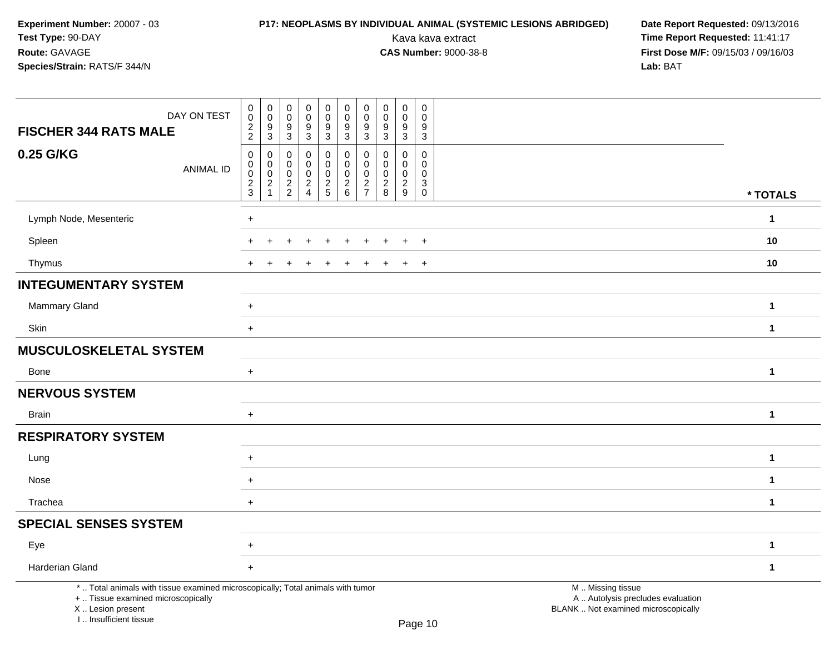I .. Insufficient tissue

# **P17: NEOPLASMS BY INDIVIDUAL ANIMAL (SYSTEMIC LESIONS ABRIDGED) Date Report Requested: 09/13/2016<br>Kava kava extract <b>Time Report Requested:** 11:41:17

| DAY ON TEST<br><b>FISCHER 344 RATS MALE</b>                                                                                                | $\pmb{0}$<br>$\overline{0}$<br>$\frac{2}{2}$         | $\pmb{0}$<br>$\ddot{\mathbf{0}}$<br>9<br>$\overline{3}$ | $\pmb{0}$<br>$\mathbf 0$<br>9<br>3               | $\pmb{0}$<br>$\pmb{0}$<br>$\boldsymbol{9}$<br>$\overline{3}$ | $\mathbf 0$<br>$\mathsf{O}\xspace$<br>$\boldsymbol{9}$<br>$\overline{3}$ | $\mathsf 0$<br>$\mathsf{O}\xspace$<br>9<br>$\overline{3}$                          | 0<br>$\mathbf 0$<br>9<br>3                      | $\pmb{0}$<br>$\ddot{\mathbf{0}}$<br>$\boldsymbol{9}$<br>$\mathbf{3}$ | $\pmb{0}$<br>$\pmb{0}$<br>$\boldsymbol{9}$<br>$\mathbf{3}$ | $\mathsf{O}\xspace$<br>$\mathbf 0$<br>9<br>3                |                                                                                               |              |
|--------------------------------------------------------------------------------------------------------------------------------------------|------------------------------------------------------|---------------------------------------------------------|--------------------------------------------------|--------------------------------------------------------------|--------------------------------------------------------------------------|------------------------------------------------------------------------------------|-------------------------------------------------|----------------------------------------------------------------------|------------------------------------------------------------|-------------------------------------------------------------|-----------------------------------------------------------------------------------------------|--------------|
| 0.25 G/KG<br><b>ANIMAL ID</b>                                                                                                              | $\pmb{0}$<br>$\pmb{0}$<br>$\pmb{0}$<br>$\frac{2}{3}$ | 0<br>0<br>0<br>$\overline{c}$                           | 0<br>$\mathbf 0$<br>$\mathbf 0$<br>$\frac{2}{2}$ | 0<br>0<br>$\pmb{0}$<br>$\frac{2}{4}$                         | 0<br>$\pmb{0}$<br>$\mathbf 0$<br>$\frac{2}{5}$                           | $\mathbf 0$<br>$\mathbf 0$<br>$\mathbf 0$<br>$\begin{array}{c} 2 \\ 6 \end{array}$ | 0<br>0<br>0<br>$\overline{c}$<br>$\overline{7}$ | 0<br>$\mathbf 0$<br>$\mathbf 0$<br>$\sqrt{2}$<br>8                   | 0<br>0<br>$\pmb{0}$<br>$\sqrt{2}$<br>9                     | $\mathbf 0$<br>$\Omega$<br>$\mathbf{0}$<br>3<br>$\mathbf 0$ |                                                                                               | * TOTALS     |
| Lymph Node, Mesenteric                                                                                                                     | $\ddot{}$                                            |                                                         |                                                  |                                                              |                                                                          |                                                                                    |                                                 |                                                                      |                                                            |                                                             |                                                                                               | $\mathbf{1}$ |
| Spleen                                                                                                                                     | $\ddot{}$                                            |                                                         |                                                  |                                                              |                                                                          |                                                                                    |                                                 |                                                                      | $\ddot{}$                                                  | $+$                                                         |                                                                                               | 10           |
| Thymus                                                                                                                                     | $+$                                                  |                                                         |                                                  |                                                              |                                                                          | $\div$                                                                             | +                                               |                                                                      | $\ddot{}$                                                  | $+$                                                         |                                                                                               | 10           |
| <b>INTEGUMENTARY SYSTEM</b>                                                                                                                |                                                      |                                                         |                                                  |                                                              |                                                                          |                                                                                    |                                                 |                                                                      |                                                            |                                                             |                                                                                               |              |
| <b>Mammary Gland</b>                                                                                                                       | $\ddot{}$                                            |                                                         |                                                  |                                                              |                                                                          |                                                                                    |                                                 |                                                                      |                                                            |                                                             |                                                                                               | $\mathbf 1$  |
| Skin                                                                                                                                       | $\ddot{}$                                            |                                                         |                                                  |                                                              |                                                                          |                                                                                    |                                                 |                                                                      |                                                            |                                                             |                                                                                               | $\mathbf{1}$ |
| <b>MUSCULOSKELETAL SYSTEM</b>                                                                                                              |                                                      |                                                         |                                                  |                                                              |                                                                          |                                                                                    |                                                 |                                                                      |                                                            |                                                             |                                                                                               |              |
| <b>Bone</b>                                                                                                                                | $+$                                                  |                                                         |                                                  |                                                              |                                                                          |                                                                                    |                                                 |                                                                      |                                                            |                                                             |                                                                                               | $\mathbf{1}$ |
| <b>NERVOUS SYSTEM</b>                                                                                                                      |                                                      |                                                         |                                                  |                                                              |                                                                          |                                                                                    |                                                 |                                                                      |                                                            |                                                             |                                                                                               |              |
| <b>Brain</b>                                                                                                                               | $\ddot{}$                                            |                                                         |                                                  |                                                              |                                                                          |                                                                                    |                                                 |                                                                      |                                                            |                                                             |                                                                                               | $\mathbf{1}$ |
| <b>RESPIRATORY SYSTEM</b>                                                                                                                  |                                                      |                                                         |                                                  |                                                              |                                                                          |                                                                                    |                                                 |                                                                      |                                                            |                                                             |                                                                                               |              |
| Lung                                                                                                                                       | $\ddot{}$                                            |                                                         |                                                  |                                                              |                                                                          |                                                                                    |                                                 |                                                                      |                                                            |                                                             |                                                                                               | $\mathbf{1}$ |
| Nose                                                                                                                                       | $\ddot{}$                                            |                                                         |                                                  |                                                              |                                                                          |                                                                                    |                                                 |                                                                      |                                                            |                                                             |                                                                                               | $\mathbf{1}$ |
| Trachea                                                                                                                                    | $+$                                                  |                                                         |                                                  |                                                              |                                                                          |                                                                                    |                                                 |                                                                      |                                                            |                                                             |                                                                                               | $\mathbf{1}$ |
| <b>SPECIAL SENSES SYSTEM</b>                                                                                                               |                                                      |                                                         |                                                  |                                                              |                                                                          |                                                                                    |                                                 |                                                                      |                                                            |                                                             |                                                                                               |              |
| Eye                                                                                                                                        | $\pm$                                                |                                                         |                                                  |                                                              |                                                                          |                                                                                    |                                                 |                                                                      |                                                            |                                                             |                                                                                               | $\mathbf{1}$ |
| Harderian Gland                                                                                                                            | $\ddot{}$                                            |                                                         |                                                  |                                                              |                                                                          |                                                                                    |                                                 |                                                                      |                                                            |                                                             |                                                                                               | $\mathbf{1}$ |
| *  Total animals with tissue examined microscopically; Total animals with tumor<br>+  Tissue examined microscopically<br>X  Lesion present |                                                      |                                                         |                                                  |                                                              |                                                                          |                                                                                    |                                                 |                                                                      |                                                            |                                                             | M  Missing tissue<br>A  Autolysis precludes evaluation<br>BLANK  Not examined microscopically |              |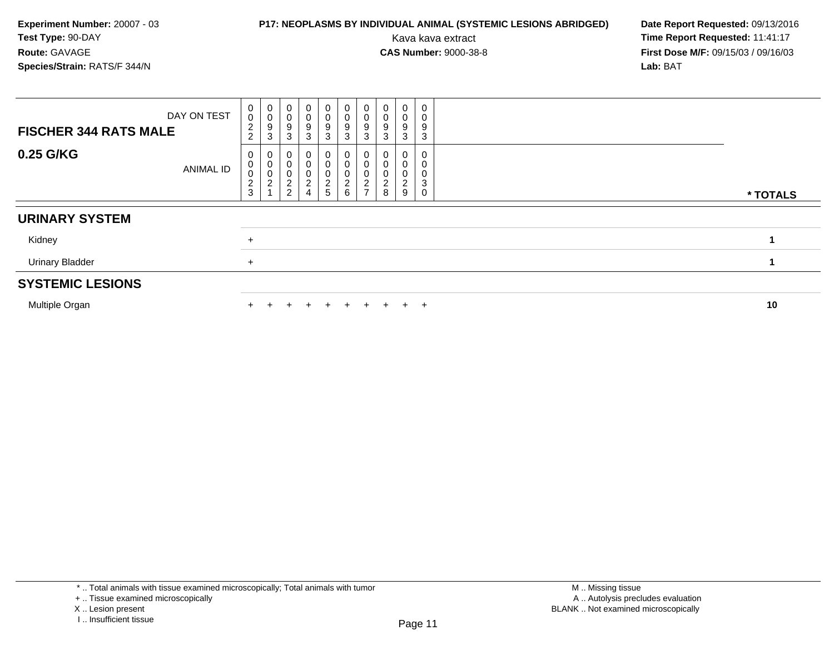### **P17: NEOPLASMS BY INDIVIDUAL ANIMAL (SYSTEMIC LESIONS ABRIDGED) Date Report Requested: 09/13/2016<br>Kava kava extract <b>Time Report Requested:** 11:41:17

Kava kava extract **Time Report Requested:** 11:41:17<br>**CAS Number:** 9000-38-8 **Time Report Requested:** 11:41:17 **First Dose M/F:** 09/15/03 / 09/16/03<br>Lab: BAT **Lab:** BAT

| DAY ON TEST<br><b>FISCHER 344 RATS MALE</b> | $_0^0$<br>$\frac{2}{2}$                      | 0<br>$\mathbf 0$<br>9<br>3                      | $\pmb{0}$<br>$\pmb{0}$<br>9<br>3 | $\begin{smallmatrix}0\0\0\end{smallmatrix}$<br>$\boldsymbol{9}$<br>3 | $\begin{array}{c} 0 \\ 0 \\ 9 \end{array}$<br>3 | $\begin{smallmatrix}0\0\0\9\end{smallmatrix}$<br>3               | $\begin{smallmatrix}0\0\0\9\end{smallmatrix}$<br>3 | $\pmb{0}$<br>$\mathsf 0$<br>9<br>3 | $\mathbf 0$<br>$\mathbf 0$<br>9<br>3 | 0<br>0<br>9<br>3      |          |
|---------------------------------------------|----------------------------------------------|-------------------------------------------------|----------------------------------|----------------------------------------------------------------------|-------------------------------------------------|------------------------------------------------------------------|----------------------------------------------------|------------------------------------|--------------------------------------|-----------------------|----------|
| 0.25 G/KG<br>ANIMAL ID                      | 0<br>$\pmb{0}$<br>$\bar{0}$<br>$\frac{2}{3}$ | 0<br>$\pmb{0}$<br>$\pmb{0}$<br>$\boldsymbol{2}$ | $\frac{2}{2}$<br>∠               | 0<br>0<br>$\mathbf 0$<br>$\Omega$<br>۷<br>$\overline{4}$             | 0<br>0<br>0<br>$rac{2}{5}$                      | 0<br>$\begin{smallmatrix}0\\0\end{smallmatrix}$<br>$\frac{2}{6}$ | 0<br>$\pmb{0}$<br>$\pmb{0}$<br>$\frac{2}{7}$       | 0<br>0<br>0<br>◠<br>$\frac{2}{8}$  | 9                                    | 0<br>0<br>0<br>3<br>0 | * TOTALS |
| <b>URINARY SYSTEM</b>                       |                                              |                                                 |                                  |                                                                      |                                                 |                                                                  |                                                    |                                    |                                      |                       |          |
| Kidney                                      | $\ddot{}$                                    |                                                 |                                  |                                                                      |                                                 |                                                                  |                                                    |                                    |                                      |                       |          |
| <b>Urinary Bladder</b>                      | $\ddot{}$                                    |                                                 |                                  |                                                                      |                                                 |                                                                  |                                                    |                                    |                                      |                       |          |
| <b>SYSTEMIC LESIONS</b>                     |                                              |                                                 |                                  |                                                                      |                                                 |                                                                  |                                                    |                                    |                                      |                       |          |
| Multiple Organ                              |                                              |                                                 |                                  |                                                                      |                                                 |                                                                  | $+$                                                | ÷                                  |                                      | $\pm$                 | 10       |

\* .. Total animals with tissue examined microscopically; Total animals with tumor

X .. Lesion present

<sup>+ ..</sup> Tissue examined microscopically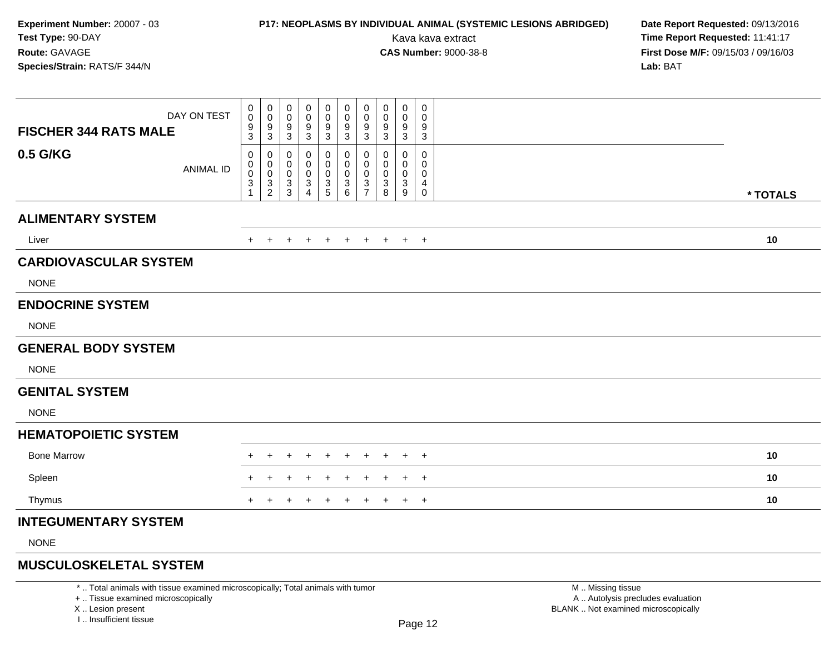### **P17: NEOPLASMS BY INDIVIDUAL ANIMAL (SYSTEMIC LESIONS ABRIDGED) Date Report Requested: 09/13/2016<br>Kava kava extract <b>Time Report Requested:** 11:41:17

Kava kava extract **Time Report Requested:** 11:41:17<br>**CAS Number:** 9000-38-8 **Time Report Requested:** 11:41:17 **First Dose M/F:** 09/15/03 / 09/16/03<br>**Lab:** BAT **Lab:** BAT

| DAY ON TEST<br><b>FISCHER 344 RATS MALE</b> | $\mathbf 0$<br>0<br>$\frac{9}{3}$  | 0<br>$\pmb{0}$<br>$\frac{9}{3}$                                    | 0<br>$\mathbf 0$<br>$\boldsymbol{9}$<br>$\ensuremath{\mathsf{3}}$ | 0<br>0<br>9<br>$\mathsf 3$                   | 0<br>0<br>9<br>$\ensuremath{\mathsf{3}}$ | 0<br>$\pmb{0}$<br>$\boldsymbol{9}$<br>3                      | 0<br>$\mathbf 0$<br>$\boldsymbol{9}$<br>3        | 0<br>0<br>9<br>3      | 0<br>0<br>9<br>$\sqrt{3}$ | 0<br>$\mathbf 0$<br>9<br>$\sqrt{3}$               |          |  |
|---------------------------------------------|------------------------------------|--------------------------------------------------------------------|-------------------------------------------------------------------|----------------------------------------------|------------------------------------------|--------------------------------------------------------------|--------------------------------------------------|-----------------------|---------------------------|---------------------------------------------------|----------|--|
| 0.5 G/KG<br><b>ANIMAL ID</b>                | 0<br>0<br>$\pmb{0}$<br>$\mathsf 3$ | 0<br>$\begin{smallmatrix} 0\\0 \end{smallmatrix}$<br>$\frac{3}{2}$ | 0<br>$\mathbf 0$<br>$\boldsymbol{0}$<br>$\frac{3}{3}$             | 0<br>0<br>$\mathbf 0$<br>3<br>$\overline{4}$ | 0<br>$\mathbf 0$<br>0<br>$\frac{3}{5}$   | 0<br>0<br>$\pmb{0}$<br>$\begin{array}{c} 3 \\ 6 \end{array}$ | 0<br>$\mathbf 0$<br>$\mathbf 0$<br>$\frac{3}{7}$ | 0<br>0<br>0<br>3<br>8 | 0<br>0<br>0<br>$_9^3$     | $\mathsf 0$<br>0<br>0<br>4<br>$\mathsf{O}\xspace$ | * TOTALS |  |
| <b>ALIMENTARY SYSTEM</b>                    |                                    |                                                                    |                                                                   |                                              |                                          |                                                              |                                                  |                       |                           |                                                   |          |  |
| Liver                                       | $+$                                | $+$                                                                | $\pm$                                                             | $+$                                          | $+$                                      | $+$                                                          | $+$                                              | $+$                   |                           | $+$ $+$                                           | 10       |  |
| <b>CARDIOVASCULAR SYSTEM</b>                |                                    |                                                                    |                                                                   |                                              |                                          |                                                              |                                                  |                       |                           |                                                   |          |  |
| <b>NONE</b>                                 |                                    |                                                                    |                                                                   |                                              |                                          |                                                              |                                                  |                       |                           |                                                   |          |  |
| <b>ENDOCRINE SYSTEM</b>                     |                                    |                                                                    |                                                                   |                                              |                                          |                                                              |                                                  |                       |                           |                                                   |          |  |
| <b>NONE</b>                                 |                                    |                                                                    |                                                                   |                                              |                                          |                                                              |                                                  |                       |                           |                                                   |          |  |
| <b>GENERAL BODY SYSTEM</b>                  |                                    |                                                                    |                                                                   |                                              |                                          |                                                              |                                                  |                       |                           |                                                   |          |  |
| <b>NONE</b>                                 |                                    |                                                                    |                                                                   |                                              |                                          |                                                              |                                                  |                       |                           |                                                   |          |  |
| <b>GENITAL SYSTEM</b>                       |                                    |                                                                    |                                                                   |                                              |                                          |                                                              |                                                  |                       |                           |                                                   |          |  |
| <b>NONE</b>                                 |                                    |                                                                    |                                                                   |                                              |                                          |                                                              |                                                  |                       |                           |                                                   |          |  |
| <b>HEMATOPOIETIC SYSTEM</b>                 |                                    |                                                                    |                                                                   |                                              |                                          |                                                              |                                                  |                       |                           |                                                   |          |  |
| <b>Bone Marrow</b>                          |                                    |                                                                    |                                                                   |                                              |                                          |                                                              |                                                  |                       |                           | $\overline{+}$                                    | 10       |  |
| Spleen                                      | $\ddot{}$                          |                                                                    |                                                                   |                                              |                                          |                                                              |                                                  |                       | $\pm$                     | $\overline{+}$                                    | 10       |  |
| Thymus                                      | $+$                                | $\pm$                                                              |                                                                   |                                              |                                          | $\ddot{}$                                                    |                                                  | ÷                     | $+$                       | $\overline{+}$                                    | 10       |  |
| <b>INTEGUMENTARY SYSTEM</b>                 |                                    |                                                                    |                                                                   |                                              |                                          |                                                              |                                                  |                       |                           |                                                   |          |  |
| <b>NONE</b>                                 |                                    |                                                                    |                                                                   |                                              |                                          |                                                              |                                                  |                       |                           |                                                   |          |  |
|                                             |                                    |                                                                    |                                                                   |                                              |                                          |                                                              |                                                  |                       |                           |                                                   |          |  |

### **MUSCULOSKELETAL SYSTEM**

\* .. Total animals with tissue examined microscopically; Total animals with tumor

+ .. Tissue examined microscopically

X .. Lesion present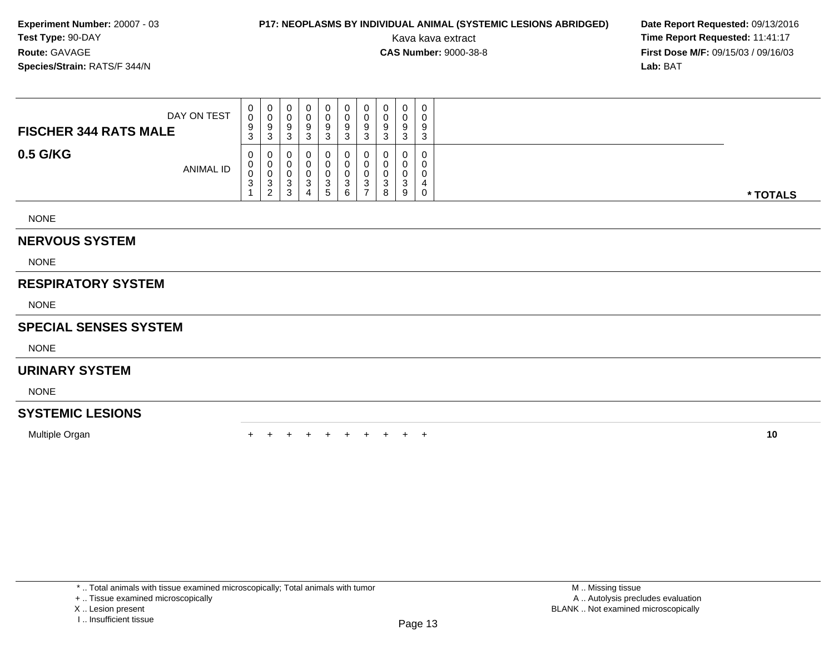### **P17: NEOPLASMS BY INDIVIDUAL ANIMAL (SYSTEMIC LESIONS ABRIDGED) Date Report Requested: 09/13/2016<br>Kava kava extract <b>Time Report Requested:** 11:41:17

Kava kava extract **Time Report Requested:** 11:41:17<br>**CAS Number:** 9000-38-8 **Time Report Requested:** 11:41:17 **First Dose M/F:** 09/15/03 / 09/16/03<br>**Lab:** BAT **Lab:** BAT

| DAY ON TEST<br><b>FISCHER 344 RATS MALE</b> | 0<br>0<br>9<br>3 | U<br>ູ<br>◠<br>ు | $\mathbf{0}$<br>◡<br>9<br>⌒<br>C. | U<br>u<br>9<br>دت | U<br>O<br>9<br>3                | U<br>U<br>9<br>C.<br>د | 0<br>v<br>9<br>3      | 9<br>⌒<br>J | 0<br>-9<br>3       | 0<br>0<br>9<br>3 |          |
|---------------------------------------------|------------------|------------------|-----------------------------------|-------------------|---------------------------------|------------------------|-----------------------|-------------|--------------------|------------------|----------|
| 0.5 G/KG<br><b>ANIMAL ID</b>                | 0<br>0<br>0<br>3 | ت<br>2           | U<br>⌒<br>J.<br>3                 | J                 | 0<br>0<br>0<br>3<br>$5^{\circ}$ | U<br>ົ<br>◡<br>6       | 0<br>υ<br>υ<br>3<br>- | ت<br>8      | ີ<br><b>J</b><br>9 | 0<br>0<br>0<br>0 | * TOTALS |
| <b>NONE</b>                                 |                  |                  |                                   |                   |                                 |                        |                       |             |                    |                  |          |

### **NERVOUS SYSTEM**

NONE

### **RESPIRATORY SYSTEM**

NONE

#### **SPECIAL SENSES SYSTEM**

NONE

### **URINARY SYSTEM**

NONE

#### **SYSTEMIC LESIONS**

Multiple Organ

n  $+$ <sup>+</sup> <sup>+</sup> <sup>+</sup> <sup>+</sup> <sup>+</sup> <sup>+</sup> <sup>+</sup> <sup>+</sup> <sup>+</sup> **<sup>10</sup>**

\* .. Total animals with tissue examined microscopically; Total animals with tumor

+ .. Tissue examined microscopically

X .. Lesion present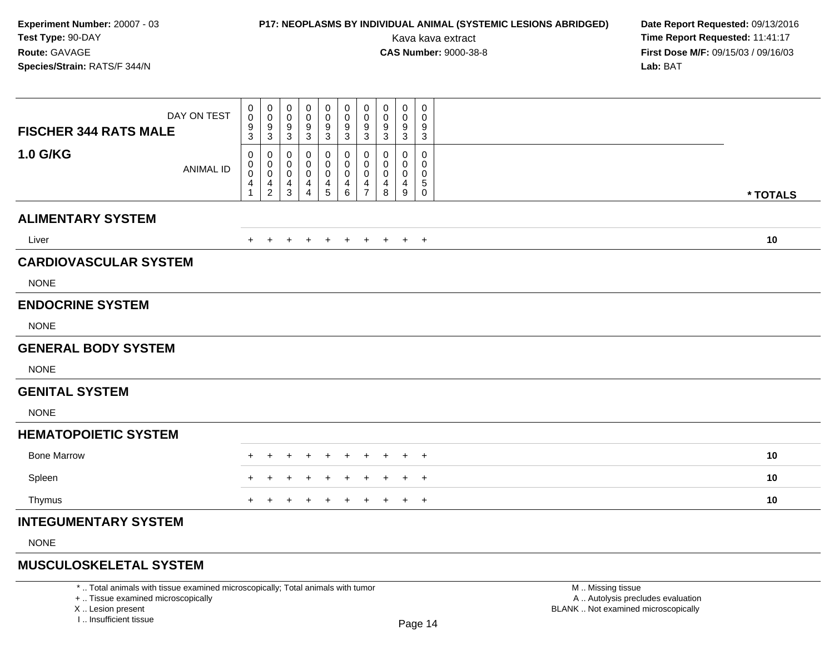### **P17: NEOPLASMS BY INDIVIDUAL ANIMAL (SYSTEMIC LESIONS ABRIDGED) Date Report Requested: 09/13/2016<br>Kava kava extract <b>Time Report Requested:** 11:41:17

Kava kava extract **Time Report Requested:** 11:41:17<br>**CAS Number:** 9000-38-8 **Time Report Requested:** 11:41:17 **First Dose M/F:** 09/15/03 / 09/16/03<br>**Lab:** BAT **Lab:** BAT

| DAY ON TEST<br><b>FISCHER 344 RATS MALE</b> | $\mathbf 0$<br>0<br>$\boldsymbol{9}$<br>3         | 0<br>$\mathbf 0$<br>9<br>$\mathbf{3}$                              | 0<br>$\mathbf 0$<br>9<br>$\mathsf 3$                             | 0<br>0<br>9<br>$\mathsf 3$                                | 0<br>0<br>9<br>$\sqrt{3}$                             | 0<br>0<br>$\boldsymbol{9}$<br>$\ensuremath{\mathsf{3}}$   | 0<br>0<br>$\boldsymbol{9}$<br>$\mathsf 3$                           | 0<br>$\mathbf 0$<br>9<br>3 | 0<br>0<br>9<br>$\sqrt{3}$          | 0<br>$\mathbf 0$<br>9<br>$\sqrt{3}$                          |          |  |
|---------------------------------------------|---------------------------------------------------|--------------------------------------------------------------------|------------------------------------------------------------------|-----------------------------------------------------------|-------------------------------------------------------|-----------------------------------------------------------|---------------------------------------------------------------------|----------------------------|------------------------------------|--------------------------------------------------------------|----------|--|
| <b>1.0 G/KG</b><br><b>ANIMAL ID</b>         | 0<br>$\mathbf 0$<br>$\mathsf{O}\xspace$<br>4<br>1 | 0<br>$\begin{smallmatrix} 0\\0 \end{smallmatrix}$<br>$\frac{4}{2}$ | $\mathbf 0$<br>$\mathbf 0$<br>$\mathbf 0$<br>$\overline{4}$<br>3 | 0<br>0<br>$\mathbf 0$<br>$\overline{4}$<br>$\overline{4}$ | 0<br>0<br>$\mathbf 0$<br>$\overline{4}$<br>$\sqrt{5}$ | 0<br>0<br>$\pmb{0}$<br>$\overline{\mathbf{4}}$<br>$\,6\,$ | 0<br>$\mathbf 0$<br>$\mathbf 0$<br>$\overline{4}$<br>$\overline{7}$ | 0<br>0<br>0<br>4<br>8      | 0<br>0<br>0<br>$\overline{4}$<br>9 | $\mathbf 0$<br>0<br>$\mathbf 0$<br>$\sqrt{5}$<br>$\mathbf 0$ | * TOTALS |  |
| <b>ALIMENTARY SYSTEM</b>                    |                                                   |                                                                    |                                                                  |                                                           |                                                       |                                                           |                                                                     |                            |                                    |                                                              |          |  |
|                                             |                                                   |                                                                    |                                                                  |                                                           |                                                       |                                                           |                                                                     |                            |                                    |                                                              |          |  |
| Liver                                       | $+$                                               | $+$                                                                | $\pm$                                                            | $\pm$                                                     | $+$                                                   | $+$                                                       | $+$                                                                 | $+$                        |                                    | $+$ $+$                                                      | 10       |  |
| <b>CARDIOVASCULAR SYSTEM</b>                |                                                   |                                                                    |                                                                  |                                                           |                                                       |                                                           |                                                                     |                            |                                    |                                                              |          |  |
| <b>NONE</b>                                 |                                                   |                                                                    |                                                                  |                                                           |                                                       |                                                           |                                                                     |                            |                                    |                                                              |          |  |
| <b>ENDOCRINE SYSTEM</b>                     |                                                   |                                                                    |                                                                  |                                                           |                                                       |                                                           |                                                                     |                            |                                    |                                                              |          |  |
| <b>NONE</b>                                 |                                                   |                                                                    |                                                                  |                                                           |                                                       |                                                           |                                                                     |                            |                                    |                                                              |          |  |
| <b>GENERAL BODY SYSTEM</b>                  |                                                   |                                                                    |                                                                  |                                                           |                                                       |                                                           |                                                                     |                            |                                    |                                                              |          |  |
| <b>NONE</b>                                 |                                                   |                                                                    |                                                                  |                                                           |                                                       |                                                           |                                                                     |                            |                                    |                                                              |          |  |
| <b>GENITAL SYSTEM</b>                       |                                                   |                                                                    |                                                                  |                                                           |                                                       |                                                           |                                                                     |                            |                                    |                                                              |          |  |
| <b>NONE</b>                                 |                                                   |                                                                    |                                                                  |                                                           |                                                       |                                                           |                                                                     |                            |                                    |                                                              |          |  |
| <b>HEMATOPOIETIC SYSTEM</b>                 |                                                   |                                                                    |                                                                  |                                                           |                                                       |                                                           |                                                                     |                            |                                    |                                                              |          |  |
| <b>Bone Marrow</b>                          |                                                   |                                                                    |                                                                  |                                                           |                                                       |                                                           |                                                                     |                            | $\pm$                              | $^{+}$                                                       | 10       |  |
| Spleen                                      | +                                                 |                                                                    |                                                                  |                                                           |                                                       |                                                           |                                                                     |                            | $\pm$                              | $\overline{+}$                                               | 10       |  |
| Thymus                                      | $+$                                               | $\div$                                                             |                                                                  |                                                           |                                                       | $\ddot{}$                                                 |                                                                     | $\ddot{}$                  | $+$                                | $+$                                                          | 10       |  |
| <b>INTEGUMENTARY SYSTEM</b>                 |                                                   |                                                                    |                                                                  |                                                           |                                                       |                                                           |                                                                     |                            |                                    |                                                              |          |  |
| <b>NONE</b>                                 |                                                   |                                                                    |                                                                  |                                                           |                                                       |                                                           |                                                                     |                            |                                    |                                                              |          |  |
|                                             |                                                   |                                                                    |                                                                  |                                                           |                                                       |                                                           |                                                                     |                            |                                    |                                                              |          |  |

### **MUSCULOSKELETAL SYSTEM**

\* .. Total animals with tissue examined microscopically; Total animals with tumor

+ .. Tissue examined microscopically

X .. Lesion present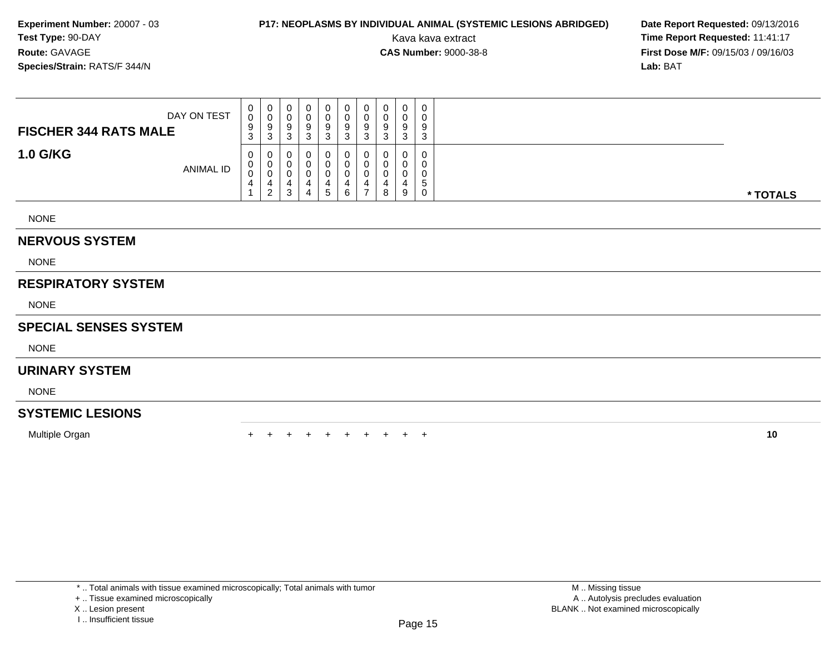### **P17: NEOPLASMS BY INDIVIDUAL ANIMAL (SYSTEMIC LESIONS ABRIDGED) Date Report Requested: 09/13/2016<br>Kava kava extract <b>Time Report Requested:** 11:41:17

Kava kava extract **Time Report Requested:** 11:41:17<br>**CAS Number:** 9000-38-8 **Time Report Requested:** 11:41:17 **First Dose M/F:** 09/15/03 / 09/16/03<br>**Lab:** BAT **Lab:** BAT

| <b>NERVOUS SYSTEM</b>        |             |                            |                                    |                       |                       |                                  |                             |                   |                       |                  |                        |          |
|------------------------------|-------------|----------------------------|------------------------------------|-----------------------|-----------------------|----------------------------------|-----------------------------|-------------------|-----------------------|------------------|------------------------|----------|
| <b>NONE</b>                  |             |                            |                                    |                       |                       |                                  |                             |                   |                       |                  |                        |          |
| <b>1.0 G/KG</b>              | ANIMAL ID   | 0<br>0<br>$\sim$<br>v<br>4 | 0<br>0<br>υ<br>4<br>$\overline{2}$ | 0<br>0<br>0<br>4<br>3 | 0<br>0<br>0<br>4<br>4 | 0<br>0<br>0<br>4<br><sub>5</sub> | 0<br>U<br>0<br>4<br>6       |                   | 0<br>υ<br>0<br>4<br>8 | U<br>0<br>4<br>9 | 0<br>0<br>0<br>.5<br>0 | * TOTALS |
| <b>FISCHER 344 RATS MALE</b> | DAY ON TEST | $\sigma$<br>0<br>9<br>3    | $\mathbf 0$<br>0<br>9<br>3         | 0<br>0<br>9<br>3      | 0<br>0<br>9<br>3      | 0<br>$\mathbf 0$<br>9<br>3       | $\mathbf{0}$<br>0<br>9<br>3 | 9<br>$\sim$<br>-3 | U<br>0<br>9<br>3      | U<br>0<br>9<br>3 | 0<br>0<br>9<br>3       |          |

NONE

### **RESPIRATORY SYSTEM**

NONE

#### **SPECIAL SENSES SYSTEM**

NONE

### **URINARY SYSTEM**

NONE

### **SYSTEMIC LESIONS**

Multiple Organn  $+$ 

<sup>+</sup> <sup>+</sup> <sup>+</sup> <sup>+</sup> <sup>+</sup> <sup>+</sup> <sup>+</sup> <sup>+</sup> <sup>+</sup> **<sup>10</sup>**

+ .. Tissue examined microscopically

X .. Lesion present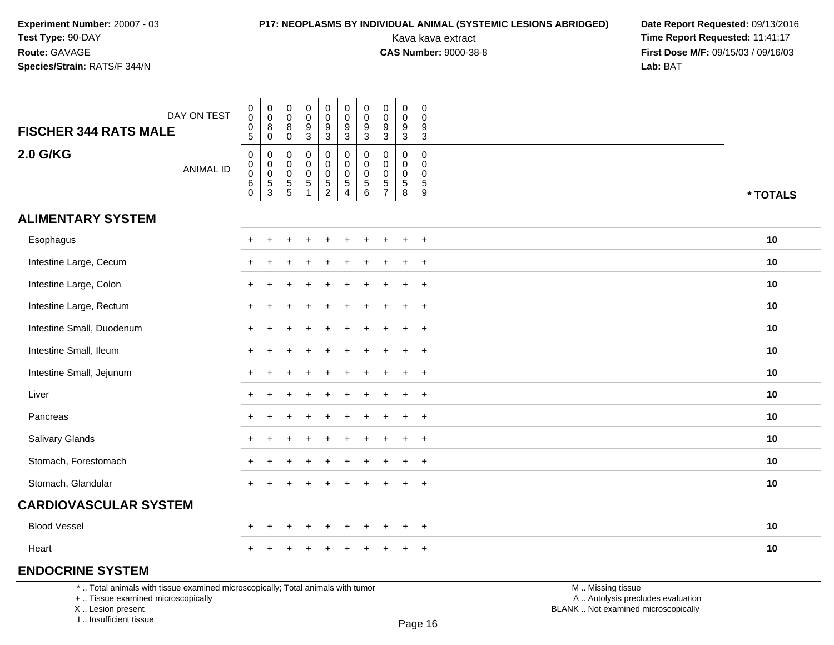# **P17: NEOPLASMS BY INDIVIDUAL ANIMAL (SYSTEMIC LESIONS ABRIDGED) Date Report Requested: 09/13/2016<br>Kava kava extract <b>Time Report Requested:** 11:41:17

Kava kava extract **Time Report Requested:** 11:41:17<br>**CAS Number:** 9000-38-8 **Time Report Requested:** 11:41:17 **First Dose M/F:** 09/15/03 / 09/16/03<br>Lab: BAT **Lab:** BAT

| DAY ON TEST                                                                     |                  | $_{\rm 0}^{\rm 0}$                                                  | $\begin{smallmatrix} 0\\0 \end{smallmatrix}$                     | $\pmb{0}$<br>0                                                 | $_{\rm 0}^{\rm 0}$                                                 | $\pmb{0}$<br>$\mathsf{O}\xspace$               | $\pmb{0}$<br>$\pmb{0}$                                   | 0<br>$\pmb{0}$                  | $\mathbf 0$<br>0                                              | $\pmb{0}$<br>$\pmb{0}$                                     | $\mathbf 0$<br>$\mathbf 0$                                                   |                   |          |
|---------------------------------------------------------------------------------|------------------|---------------------------------------------------------------------|------------------------------------------------------------------|----------------------------------------------------------------|--------------------------------------------------------------------|------------------------------------------------|----------------------------------------------------------|---------------------------------|---------------------------------------------------------------|------------------------------------------------------------|------------------------------------------------------------------------------|-------------------|----------|
| <b>FISCHER 344 RATS MALE</b>                                                    |                  | $\pmb{0}$<br>$5\phantom{.0}$                                        | 8<br>$\mathbf 0$                                                 | 8<br>0                                                         | $\boldsymbol{9}$<br>3                                              | $\boldsymbol{9}$<br>$\ensuremath{\mathsf{3}}$  | $\boldsymbol{9}$<br>3                                    | 9<br>3                          | 9<br>$\mathbf{3}$                                             | $\boldsymbol{9}$<br>3                                      | 9<br>$\mathbf{3}$                                                            |                   |          |
| <b>2.0 G/KG</b>                                                                 | <b>ANIMAL ID</b> | $\pmb{0}$<br>$\pmb{0}$<br>$\ddot{\mathbf{0}}$<br>$\,6$<br>$\pmb{0}$ | 0<br>$\mathsf{O}\xspace$<br>$\ddot{\mathbf{0}}$<br>$\frac{5}{3}$ | $\mathbf 0$<br>0<br>0<br>$\begin{array}{c} 5 \\ 5 \end{array}$ | $\mathbf 0$<br>$\mathbf 0$<br>$\mathsf{O}\xspace$<br>$\frac{5}{1}$ | 0<br>$\mathbf 0$<br>$\pmb{0}$<br>$\frac{5}{2}$ | $\mathbf 0$<br>$\pmb{0}$<br>$\mathbf 0$<br>$\frac{5}{4}$ | 0<br>0<br>0<br>$\,$ 5 $\,$<br>6 | 0<br>$\Omega$<br>$\mathbf 0$<br>$\,$ 5 $\,$<br>$\overline{7}$ | $\mathbf 0$<br>$\mathbf 0$<br>$\pmb{0}$<br>$\sqrt{5}$<br>8 | $\mathbf 0$<br>$\mathbf 0$<br>$\mathbf 0$<br>$\,$ 5 $\,$<br>$\boldsymbol{9}$ |                   | * TOTALS |
| <b>ALIMENTARY SYSTEM</b>                                                        |                  |                                                                     |                                                                  |                                                                |                                                                    |                                                |                                                          |                                 |                                                               |                                                            |                                                                              |                   |          |
| Esophagus                                                                       |                  |                                                                     |                                                                  |                                                                |                                                                    |                                                |                                                          |                                 |                                                               |                                                            | $\ddot{}$                                                                    |                   | 10       |
| Intestine Large, Cecum                                                          |                  |                                                                     |                                                                  |                                                                |                                                                    |                                                |                                                          |                                 |                                                               | $\ddot{}$                                                  | $+$                                                                          |                   | 10       |
| Intestine Large, Colon                                                          |                  |                                                                     |                                                                  |                                                                |                                                                    |                                                |                                                          |                                 |                                                               |                                                            | $\ddot{}$                                                                    |                   | 10       |
| Intestine Large, Rectum                                                         |                  |                                                                     | $\ddot{}$                                                        |                                                                |                                                                    |                                                |                                                          |                                 |                                                               |                                                            | $\ddot{}$                                                                    |                   | 10       |
| Intestine Small, Duodenum                                                       |                  |                                                                     | ÷                                                                |                                                                |                                                                    |                                                |                                                          |                                 |                                                               | $\ddot{}$                                                  | $+$                                                                          |                   | 10       |
| Intestine Small, Ileum                                                          |                  |                                                                     |                                                                  |                                                                |                                                                    |                                                |                                                          |                                 |                                                               |                                                            | $\ddot{}$                                                                    |                   | 10       |
| Intestine Small, Jejunum                                                        |                  |                                                                     | $\ddot{}$                                                        |                                                                |                                                                    |                                                |                                                          |                                 |                                                               |                                                            | $+$                                                                          |                   | 10       |
| Liver                                                                           |                  |                                                                     |                                                                  |                                                                |                                                                    |                                                |                                                          |                                 |                                                               | $\div$                                                     | $+$                                                                          |                   | 10       |
| Pancreas                                                                        |                  |                                                                     |                                                                  |                                                                |                                                                    |                                                |                                                          |                                 |                                                               | $\ddot{}$                                                  | $\ddot{}$                                                                    |                   | 10       |
| Salivary Glands                                                                 |                  |                                                                     |                                                                  |                                                                |                                                                    |                                                |                                                          |                                 |                                                               |                                                            | $\ddot{}$                                                                    |                   | 10       |
| Stomach, Forestomach                                                            |                  |                                                                     |                                                                  |                                                                |                                                                    |                                                |                                                          |                                 |                                                               |                                                            | $\overline{+}$                                                               |                   | 10       |
| Stomach, Glandular                                                              |                  |                                                                     |                                                                  |                                                                |                                                                    |                                                |                                                          |                                 |                                                               | $\div$                                                     | $+$                                                                          |                   | 10       |
| <b>CARDIOVASCULAR SYSTEM</b>                                                    |                  |                                                                     |                                                                  |                                                                |                                                                    |                                                |                                                          |                                 |                                                               |                                                            |                                                                              |                   |          |
| <b>Blood Vessel</b>                                                             |                  |                                                                     |                                                                  |                                                                |                                                                    |                                                |                                                          |                                 |                                                               | ÷                                                          | $+$                                                                          |                   | 10       |
| Heart                                                                           |                  | $+$                                                                 | $\pm$                                                            |                                                                |                                                                    | $\ddot{}$                                      |                                                          |                                 | $\pm$                                                         | $+$                                                        | $+$                                                                          |                   | 10       |
| <b>ENDOCRINE SYSTEM</b>                                                         |                  |                                                                     |                                                                  |                                                                |                                                                    |                                                |                                                          |                                 |                                                               |                                                            |                                                                              |                   |          |
| *  Total animals with tissue examined microscopically; Total animals with tumor |                  |                                                                     |                                                                  |                                                                |                                                                    |                                                |                                                          |                                 |                                                               |                                                            |                                                                              | M  Missing tissue |          |

+ .. Tissue examined microscopically

X .. Lesion present

I .. Insufficient tissue

M .. Missing tissue

y the contract of the contract of the contract of the contract of the contract of  $\mathsf A$  . Autolysis precludes evaluation Lesion present BLANK .. Not examined microscopically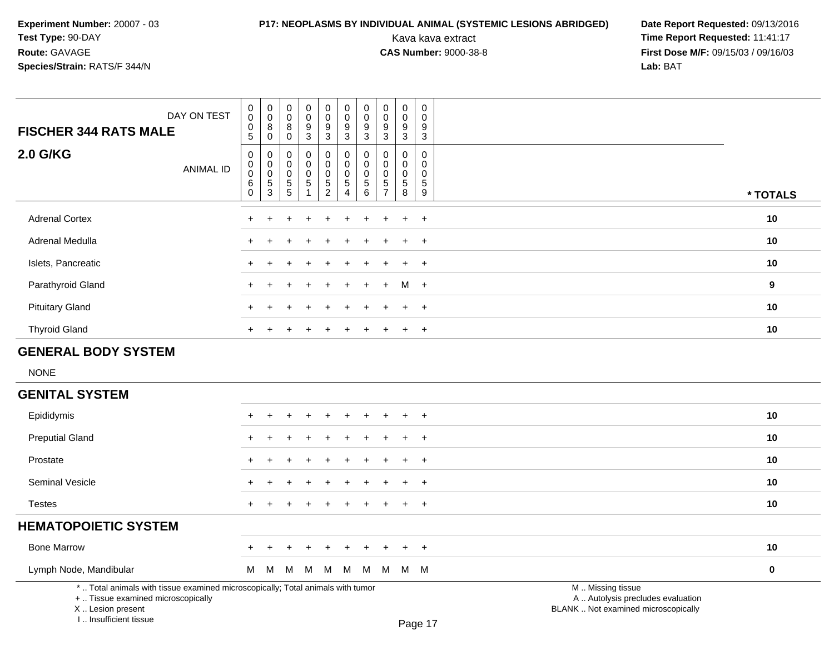I .. Insufficient tissue

# **P17: NEOPLASMS BY INDIVIDUAL ANIMAL (SYSTEMIC LESIONS ABRIDGED) Date Report Requested: 09/13/2016<br>Kava kava extract <b>Time Report Requested:** 11:41:17

| DAY ON TEST<br><b>FISCHER 344 RATS MALE</b>                                                                                                | $_{\rm 0}^{\rm 0}$<br>$\begin{array}{c} 0 \\ 5 \end{array}$        | $\pmb{0}$<br>$\overline{0}$<br>$\bf 8$<br>$\mathbf 0$  | $\pmb{0}$<br>$\mathbf 0$<br>8<br>$\mathbf 0$                    | $\mathbf 0$<br>$\overline{0}$<br>9<br>$\overline{3}$            | $\mathbf 0$<br>$\mathbf 0$<br>$\frac{9}{3}$                           | $_{\rm 0}^{\rm 0}$<br>$^9_3$                                                 | $\pmb{0}$<br>$\pmb{0}$<br>9<br>$\overline{3}$               | $\pmb{0}$<br>$\mathbf 0$<br>$\boldsymbol{9}$<br>$\mathbf{3}$              | $\mathsf 0$<br>$\pmb{0}$<br>$\frac{9}{3}$            | $\pmb{0}$<br>$\Omega$<br>9<br>$\overline{3}$                    |                                                                                               |           |
|--------------------------------------------------------------------------------------------------------------------------------------------|--------------------------------------------------------------------|--------------------------------------------------------|-----------------------------------------------------------------|-----------------------------------------------------------------|-----------------------------------------------------------------------|------------------------------------------------------------------------------|-------------------------------------------------------------|---------------------------------------------------------------------------|------------------------------------------------------|-----------------------------------------------------------------|-----------------------------------------------------------------------------------------------|-----------|
| <b>2.0 G/KG</b><br><b>ANIMAL ID</b>                                                                                                        | $\mathsf 0$<br>$\mathbf 0$<br>$\boldsymbol{0}$<br>6<br>$\mathbf 0$ | $\mathbf 0$<br>$\pmb{0}$<br>$\pmb{0}$<br>$\frac{5}{3}$ | $\boldsymbol{0}$<br>$\mathbf 0$<br>$\pmb{0}$<br>$\sqrt{5}$<br>5 | $\pmb{0}$<br>$\mathsf{O}\xspace$<br>$\pmb{0}$<br>$\overline{5}$ | 0<br>$\ddot{\mathbf{0}}$<br>$\pmb{0}$<br>$\sqrt{5}$<br>$\overline{c}$ | $\pmb{0}$<br>$\overline{0}$<br>$\pmb{0}$<br>$\overline{5}$<br>$\overline{4}$ | $\mathbf 0$<br>$\mathbf 0$<br>$\pmb{0}$<br>$\,$ 5 $\,$<br>6 | $\mathbf 0$<br>$\mathbf 0$<br>$\mathbf 0$<br>$\sqrt{5}$<br>$\overline{7}$ | 0<br>$\mathbf 0$<br>$\pmb{0}$<br>$\overline{5}$<br>8 | $\mathbf 0$<br>$\mathsf 0$<br>$\pmb{0}$<br>$5\phantom{.0}$<br>9 |                                                                                               | * TOTALS  |
| <b>Adrenal Cortex</b>                                                                                                                      |                                                                    |                                                        |                                                                 |                                                                 |                                                                       |                                                                              |                                                             |                                                                           | $\div$                                               | $\ddot{}$                                                       |                                                                                               | 10        |
| Adrenal Medulla                                                                                                                            |                                                                    |                                                        |                                                                 |                                                                 |                                                                       |                                                                              |                                                             |                                                                           |                                                      | $\overline{ }$                                                  |                                                                                               | 10        |
| Islets, Pancreatic                                                                                                                         |                                                                    |                                                        |                                                                 |                                                                 |                                                                       |                                                                              |                                                             |                                                                           |                                                      | $+$                                                             |                                                                                               | 10        |
| Parathyroid Gland                                                                                                                          |                                                                    |                                                        |                                                                 |                                                                 |                                                                       |                                                                              |                                                             | ÷                                                                         | м                                                    | $+$                                                             |                                                                                               | 9         |
| <b>Pituitary Gland</b>                                                                                                                     |                                                                    |                                                        |                                                                 |                                                                 |                                                                       |                                                                              |                                                             |                                                                           |                                                      | $\ddot{}$                                                       |                                                                                               | 10        |
| <b>Thyroid Gland</b>                                                                                                                       |                                                                    |                                                        |                                                                 |                                                                 |                                                                       |                                                                              |                                                             |                                                                           | $\ddot{}$                                            | $\ddot{}$                                                       |                                                                                               | 10        |
| <b>GENERAL BODY SYSTEM</b>                                                                                                                 |                                                                    |                                                        |                                                                 |                                                                 |                                                                       |                                                                              |                                                             |                                                                           |                                                      |                                                                 |                                                                                               |           |
| <b>NONE</b>                                                                                                                                |                                                                    |                                                        |                                                                 |                                                                 |                                                                       |                                                                              |                                                             |                                                                           |                                                      |                                                                 |                                                                                               |           |
| <b>GENITAL SYSTEM</b>                                                                                                                      |                                                                    |                                                        |                                                                 |                                                                 |                                                                       |                                                                              |                                                             |                                                                           |                                                      |                                                                 |                                                                                               |           |
| Epididymis                                                                                                                                 |                                                                    |                                                        |                                                                 |                                                                 |                                                                       |                                                                              |                                                             |                                                                           |                                                      | $\div$                                                          |                                                                                               | 10        |
| <b>Preputial Gland</b>                                                                                                                     |                                                                    |                                                        |                                                                 |                                                                 |                                                                       |                                                                              |                                                             |                                                                           |                                                      | $\overline{1}$                                                  |                                                                                               | 10        |
| Prostate                                                                                                                                   |                                                                    |                                                        |                                                                 |                                                                 |                                                                       |                                                                              |                                                             |                                                                           |                                                      | $\overline{+}$                                                  |                                                                                               | 10        |
| Seminal Vesicle                                                                                                                            |                                                                    |                                                        |                                                                 |                                                                 |                                                                       |                                                                              |                                                             |                                                                           |                                                      | $\ddot{}$                                                       |                                                                                               | 10        |
| <b>Testes</b>                                                                                                                              | $\ddot{}$                                                          |                                                        |                                                                 |                                                                 |                                                                       |                                                                              |                                                             |                                                                           | $\ddot{}$                                            | $+$                                                             |                                                                                               | 10        |
| <b>HEMATOPOIETIC SYSTEM</b>                                                                                                                |                                                                    |                                                        |                                                                 |                                                                 |                                                                       |                                                                              |                                                             |                                                                           |                                                      |                                                                 |                                                                                               |           |
| <b>Bone Marrow</b>                                                                                                                         |                                                                    |                                                        |                                                                 |                                                                 |                                                                       |                                                                              |                                                             |                                                                           |                                                      | $\ddot{}$                                                       |                                                                                               | 10        |
| Lymph Node, Mandibular                                                                                                                     | М                                                                  | M                                                      | M                                                               | М                                                               | M                                                                     | M                                                                            | М                                                           | M                                                                         | M M                                                  |                                                                 |                                                                                               | $\pmb{0}$ |
| *  Total animals with tissue examined microscopically; Total animals with tumor<br>+  Tissue examined microscopically<br>X  Lesion present |                                                                    |                                                        |                                                                 |                                                                 |                                                                       |                                                                              |                                                             |                                                                           |                                                      |                                                                 | M  Missing tissue<br>A  Autolysis precludes evaluation<br>BLANK  Not examined microscopically |           |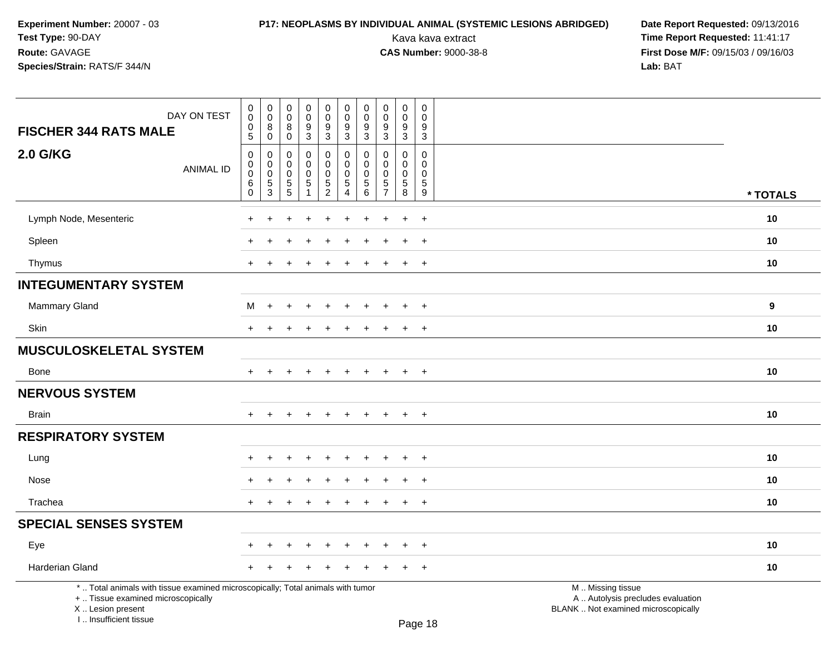# **P17: NEOPLASMS BY INDIVIDUAL ANIMAL (SYSTEMIC LESIONS ABRIDGED) Date Report Requested: 09/13/2016<br>Kava kava extract <b>Time Report Requested:** 11:41:17

| DAY ON TEST<br><b>FISCHER 344 RATS MALE</b>                                                                                                                         | $\pmb{0}$<br>$\pmb{0}$<br>$\pmb{0}$<br>$\overline{5}$                | $\pmb{0}$<br>0<br>8<br>$\mathbf 0$     | $\pmb{0}$<br>$\mathbf 0$<br>8<br>$\mathbf 0$                                       | $\pmb{0}$<br>$\mathbf 0$<br>$\frac{9}{3}$                                  | $\pmb{0}$<br>0<br>9<br>$\overline{3}$                  | $\pmb{0}$<br>$\pmb{0}$<br>9<br>$\overline{3}$ | $\pmb{0}$<br>$\mathbf 0$<br>9<br>3                                           | ${\bf 0}$<br>$\pmb{0}$<br>$\boldsymbol{9}$<br>$\overline{3}$              | $\pmb{0}$<br>$\mathbf 0$<br>9<br>$\mathbf{3}$    | $\pmb{0}$<br>$\Omega$<br>9<br>$\mathbf{3}$                               |                                                                                               |          |
|---------------------------------------------------------------------------------------------------------------------------------------------------------------------|----------------------------------------------------------------------|----------------------------------------|------------------------------------------------------------------------------------|----------------------------------------------------------------------------|--------------------------------------------------------|-----------------------------------------------|------------------------------------------------------------------------------|---------------------------------------------------------------------------|--------------------------------------------------|--------------------------------------------------------------------------|-----------------------------------------------------------------------------------------------|----------|
| <b>2.0 G/KG</b><br><b>ANIMAL ID</b>                                                                                                                                 | $\mathbf 0$<br>$\mathsf{O}\xspace$<br>0<br>$\,6\,$<br>$\overline{0}$ | $\mathbf 0$<br>0<br>0<br>$\frac{5}{3}$ | $\mathbf 0$<br>$\mathbf 0$<br>$\mathbf 0$<br>$\begin{array}{c} 5 \\ 5 \end{array}$ | $\mathbf 0$<br>$\mathbf 0$<br>$\mathbf 0$<br>$\,$ 5 $\,$<br>$\overline{1}$ | $\pmb{0}$<br>$\mathsf 0$<br>$\pmb{0}$<br>$\frac{5}{2}$ | 0<br>0<br>$\mathbf 0$<br>5<br>$\overline{4}$  | $\Omega$<br>$\Omega$<br>$\mathbf 0$<br>$\begin{array}{c} 5 \\ 6 \end{array}$ | $\mathbf{0}$<br>$\mathbf 0$<br>$\pmb{0}$<br>$\,$ 5 $\,$<br>$\overline{7}$ | 0<br>$\mathbf 0$<br>$\mathbf 0$<br>$\frac{5}{8}$ | $\Omega$<br>$\mathbf 0$<br>$\mathbf 0$<br>$\sqrt{5}$<br>$\boldsymbol{9}$ |                                                                                               | * TOTALS |
| Lymph Node, Mesenteric                                                                                                                                              | $\ddot{}$                                                            |                                        |                                                                                    | ÷.                                                                         |                                                        |                                               |                                                                              | ᅽ                                                                         | $\ddot{}$                                        | $+$                                                                      |                                                                                               | 10       |
| Spleen                                                                                                                                                              |                                                                      |                                        |                                                                                    |                                                                            |                                                        |                                               |                                                                              |                                                                           |                                                  | $\ddot{}$                                                                |                                                                                               | 10       |
| Thymus                                                                                                                                                              | $\ddot{}$                                                            |                                        |                                                                                    |                                                                            |                                                        |                                               |                                                                              |                                                                           | $\ddot{}$                                        | $+$                                                                      |                                                                                               | 10       |
| <b>INTEGUMENTARY SYSTEM</b>                                                                                                                                         |                                                                      |                                        |                                                                                    |                                                                            |                                                        |                                               |                                                                              |                                                                           |                                                  |                                                                          |                                                                                               |          |
| <b>Mammary Gland</b>                                                                                                                                                | м                                                                    | $\overline{+}$                         |                                                                                    | ÷                                                                          |                                                        |                                               |                                                                              |                                                                           | $\ddot{}$                                        | $+$                                                                      |                                                                                               | 9        |
| Skin                                                                                                                                                                | $+$                                                                  | $\pm$                                  |                                                                                    | $\div$                                                                     |                                                        | ÷                                             |                                                                              | $\div$                                                                    | $+$                                              | $+$                                                                      |                                                                                               | 10       |
| <b>MUSCULOSKELETAL SYSTEM</b>                                                                                                                                       |                                                                      |                                        |                                                                                    |                                                                            |                                                        |                                               |                                                                              |                                                                           |                                                  |                                                                          |                                                                                               |          |
| <b>Bone</b>                                                                                                                                                         | $+$                                                                  | $+$                                    | $\ddot{}$                                                                          | $+$                                                                        | $\ddot{}$                                              | $\ddot{}$                                     | $\ddot{}$                                                                    | $\ddot{}$                                                                 | $+$                                              | $+$                                                                      |                                                                                               | 10       |
| <b>NERVOUS SYSTEM</b>                                                                                                                                               |                                                                      |                                        |                                                                                    |                                                                            |                                                        |                                               |                                                                              |                                                                           |                                                  |                                                                          |                                                                                               |          |
| <b>Brain</b>                                                                                                                                                        | $+$                                                                  | $\div$                                 |                                                                                    | $\ddot{}$                                                                  |                                                        | $\ddot{}$                                     | $\pm$                                                                        | $\overline{+}$                                                            | $+$                                              | $+$                                                                      |                                                                                               | 10       |
| <b>RESPIRATORY SYSTEM</b>                                                                                                                                           |                                                                      |                                        |                                                                                    |                                                                            |                                                        |                                               |                                                                              |                                                                           |                                                  |                                                                          |                                                                                               |          |
| Lung                                                                                                                                                                |                                                                      |                                        |                                                                                    |                                                                            |                                                        |                                               |                                                                              |                                                                           |                                                  | $\ddot{}$                                                                |                                                                                               | 10       |
| Nose                                                                                                                                                                |                                                                      |                                        |                                                                                    |                                                                            |                                                        |                                               |                                                                              |                                                                           | +                                                | $\ddot{}$                                                                |                                                                                               | 10       |
| Trachea                                                                                                                                                             | $+$                                                                  | $+$                                    | $\ddot{}$                                                                          | $+$                                                                        | $\ddot{}$                                              | $\ddot{}$                                     | $+$                                                                          | $+$                                                                       | $+$                                              | $+$                                                                      |                                                                                               | 10       |
| <b>SPECIAL SENSES SYSTEM</b>                                                                                                                                        |                                                                      |                                        |                                                                                    |                                                                            |                                                        |                                               |                                                                              |                                                                           |                                                  |                                                                          |                                                                                               |          |
| Eye                                                                                                                                                                 |                                                                      |                                        |                                                                                    |                                                                            |                                                        |                                               |                                                                              |                                                                           | $\ddot{}$                                        | $+$                                                                      |                                                                                               | 10       |
| Harderian Gland                                                                                                                                                     | $\pm$                                                                |                                        |                                                                                    |                                                                            |                                                        |                                               |                                                                              |                                                                           | $\ddot{}$                                        | $+$                                                                      |                                                                                               | 10       |
| *  Total animals with tissue examined microscopically; Total animals with tumor<br>+  Tissue examined microscopically<br>X  Lesion present<br>I Insufficient tissue |                                                                      |                                        |                                                                                    |                                                                            |                                                        |                                               |                                                                              |                                                                           |                                                  | <b>Dogo 19</b>                                                           | M  Missing tissue<br>A  Autolysis precludes evaluation<br>BLANK  Not examined microscopically |          |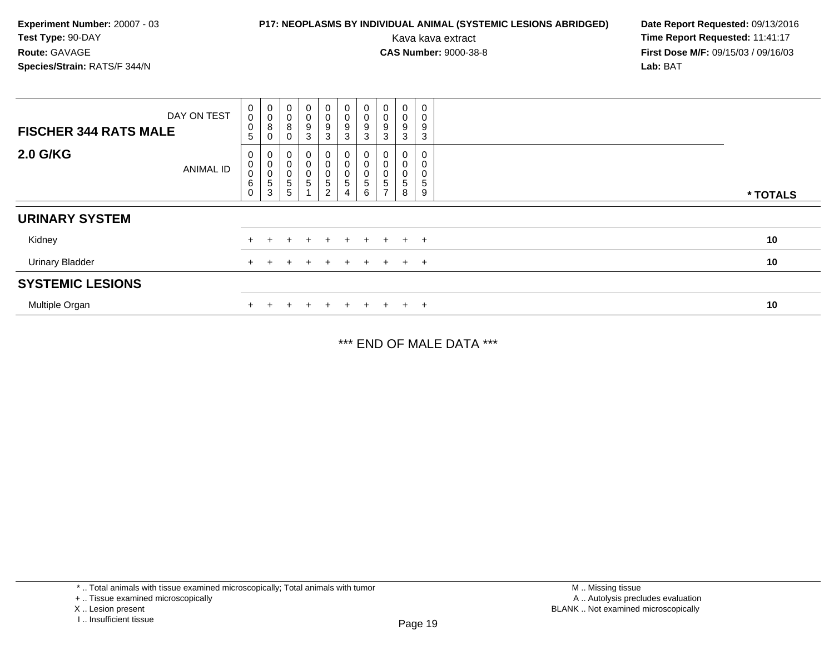### **P17: NEOPLASMS BY INDIVIDUAL ANIMAL (SYSTEMIC LESIONS ABRIDGED) Date Report Requested: 09/13/2016<br>Kava kava extract <b>Time Report Requested:** 11:41:17

Kava kava extract **Time Report Requested:** 11:41:17<br>**CAS Number:** 9000-38-8 **Time Report Requested:** 11:41:17 **First Dose M/F:** 09/15/03 / 09/16/03<br>**Lab:** BAT **Lab:** BAT

| DAY ON TEST<br><b>FISCHER 344 RATS MALE</b> | 0<br>0<br>$\,0\,$<br>5                            | $\pmb{0}$<br>$\pmb{0}$<br>8<br>0              | $\boldsymbol{0}$<br>$\mathbf 0$<br>$\bf 8$<br>$\pmb{0}$     | $\begin{array}{c} 0 \\ 0 \\ 9 \\ 3 \end{array}$ | $\begin{smallmatrix}0\0\0\end{smallmatrix}$<br>$\frac{9}{3}$ | $\mathbf 0$<br>$\pmb{0}$<br>$\boldsymbol{9}$<br>3 | $\begin{smallmatrix} 0\\0 \end{smallmatrix}$<br>$\boldsymbol{9}$<br>$\mathbf 3$ | $\begin{smallmatrix}0\0\0\end{smallmatrix}$<br>9<br>3 | $\pmb{0}$<br>$\pmb{0}$<br>9<br>$\mathbf{3}$ | 0<br>0<br>9<br>3               |          |
|---------------------------------------------|---------------------------------------------------|-----------------------------------------------|-------------------------------------------------------------|-------------------------------------------------|--------------------------------------------------------------|---------------------------------------------------|---------------------------------------------------------------------------------|-------------------------------------------------------|---------------------------------------------|--------------------------------|----------|
| <b>2.0 G/KG</b><br>ANIMAL ID                | 0<br>$\pmb{0}$<br>$\mathbf 0$<br>6<br>$\mathbf 0$ | $\cup$<br>$\mathbf 0$<br>0<br>$\sqrt{5}$<br>3 | 0<br>$\pmb{0}$<br>$\pmb{0}$<br>$\sqrt{5}$<br>$\overline{5}$ | 0<br>0<br>0<br>$\sqrt{5}$                       | 0<br>$\mathbf 0$<br>0<br>5<br>$\overline{c}$                 | $\mathbf 0$<br>$\mathbf 0$<br>$\sqrt{5}$<br>4     | $\mathbf 0$<br>$\boldsymbol{0}$<br>5<br>6                                       | 0<br>0<br>5                                           | 0<br>$\pmb{0}$<br>0<br>$\,$ 5 $\,$<br>8     | 0<br>0<br>$5\overline{)}$<br>9 | * TOTALS |
| <b>URINARY SYSTEM</b>                       |                                                   |                                               |                                                             |                                                 |                                                              |                                                   |                                                                                 |                                                       |                                             |                                |          |
| Kidney                                      |                                                   |                                               |                                                             |                                                 | $\pm$                                                        | $+$                                               | $+$                                                                             | $+$                                                   | $+$ $+$                                     |                                | 10       |
| <b>Urinary Bladder</b>                      | $+$                                               |                                               |                                                             |                                                 | $\ddot{}$                                                    | $+$                                               | $\pm$                                                                           | $+$                                                   |                                             | $+$ $+$                        | 10       |
| <b>SYSTEMIC LESIONS</b>                     |                                                   |                                               |                                                             |                                                 |                                                              |                                                   |                                                                                 |                                                       |                                             |                                |          |
| Multiple Organ                              |                                                   |                                               |                                                             |                                                 | $\div$                                                       | $\div$                                            | $\pm$                                                                           | $+$                                                   |                                             | $+$                            | 10       |

\*\*\* END OF MALE DATA \*\*\*

\* .. Total animals with tissue examined microscopically; Total animals with tumor

X .. Lesion present

<sup>+ ..</sup> Tissue examined microscopically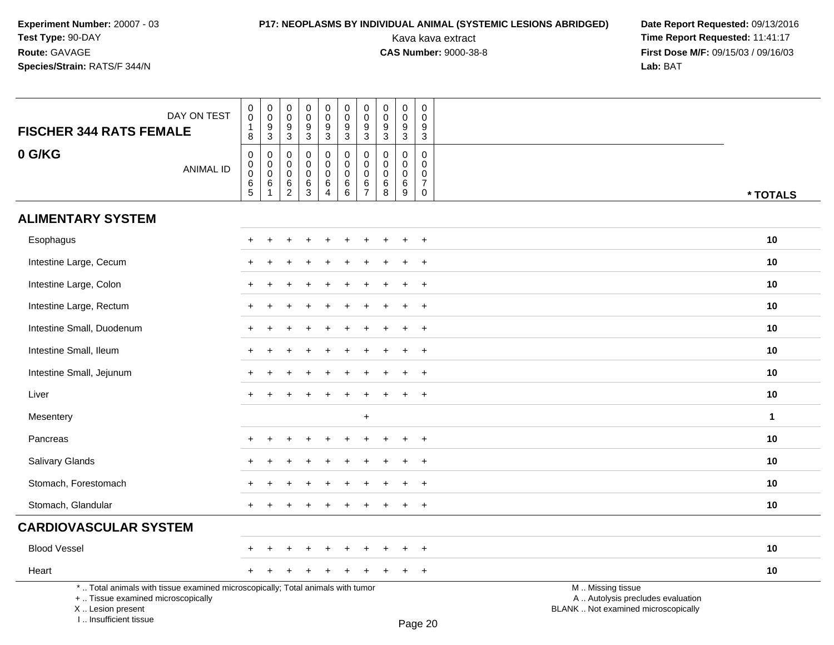I .. Insufficient tissue

# **P17: NEOPLASMS BY INDIVIDUAL ANIMAL (SYSTEMIC LESIONS ABRIDGED) Date Report Requested: 09/13/2016<br>Kava kava extract <b>Time Report Requested:** 11:41:17

Kava kava extract **Time Report Requested:** 11:41:17<br>**CAS Number:** 9000-38-8 **Time Report Requested:** 11:41:17 **First Dose M/F:** 09/15/03 / 09/16/03<br>Lab: BAT **Lab:** BAT

| DAY ON TEST                                                                                                                                | $\pmb{0}$<br>$\mathbf 0$<br>$\mathbf{1}$                  | $_{\rm 0}^{\rm 0}$                                     | $\pmb{0}$<br>$\mathbf 0$<br>$\boldsymbol{9}$                           | 0<br>$\mathbf 0$<br>9                           | $\pmb{0}$<br>$\overline{0}$                                          | $\pmb{0}$<br>$\overline{0}$                                | $_{\rm 0}^{\rm 0}$                                       | $\pmb{0}$<br>$\ddot{\mathbf{0}}$                      | $\pmb{0}$<br>$\mathbf 0$<br>$\boldsymbol{9}$              | $\pmb{0}$<br>$\Omega$<br>9                                               |                                                                                               |              |
|--------------------------------------------------------------------------------------------------------------------------------------------|-----------------------------------------------------------|--------------------------------------------------------|------------------------------------------------------------------------|-------------------------------------------------|----------------------------------------------------------------------|------------------------------------------------------------|----------------------------------------------------------|-------------------------------------------------------|-----------------------------------------------------------|--------------------------------------------------------------------------|-----------------------------------------------------------------------------------------------|--------------|
| <b>FISCHER 344 RATS FEMALE</b>                                                                                                             | $\overline{8}$                                            | $\frac{9}{3}$                                          | $\overline{3}$                                                         | $\overline{3}$                                  | $\frac{9}{3}$                                                        | $\frac{9}{3}$                                              | $\frac{9}{3}$                                            | $\frac{9}{3}$                                         | $\overline{3}$                                            | $\mathbf{3}$                                                             |                                                                                               |              |
| 0 G/KG<br><b>ANIMAL ID</b>                                                                                                                 | $\mathbf 0$<br>$\mathbf 0$<br>$\mathbf 0$<br>$\,6\,$<br>5 | $\pmb{0}$<br>$\overline{0}$<br>$\,6$<br>$\overline{1}$ | $\mathbf 0$<br>$\mathbf 0$<br>$\mathbf 0$<br>$\,6\,$<br>$\overline{2}$ | $\pmb{0}$<br>$\mathbf 0$<br>$\pmb{0}$<br>6<br>3 | $\mathbf 0$<br>$\mathbf 0$<br>$\pmb{0}$<br>$\,6\,$<br>$\overline{4}$ | $\pmb{0}$<br>$\overline{0}$<br>$\mathbf 0$<br>$\,6\,$<br>6 | 0<br>$\pmb{0}$<br>$\pmb{0}$<br>$\,6\,$<br>$\overline{7}$ | $\mathbf 0$<br>$\pmb{0}$<br>$\pmb{0}$<br>$\,6\,$<br>8 | $\mathbf 0$<br>$\mathbf 0$<br>$\mathbf 0$<br>$\,6\,$<br>9 | $\mathsf{O}\xspace$<br>0<br>$\mathbf 0$<br>$\overline{7}$<br>$\mathbf 0$ |                                                                                               | * TOTALS     |
| <b>ALIMENTARY SYSTEM</b>                                                                                                                   |                                                           |                                                        |                                                                        |                                                 |                                                                      |                                                            |                                                          |                                                       |                                                           |                                                                          |                                                                                               |              |
| Esophagus                                                                                                                                  |                                                           |                                                        |                                                                        |                                                 |                                                                      |                                                            |                                                          |                                                       |                                                           | $\overline{+}$                                                           |                                                                                               | 10           |
| Intestine Large, Cecum                                                                                                                     |                                                           |                                                        |                                                                        |                                                 |                                                                      |                                                            |                                                          |                                                       |                                                           | $\overline{+}$                                                           |                                                                                               | 10           |
| Intestine Large, Colon                                                                                                                     | +                                                         |                                                        |                                                                        |                                                 |                                                                      |                                                            |                                                          |                                                       |                                                           | $+$                                                                      |                                                                                               | 10           |
| Intestine Large, Rectum                                                                                                                    |                                                           |                                                        |                                                                        |                                                 |                                                                      |                                                            |                                                          |                                                       |                                                           | $\overline{+}$                                                           |                                                                                               | 10           |
| Intestine Small, Duodenum                                                                                                                  |                                                           |                                                        |                                                                        |                                                 |                                                                      |                                                            |                                                          |                                                       |                                                           | $\ddot{}$                                                                |                                                                                               | 10           |
| Intestine Small, Ileum                                                                                                                     |                                                           |                                                        |                                                                        |                                                 |                                                                      |                                                            |                                                          |                                                       |                                                           | $\overline{+}$                                                           |                                                                                               | 10           |
| Intestine Small, Jejunum                                                                                                                   |                                                           |                                                        |                                                                        |                                                 |                                                                      |                                                            |                                                          |                                                       |                                                           | $\overline{+}$                                                           |                                                                                               | 10           |
| Liver                                                                                                                                      | $+$                                                       |                                                        |                                                                        |                                                 |                                                                      |                                                            | $\div$                                                   |                                                       |                                                           | $+$                                                                      |                                                                                               | 10           |
| Mesentery                                                                                                                                  |                                                           |                                                        |                                                                        |                                                 |                                                                      |                                                            | $\ddot{}$                                                |                                                       |                                                           |                                                                          |                                                                                               | $\mathbf{1}$ |
| Pancreas                                                                                                                                   |                                                           |                                                        |                                                                        |                                                 |                                                                      |                                                            |                                                          |                                                       |                                                           | $\ddot{}$                                                                |                                                                                               | 10           |
| Salivary Glands                                                                                                                            |                                                           |                                                        |                                                                        |                                                 |                                                                      |                                                            |                                                          |                                                       | ÷                                                         | $+$                                                                      |                                                                                               | 10           |
| Stomach, Forestomach                                                                                                                       |                                                           |                                                        |                                                                        |                                                 |                                                                      |                                                            |                                                          |                                                       |                                                           | $\overline{+}$                                                           |                                                                                               | 10           |
| Stomach, Glandular                                                                                                                         |                                                           |                                                        |                                                                        |                                                 |                                                                      |                                                            |                                                          |                                                       |                                                           | $+$                                                                      |                                                                                               | 10           |
| <b>CARDIOVASCULAR SYSTEM</b>                                                                                                               |                                                           |                                                        |                                                                        |                                                 |                                                                      |                                                            |                                                          |                                                       |                                                           |                                                                          |                                                                                               |              |
| <b>Blood Vessel</b>                                                                                                                        |                                                           |                                                        |                                                                        |                                                 |                                                                      |                                                            |                                                          |                                                       |                                                           | $\ddot{}$                                                                |                                                                                               | 10           |
| Heart                                                                                                                                      |                                                           |                                                        |                                                                        |                                                 |                                                                      |                                                            |                                                          |                                                       |                                                           | $+$                                                                      |                                                                                               | 10           |
| *  Total animals with tissue examined microscopically; Total animals with tumor<br>+  Tissue examined microscopically<br>X  Lesion present |                                                           |                                                        |                                                                        |                                                 |                                                                      |                                                            |                                                          |                                                       |                                                           |                                                                          | M  Missing tissue<br>A  Autolysis precludes evaluation<br>BLANK  Not examined microscopically |              |

Page 20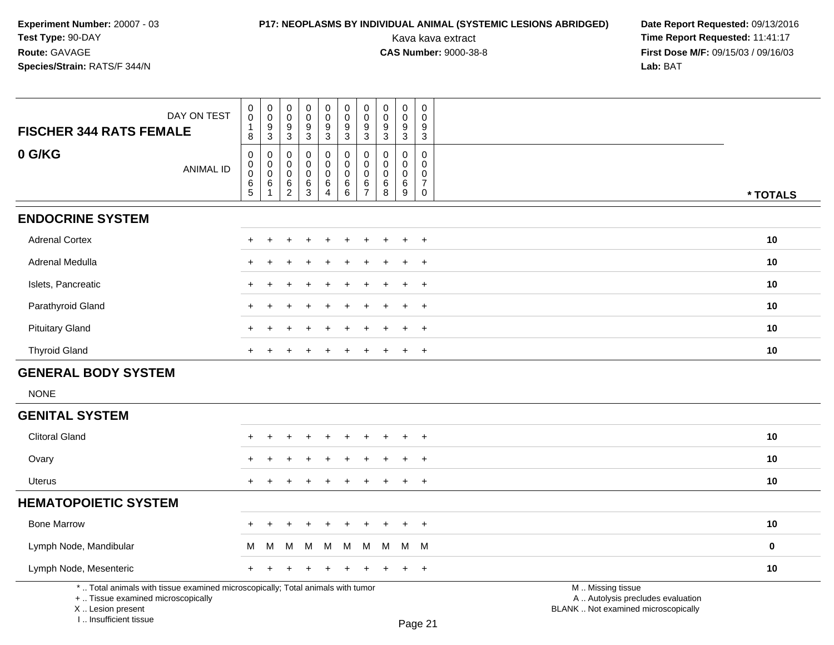# **P17: NEOPLASMS BY INDIVIDUAL ANIMAL (SYSTEMIC LESIONS ABRIDGED) Date Report Requested:** 09/13/2016

| DAY ON TEST<br><b>FISCHER 344 RATS FEMALE</b>                                                                                                                       | $\mathbf 0$<br>$\mathbf 0$<br>$\mathbf 1$<br>8        | $\begin{smallmatrix} 0\\0 \end{smallmatrix}$<br>$\frac{9}{3}$ | $\pmb{0}$<br>$\mathbf 0$<br>$\boldsymbol{9}$<br>$\mathbf{3}$     | $\mathbf 0$<br>$\mathsf{O}\xspace$<br>$\frac{9}{3}$ | $\pmb{0}$<br>$\mathbf 0$<br>$9\,$<br>$\mathbf{3}$                   | $\pmb{0}$<br>$\mathsf 0$<br>$\boldsymbol{9}$<br>$\sqrt{3}$           | $\mathbf 0$<br>$\mathbf 0$<br>$\boldsymbol{9}$<br>$\mathbf{3}$ | $\mathbf 0$<br>$\mathbf 0$<br>9<br>3   | $\mathbf 0$<br>$\pmb{0}$<br>9<br>$\mathbf{3}$            | $\pmb{0}$<br>$\mathbf 0$<br>9<br>$\sqrt{3}$                       |                                                                                               |  |
|---------------------------------------------------------------------------------------------------------------------------------------------------------------------|-------------------------------------------------------|---------------------------------------------------------------|------------------------------------------------------------------|-----------------------------------------------------|---------------------------------------------------------------------|----------------------------------------------------------------------|----------------------------------------------------------------|----------------------------------------|----------------------------------------------------------|-------------------------------------------------------------------|-----------------------------------------------------------------------------------------------|--|
| 0 G/KG<br><b>ANIMAL ID</b>                                                                                                                                          | $\mathbf 0$<br>0<br>$\mathsf{O}\xspace$<br>$6\over 5$ | 0<br>$\mathbf 0$<br>$\overline{0}$<br>6<br>$\mathbf{1}$       | $\mathbf 0$<br>$\mathbf 0$<br>$\mathbf 0$<br>6<br>$\overline{2}$ | $\mathbf 0$<br>$\mathbf 0$<br>$\mathbf 0$<br>$^6_3$ | $\mathbf 0$<br>$\Omega$<br>$\mathbf 0$<br>$\,6\,$<br>$\overline{4}$ | $\mathbf 0$<br>$\mathbf 0$<br>$\pmb{0}$<br>$\,6\,$<br>$\overline{6}$ | $\mathbf 0$<br>$\mathsf 0$<br>$\pmb{0}$<br>6<br>$\overline{7}$ | $\mathbf 0$<br>$\Omega$<br>0<br>6<br>8 | $\mathbf 0$<br>0<br>$\mathbf 0$<br>6<br>$\boldsymbol{9}$ | $\mathbf 0$<br>$\mathbf{0}$<br>0<br>$\overline{7}$<br>$\mathbf 0$ | * TOTALS                                                                                      |  |
| <b>ENDOCRINE SYSTEM</b>                                                                                                                                             |                                                       |                                                               |                                                                  |                                                     |                                                                     |                                                                      |                                                                |                                        |                                                          |                                                                   |                                                                                               |  |
| <b>Adrenal Cortex</b>                                                                                                                                               |                                                       |                                                               |                                                                  |                                                     |                                                                     |                                                                      |                                                                |                                        |                                                          | $\overline{1}$                                                    | 10                                                                                            |  |
| Adrenal Medulla                                                                                                                                                     | ÷                                                     |                                                               |                                                                  |                                                     |                                                                     |                                                                      |                                                                |                                        |                                                          | $\overline{1}$                                                    | 10                                                                                            |  |
| Islets, Pancreatic                                                                                                                                                  | $\ddot{}$                                             |                                                               |                                                                  |                                                     |                                                                     |                                                                      |                                                                |                                        |                                                          | $\overline{1}$                                                    | 10                                                                                            |  |
| Parathyroid Gland                                                                                                                                                   | ÷                                                     | $\div$                                                        |                                                                  |                                                     |                                                                     |                                                                      |                                                                |                                        | $+$                                                      | $\ddot{}$                                                         | 10                                                                                            |  |
| <b>Pituitary Gland</b>                                                                                                                                              | $\pm$                                                 |                                                               |                                                                  |                                                     |                                                                     |                                                                      |                                                                |                                        | $\pm$                                                    | $\overline{+}$                                                    | 10                                                                                            |  |
| <b>Thyroid Gland</b>                                                                                                                                                | $+$                                                   |                                                               |                                                                  |                                                     |                                                                     | $\ddot{}$                                                            |                                                                | $\ddot{}$                              | $+$                                                      | $\overline{+}$                                                    | 10                                                                                            |  |
| <b>GENERAL BODY SYSTEM</b>                                                                                                                                          |                                                       |                                                               |                                                                  |                                                     |                                                                     |                                                                      |                                                                |                                        |                                                          |                                                                   |                                                                                               |  |
| <b>NONE</b>                                                                                                                                                         |                                                       |                                                               |                                                                  |                                                     |                                                                     |                                                                      |                                                                |                                        |                                                          |                                                                   |                                                                                               |  |
| <b>GENITAL SYSTEM</b>                                                                                                                                               |                                                       |                                                               |                                                                  |                                                     |                                                                     |                                                                      |                                                                |                                        |                                                          |                                                                   |                                                                                               |  |
| <b>Clitoral Gland</b>                                                                                                                                               | ٠                                                     |                                                               |                                                                  |                                                     |                                                                     |                                                                      |                                                                |                                        |                                                          | $\overline{1}$                                                    | 10                                                                                            |  |
| Ovary                                                                                                                                                               |                                                       |                                                               |                                                                  |                                                     |                                                                     |                                                                      |                                                                |                                        |                                                          | $\pm$                                                             | 10                                                                                            |  |
| <b>Uterus</b>                                                                                                                                                       | $+$                                                   | $+$                                                           |                                                                  |                                                     |                                                                     |                                                                      |                                                                |                                        | $+$                                                      | $+$                                                               | 10                                                                                            |  |
| <b>HEMATOPOIETIC SYSTEM</b>                                                                                                                                         |                                                       |                                                               |                                                                  |                                                     |                                                                     |                                                                      |                                                                |                                        |                                                          |                                                                   |                                                                                               |  |
| <b>Bone Marrow</b>                                                                                                                                                  | $\ddot{}$                                             | $\pm$                                                         | $\ddot{}$                                                        | $\pm$                                               | $+$                                                                 | $\ddot{}$                                                            | $\ddot{}$                                                      | $\pm$                                  | $+$                                                      | $+$                                                               | 10                                                                                            |  |
| Lymph Node, Mandibular                                                                                                                                              | м                                                     | M                                                             | M                                                                | M                                                   | M                                                                   | М                                                                    | M                                                              | M                                      |                                                          | M M                                                               | $\pmb{0}$                                                                                     |  |
| Lymph Node, Mesenteric                                                                                                                                              | $+$                                                   | $\pm$                                                         | $\div$                                                           |                                                     |                                                                     |                                                                      |                                                                |                                        | $+$                                                      | $+$                                                               | 10                                                                                            |  |
| *  Total animals with tissue examined microscopically; Total animals with tumor<br>+  Tissue examined microscopically<br>X  Lesion present<br>I Insufficient tissue |                                                       |                                                               |                                                                  |                                                     |                                                                     |                                                                      |                                                                |                                        |                                                          | $D_{200}$ $21$                                                    | M  Missing tissue<br>A  Autolysis precludes evaluation<br>BLANK  Not examined microscopically |  |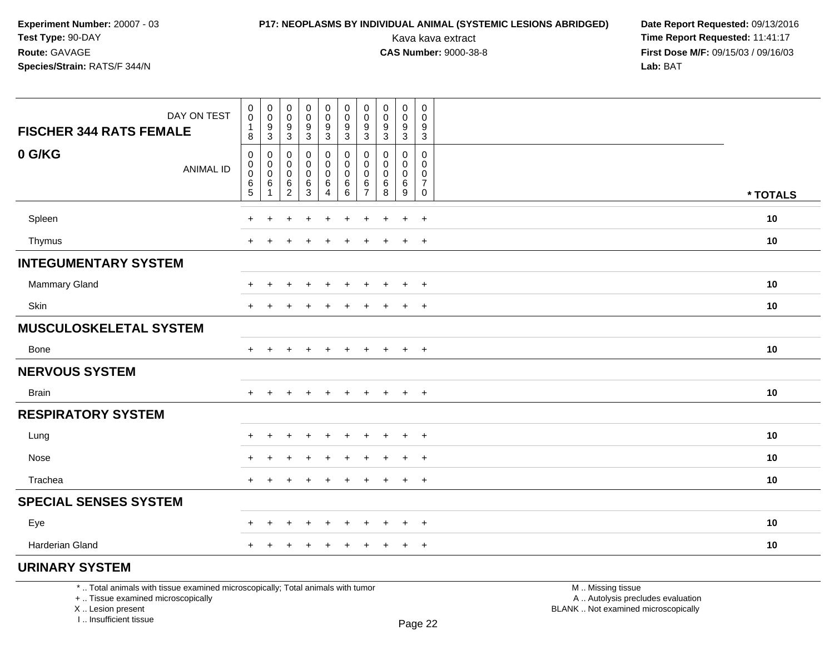# **P17: NEOPLASMS BY INDIVIDUAL ANIMAL (SYSTEMIC LESIONS ABRIDGED) Date Report Requested: 09/13/2016<br>Kava kava extract <b>Time Report Requested:** 11:41:17

Kava kava extract **Time Report Requested:** 11:41:17<br>**CAS Number:** 9000-38-8 **Time Report Requested:** 11:41:17 **First Dose M/F:** 09/15/03 / 09/16/03<br>**Lab:** BAT **Lab:** BAT

| DAY ON TEST<br><b>FISCHER 344 RATS FEMALE</b> | $\begin{smallmatrix} 0\\0 \end{smallmatrix}$<br>1<br>8   | $\begin{smallmatrix} 0\\0 \end{smallmatrix}$<br>$\frac{9}{3}$ | $\begin{smallmatrix}0\\0\end{smallmatrix}$<br>$\boldsymbol{9}$<br>$\mathbf{3}$ | $\begin{smallmatrix}0\0\0\end{smallmatrix}$<br>$\frac{9}{3}$ | $_{\rm 0}^{\rm 0}$<br>$\frac{9}{3}$ | $\begin{smallmatrix} 0\\0 \end{smallmatrix}$<br>$\frac{9}{3}$ | 0<br>0<br>9<br>$\mathbf{3}$        | $\boldsymbol{0}$<br>$\overline{0}$<br>$\frac{9}{3}$ | 0<br>$\mathbf 0$<br>$\boldsymbol{9}$<br>$\sqrt{3}$ | 0<br>$\mathbf 0$<br>9<br>3         |          |  |
|-----------------------------------------------|----------------------------------------------------------|---------------------------------------------------------------|--------------------------------------------------------------------------------|--------------------------------------------------------------|-------------------------------------|---------------------------------------------------------------|------------------------------------|-----------------------------------------------------|----------------------------------------------------|------------------------------------|----------|--|
| 0 G/KG<br><b>ANIMAL ID</b>                    | $\pmb{0}$<br>$\boldsymbol{0}$<br>$\pmb{0}$<br>$6\over 5$ | $\boldsymbol{0}$<br>$\mathbf 0$<br>$\pmb{0}$<br>6<br>-1       | 0<br>$\mathbf 0$<br>0<br>$\,6$<br>$\overline{c}$                               | 0<br>$\mathbf 0$<br>0<br>$^6_3$                              | 0<br>0<br>0<br>6<br>4               | $\pmb{0}$<br>$\mathbf 0$<br>$\pmb{0}$<br>$^6_6$               | 0<br>0<br>0<br>6<br>$\overline{7}$ | 0<br>$\mathbf 0$<br>$\mathbf 0$<br>6<br>8           | 0<br>0<br>$\mathbf 0$<br>$\,6$<br>$\overline{9}$   | 0<br>0<br>0<br>$\overline{7}$<br>0 | * TOTALS |  |
| Spleen                                        | $\ddot{}$                                                | $\ddot{}$                                                     | ÷                                                                              | $+$                                                          | $\ddot{}$                           | $\ddot{}$                                                     | $+$                                | $\div$                                              | $+$                                                | $+$                                | 10       |  |
| Thymus                                        | $\ddot{}$                                                | +                                                             |                                                                                | ٠                                                            |                                     | ٠                                                             |                                    |                                                     | $\ddot{}$                                          | $+$                                | 10       |  |
| <b>INTEGUMENTARY SYSTEM</b>                   |                                                          |                                                               |                                                                                |                                                              |                                     |                                                               |                                    |                                                     |                                                    |                                    |          |  |
| Mammary Gland                                 | $\ddot{}$                                                | +                                                             | ÷.                                                                             | $\ddot{}$                                                    | $\ddot{}$                           | $\ddot{}$                                                     | $\pm$                              | $\overline{ }$                                      | $\ddot{}$                                          | $+$                                | 10       |  |
| Skin                                          | $\ddot{}$                                                |                                                               |                                                                                |                                                              |                                     |                                                               |                                    |                                                     | $\ddot{}$                                          | $\overline{+}$                     | 10       |  |
| <b>MUSCULOSKELETAL SYSTEM</b>                 |                                                          |                                                               |                                                                                |                                                              |                                     |                                                               |                                    |                                                     |                                                    |                                    |          |  |
| Bone                                          | $\pm$                                                    |                                                               |                                                                                | $\ddot{}$                                                    | $\div$                              | $\ddot{}$                                                     | $\pm$                              | $\ddot{}$                                           | $\ddot{}$                                          | $+$                                | 10       |  |
| <b>NERVOUS SYSTEM</b>                         |                                                          |                                                               |                                                                                |                                                              |                                     |                                                               |                                    |                                                     |                                                    |                                    |          |  |
| <b>Brain</b>                                  | $+$                                                      | $\ddot{}$                                                     | $\ddot{}$                                                                      | $\ddot{}$                                                    | $\ddot{}$                           | $\ddot{}$                                                     | $\ddot{}$                          | $+$                                                 | $+$                                                | $+$                                | 10       |  |
| <b>RESPIRATORY SYSTEM</b>                     |                                                          |                                                               |                                                                                |                                                              |                                     |                                                               |                                    |                                                     |                                                    |                                    |          |  |
| Lung                                          | $\ddot{}$                                                | +                                                             | $\ddot{}$                                                                      | $\ddot{}$                                                    |                                     | ÷                                                             |                                    |                                                     | $\ddot{}$                                          | $+$                                | 10       |  |
| Nose                                          | $\ddot{}$                                                | +                                                             |                                                                                |                                                              |                                     |                                                               |                                    |                                                     | $\ddot{}$                                          | $\ddot{}$                          | 10       |  |
| Trachea                                       | $+$                                                      |                                                               |                                                                                |                                                              |                                     |                                                               |                                    |                                                     | $\ddot{}$                                          | $+$                                | 10       |  |
| <b>SPECIAL SENSES SYSTEM</b>                  |                                                          |                                                               |                                                                                |                                                              |                                     |                                                               |                                    |                                                     |                                                    |                                    |          |  |
| Eye                                           | $+$                                                      | $\ddot{}$                                                     | $\ddot{}$                                                                      | $\overline{+}$                                               | $\ddot{}$                           | +                                                             | $\ddot{}$                          | $\pm$                                               | $\ddot{}$                                          | $+$                                | 10       |  |
| <b>Harderian Gland</b>                        | $\ddot{}$                                                | +                                                             |                                                                                | $\ddot{}$                                                    |                                     | $\div$                                                        | ٠                                  | $\pm$                                               | $\ddot{}$                                          | $+$                                | 10       |  |
| <b>URINARY SYSTEM</b>                         |                                                          |                                                               |                                                                                |                                                              |                                     |                                                               |                                    |                                                     |                                                    |                                    |          |  |

\* .. Total animals with tissue examined microscopically; Total animals with tumor

+ .. Tissue examined microscopically

 Lesion present BLANK .. Not examined microscopicallyX .. Lesion present

I .. Insufficient tissue

 M .. Missing tissuey the contract of the contract of the contract of the contract of the contract of  $\mathsf A$  . Autolysis precludes evaluation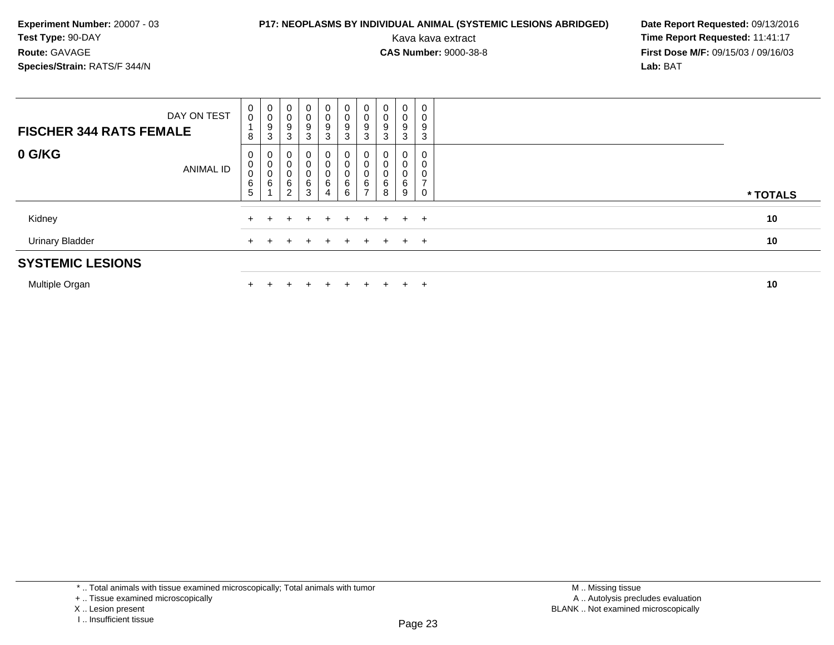### **P17: NEOPLASMS BY INDIVIDUAL ANIMAL (SYSTEMIC LESIONS ABRIDGED) Date Report Requested: 09/13/2016<br>Kava kava extract <b>Time Report Requested:** 11:41:17

Kava kava extract **Time Report Requested:** 11:41:17<br>**CAS Number:** 9000-38-8 **Time Report Requested:** 11:41:17 **First Dose M/F:** 09/15/03 / 09/16/03<br>**Lab:** BAT **Lab:** BAT

| <b>SYSTEMIC LESIONS</b>        |                  |                                   |                  |                                            |                                          |                                                                   |                                                      |                               |        |                             |                  |          |
|--------------------------------|------------------|-----------------------------------|------------------|--------------------------------------------|------------------------------------------|-------------------------------------------------------------------|------------------------------------------------------|-------------------------------|--------|-----------------------------|------------------|----------|
| <b>Urinary Bladder</b>         |                  |                                   |                  |                                            |                                          |                                                                   |                                                      |                               |        |                             | $+$ $+$          | 10       |
| Kidney                         |                  |                                   |                  |                                            |                                          | $+$ $+$                                                           | $+$                                                  | $+$                           | $+$    |                             | $+$ $+$          | 10       |
|                                | <b>ANIMAL ID</b> | $\pmb{0}$<br>$6\phantom{1}6$<br>5 | 6                | 0<br>6<br>2                                | 0<br>6<br>$\mathbf{3}$                   | $\begin{smallmatrix}0\0\0\0\0\end{smallmatrix}$<br>$\overline{4}$ | $\begin{matrix} 0 \\ 0 \\ 6 \end{matrix}$<br>$\,6\,$ | 6                             | 6<br>8 | U<br>6<br>9                 | 0<br>0           | * TOTALS |
| 0 G/KG                         |                  | 0<br>0                            | υ                |                                            | 0<br>U                                   |                                                                   | $\mathbf 0$                                          | 0<br>0                        |        | 0<br>0                      | 0<br>0           |          |
| <b>FISCHER 344 RATS FEMALE</b> | DAY ON TEST      | 0<br>$\mathbf 0$<br>8             | 0<br>U<br>9<br>3 | 0<br>0<br>$\boldsymbol{9}$<br>$\mathbf{3}$ | $\overline{0}$<br>0<br>9<br>$\mathbf{3}$ | $\overline{0}$<br>$\begin{array}{c} 0 \\ 9 \\ 3 \end{array}$      | $\mathbf 0$<br>$_{9}^{\rm 0}$<br>3                   | $\overline{0}$<br>0<br>9<br>3 | 0<br>3 | $\mathbf{0}$<br>0<br>9<br>3 | 0<br>0<br>9<br>3 |          |

Multiple Organn  $+$ 

<sup>+</sup> <sup>+</sup> <sup>+</sup> <sup>+</sup> <sup>+</sup> <sup>+</sup> <sup>+</sup> <sup>+</sup> <sup>+</sup> **<sup>10</sup>**

\* .. Total animals with tissue examined microscopically; Total animals with tumor

+ .. Tissue examined microscopically

X .. Lesion present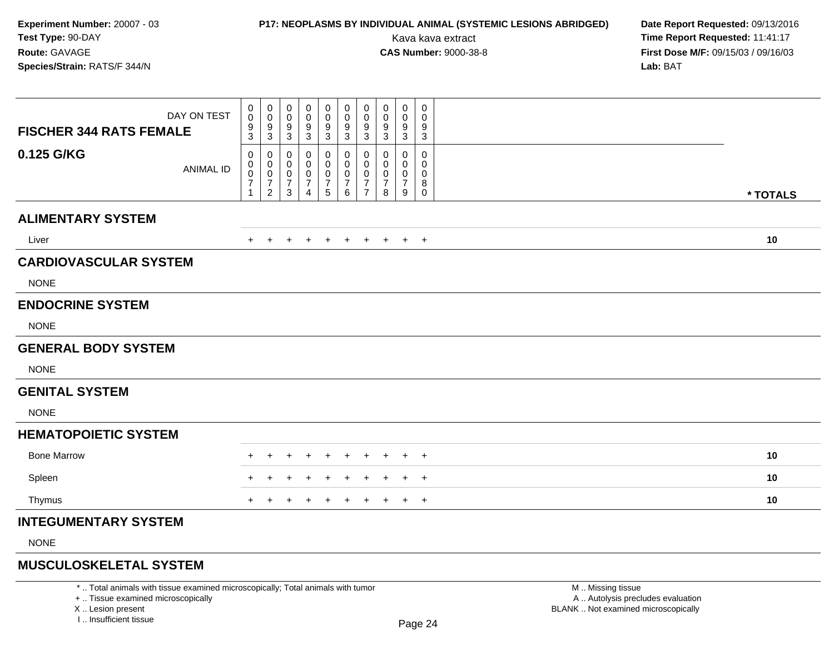### **P17: NEOPLASMS BY INDIVIDUAL ANIMAL (SYSTEMIC LESIONS ABRIDGED) Date Report Requested: 09/13/2016<br>Kava kava extract <b>Time Report Requested:** 11:41:17

Kava kava extract **Time Report Requested:** 11:41:17<br>**CAS Number:** 9000-38-8 **Time Report Requested:** 11:41:17 **First Dose M/F:** 09/15/03 / 09/16/03<br>**Lab:** BAT **Lab:** BAT

| <b>FISCHER 344 RATS FEMALE</b> | DAY ON TEST      | 0<br>0<br>$\boldsymbol{9}$<br>3                    | 0<br>$\mathbf 0$<br>$9\,$<br>$\mathbf{3}$                                      | 0<br>$\mathbf 0$<br>9<br>$\mathbf{3}$                   | 0<br>0<br>9<br>$\mathbf{3}$                     | 0<br>0<br>9<br>$\sqrt{3}$                                       | 0<br>$\pmb{0}$<br>$\boldsymbol{9}$<br>$\sqrt{3}$ | 0<br>0<br>9<br>$\mathbf{3}$                                         | 0<br>$\mathbf 0$<br>9<br>3         | 0<br>0<br>9<br>3                   | 0<br>$\mathbf 0$<br>9<br>$\mathbf 3$    |          |
|--------------------------------|------------------|----------------------------------------------------|--------------------------------------------------------------------------------|---------------------------------------------------------|-------------------------------------------------|-----------------------------------------------------------------|--------------------------------------------------|---------------------------------------------------------------------|------------------------------------|------------------------------------|-----------------------------------------|----------|
| 0.125 G/KG                     | <b>ANIMAL ID</b> | 0<br>$\mathsf{O}$<br>$\frac{0}{7}$<br>$\mathbf{1}$ | 0<br>$\pmb{0}$<br>$\begin{smallmatrix}0\\7\end{smallmatrix}$<br>$\overline{2}$ | 0<br>0<br>$\mathbf 0$<br>$\overline{7}$<br>$\mathbf{3}$ | 0<br>0<br>0<br>$\overline{7}$<br>$\overline{a}$ | 0<br>$\mathbf 0$<br>$\pmb{0}$<br>$\boldsymbol{7}$<br>$\sqrt{5}$ | 0<br>0<br>$\frac{0}{7}$<br>$\,6\,$               | 0<br>$\mathbf 0$<br>$\mathbf 0$<br>$\overline{7}$<br>$\overline{7}$ | 0<br>0<br>0<br>$\overline{7}$<br>8 | 0<br>0<br>0<br>$\overline{7}$<br>9 | 0<br>0<br>0<br>8<br>$\mathsf{O}\xspace$ | * TOTALS |
| <b>ALIMENTARY SYSTEM</b>       |                  |                                                    |                                                                                |                                                         |                                                 |                                                                 |                                                  |                                                                     |                                    |                                    |                                         |          |
| Liver                          |                  | $+$                                                | $+$                                                                            | $+$                                                     | $\pm$                                           | $+$                                                             | $+$                                              | $+$                                                                 | $+$                                |                                    | $+$ $+$                                 | 10       |
| <b>CARDIOVASCULAR SYSTEM</b>   |                  |                                                    |                                                                                |                                                         |                                                 |                                                                 |                                                  |                                                                     |                                    |                                    |                                         |          |
| <b>NONE</b>                    |                  |                                                    |                                                                                |                                                         |                                                 |                                                                 |                                                  |                                                                     |                                    |                                    |                                         |          |
| <b>ENDOCRINE SYSTEM</b>        |                  |                                                    |                                                                                |                                                         |                                                 |                                                                 |                                                  |                                                                     |                                    |                                    |                                         |          |
| <b>NONE</b>                    |                  |                                                    |                                                                                |                                                         |                                                 |                                                                 |                                                  |                                                                     |                                    |                                    |                                         |          |
| <b>GENERAL BODY SYSTEM</b>     |                  |                                                    |                                                                                |                                                         |                                                 |                                                                 |                                                  |                                                                     |                                    |                                    |                                         |          |
| <b>NONE</b>                    |                  |                                                    |                                                                                |                                                         |                                                 |                                                                 |                                                  |                                                                     |                                    |                                    |                                         |          |
| <b>GENITAL SYSTEM</b>          |                  |                                                    |                                                                                |                                                         |                                                 |                                                                 |                                                  |                                                                     |                                    |                                    |                                         |          |
| <b>NONE</b>                    |                  |                                                    |                                                                                |                                                         |                                                 |                                                                 |                                                  |                                                                     |                                    |                                    |                                         |          |
| <b>HEMATOPOIETIC SYSTEM</b>    |                  |                                                    |                                                                                |                                                         |                                                 |                                                                 |                                                  |                                                                     |                                    |                                    |                                         |          |
| <b>Bone Marrow</b>             |                  | ÷                                                  |                                                                                |                                                         |                                                 | $\pm$                                                           | $\div$                                           | $\pm$                                                               | $\pm$                              | $+$                                | $+$                                     | 10       |
| Spleen                         |                  |                                                    |                                                                                |                                                         |                                                 |                                                                 |                                                  |                                                                     |                                    | $\pm$                              | $\overline{+}$                          | 10       |
| Thymus                         |                  | $+$                                                | $+$                                                                            | $\pm$                                                   | $\pm$                                           | $+$                                                             | $+$                                              | $\overline{+}$                                                      | $\ddot{}$                          |                                    | $+$ $+$                                 | 10       |
| <b>INTEGUMENTARY SYSTEM</b>    |                  |                                                    |                                                                                |                                                         |                                                 |                                                                 |                                                  |                                                                     |                                    |                                    |                                         |          |
| <b>NONE</b>                    |                  |                                                    |                                                                                |                                                         |                                                 |                                                                 |                                                  |                                                                     |                                    |                                    |                                         |          |
|                                |                  |                                                    |                                                                                |                                                         |                                                 |                                                                 |                                                  |                                                                     |                                    |                                    |                                         |          |

### **MUSCULOSKELETAL SYSTEM**

\* .. Total animals with tissue examined microscopically; Total animals with tumor

+ .. Tissue examined microscopically

X .. Lesion present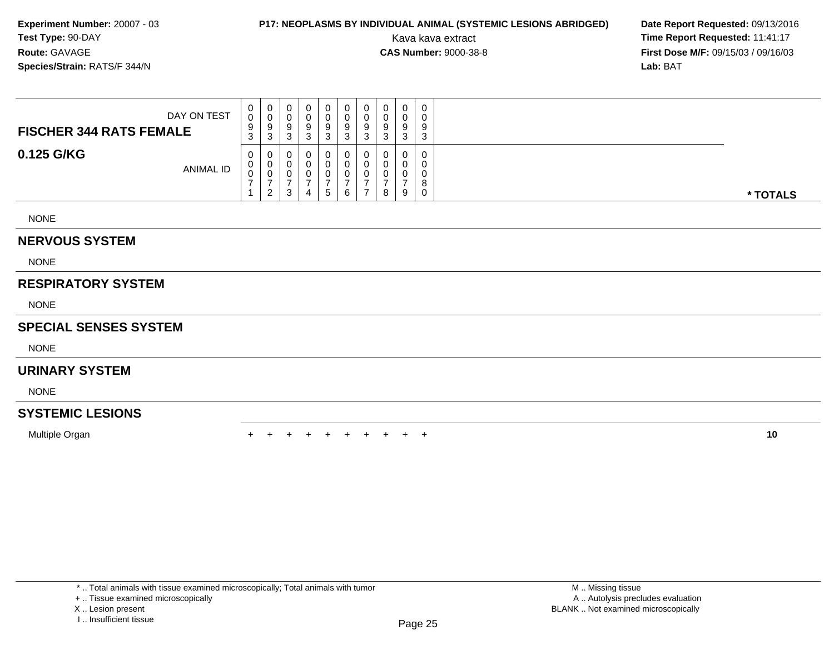### **P17: NEOPLASMS BY INDIVIDUAL ANIMAL (SYSTEMIC LESIONS ABRIDGED) Date Report Requested: 09/13/2016<br>Kava kava extract <b>Time Report Requested:** 11:41:17

Kava kava extract **Time Report Requested:** 11:41:17<br>**CAS Number:** 9000-38-8 **Time Report Requested:** 11:41:17 **First Dose M/F:** 09/15/03 / 09/16/03<br>**Lab:** BAT **Lab:** BAT

| DAY ON TEST<br><b>FISCHER 344 RATS FEMALE</b> | $\mathbf{0}$<br>0<br>9<br>3 | $\mathbf 0$<br>v<br>9<br>3   | 0<br>υ<br>9<br>⌒<br>ັ | -0<br>g<br>۰J | 0<br>0<br>9<br>3  | υ<br>9<br>◠<br>ບ | 0<br>0<br>9<br>3   | 0<br>U<br>9<br>3 | $\Omega$<br>વ<br>×. | ົ<br>C. |
|-----------------------------------------------|-----------------------------|------------------------------|-----------------------|---------------|-------------------|------------------|--------------------|------------------|---------------------|---------|
| 0.125 G/KG<br><b>ANIMAL ID</b>                | 0<br>0<br>0                 | 0<br>υ<br>U<br>2<br><u>_</u> | 0<br>U<br>υ<br>ົ<br>ت | $\Delta$      | 0<br>0<br>0<br>5. | U<br>6           | 0<br>0<br><b>U</b> | 0<br>0<br>U<br>8 | 9                   | ν       |

NONE

#### **NERVOUS SYSTEM**

NONE

### **RESPIRATORY SYSTEM**

NONE

#### **SPECIAL SENSES SYSTEM**

NONE

### **URINARY SYSTEM**

NONE

### **SYSTEMIC LESIONS**

Multiple Organ

n  $+$ <sup>+</sup> <sup>+</sup> <sup>+</sup> <sup>+</sup> <sup>+</sup> <sup>+</sup> <sup>+</sup> <sup>+</sup> <sup>+</sup> **<sup>10</sup>**

\* .. Total animals with tissue examined microscopically; Total animals with tumor

+ .. Tissue examined microscopically

X .. Lesion present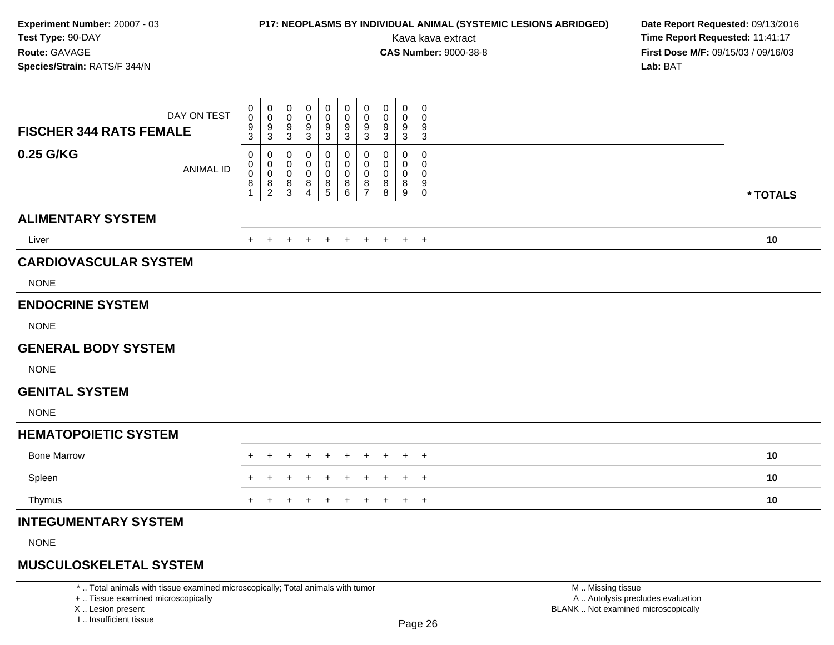### **P17: NEOPLASMS BY INDIVIDUAL ANIMAL (SYSTEMIC LESIONS ABRIDGED) Date Report Requested: 09/13/2016<br>Kava kava extract <b>Time Report Requested:** 11:41:17

Kava kava extract **Time Report Requested:** 11:41:17<br>**CAS Number:** 9000-38-8 **Time Report Requested:** 11:41:17 **First Dose M/F:** 09/15/03 / 09/16/03<br>**Lab:** BAT **Lab:** BAT

| <b>FISCHER 344 RATS FEMALE</b> | DAY ON TEST      | $\mathbf 0$<br>$\mathbf 0$<br>$9\,$<br>3         | 0<br>$\mathsf{O}$<br>9<br>$\mathbf{3}$                                  | $\mathbf 0$<br>0<br>9<br>$\mathbf{3}$                              | 0<br>0<br>9<br>$\mathsf 3$                   | 0<br>$\mathbf 0$<br>9<br>$\sqrt{3}$                | 0<br>$\pmb{0}$<br>$\boldsymbol{9}$<br>3 | 0<br>$\mathbf 0$<br>9<br>$\mathbf{3}$                  | 0<br>0<br>9<br>$\mathbf{3}$ | 0<br>0<br>9<br>$\mathbf{3}$          | 0<br>0<br>9<br>$\sqrt{3}$               |          |  |
|--------------------------------|------------------|--------------------------------------------------|-------------------------------------------------------------------------|--------------------------------------------------------------------|----------------------------------------------|----------------------------------------------------|-----------------------------------------|--------------------------------------------------------|-----------------------------|--------------------------------------|-----------------------------------------|----------|--|
| 0.25 G/KG                      | <b>ANIMAL ID</b> | 0<br>0<br>$\mathbf 0$<br>$\bf 8$<br>$\mathbf{1}$ | 0<br>0<br>$\mathbf 0$<br>$\begin{smallmatrix} 8 \\ 2 \end{smallmatrix}$ | $\mathbf 0$<br>$\mathbf 0$<br>$\mathbf 0$<br>$\,8\,$<br>$\sqrt{3}$ | 0<br>0<br>$\mathbf 0$<br>8<br>$\overline{4}$ | 0<br>0<br>$\mathbf 0$<br>$\,8\,$<br>$\overline{5}$ | 0<br>0<br>$\pmb{0}$<br>$\bf 8$<br>6     | 0<br>$\mathbf 0$<br>$\mathbf 0$<br>8<br>$\overline{7}$ | 0<br>0<br>0<br>8<br>8       | 0<br>0<br>0<br>8<br>$\boldsymbol{9}$ | 0<br>0<br>$\mathbf 0$<br>9<br>$\pmb{0}$ | * TOTALS |  |
| <b>ALIMENTARY SYSTEM</b>       |                  |                                                  |                                                                         |                                                                    |                                              |                                                    |                                         |                                                        |                             |                                      |                                         |          |  |
| Liver                          |                  | $+$                                              | $+$                                                                     | $\pm$                                                              | $\ddot{}$                                    | $+$                                                | $+$                                     | $+$                                                    | $+$                         |                                      | $+$ $+$                                 | 10       |  |
| <b>CARDIOVASCULAR SYSTEM</b>   |                  |                                                  |                                                                         |                                                                    |                                              |                                                    |                                         |                                                        |                             |                                      |                                         |          |  |
| <b>NONE</b>                    |                  |                                                  |                                                                         |                                                                    |                                              |                                                    |                                         |                                                        |                             |                                      |                                         |          |  |
| <b>ENDOCRINE SYSTEM</b>        |                  |                                                  |                                                                         |                                                                    |                                              |                                                    |                                         |                                                        |                             |                                      |                                         |          |  |
| <b>NONE</b>                    |                  |                                                  |                                                                         |                                                                    |                                              |                                                    |                                         |                                                        |                             |                                      |                                         |          |  |
| <b>GENERAL BODY SYSTEM</b>     |                  |                                                  |                                                                         |                                                                    |                                              |                                                    |                                         |                                                        |                             |                                      |                                         |          |  |
| <b>NONE</b>                    |                  |                                                  |                                                                         |                                                                    |                                              |                                                    |                                         |                                                        |                             |                                      |                                         |          |  |
| <b>GENITAL SYSTEM</b>          |                  |                                                  |                                                                         |                                                                    |                                              |                                                    |                                         |                                                        |                             |                                      |                                         |          |  |
| <b>NONE</b>                    |                  |                                                  |                                                                         |                                                                    |                                              |                                                    |                                         |                                                        |                             |                                      |                                         |          |  |
| <b>HEMATOPOIETIC SYSTEM</b>    |                  |                                                  |                                                                         |                                                                    |                                              |                                                    |                                         |                                                        |                             |                                      |                                         |          |  |
| <b>Bone Marrow</b>             |                  | $\pm$                                            | $\pm$                                                                   | $\pm$                                                              | +                                            | $\overline{+}$                                     | $^{+}$                                  | $+$                                                    | $\ddot{}$                   |                                      | $+$ $+$                                 | 10       |  |
| Spleen                         |                  |                                                  |                                                                         |                                                                    |                                              |                                                    |                                         |                                                        |                             | +                                    | $\overline{+}$                          | 10       |  |
| Thymus                         |                  | $+$                                              |                                                                         |                                                                    |                                              | ÷                                                  | $\ddot{}$                               | $\pm$                                                  | $\pm$                       | $+$                                  | $\overline{+}$                          | 10       |  |
| <b>INTEGUMENTARY SYSTEM</b>    |                  |                                                  |                                                                         |                                                                    |                                              |                                                    |                                         |                                                        |                             |                                      |                                         |          |  |
| <b>NONE</b>                    |                  |                                                  |                                                                         |                                                                    |                                              |                                                    |                                         |                                                        |                             |                                      |                                         |          |  |
|                                |                  |                                                  |                                                                         |                                                                    |                                              |                                                    |                                         |                                                        |                             |                                      |                                         |          |  |

### **MUSCULOSKELETAL SYSTEM**

\* .. Total animals with tissue examined microscopically; Total animals with tumor

+ .. Tissue examined microscopically

X .. Lesion present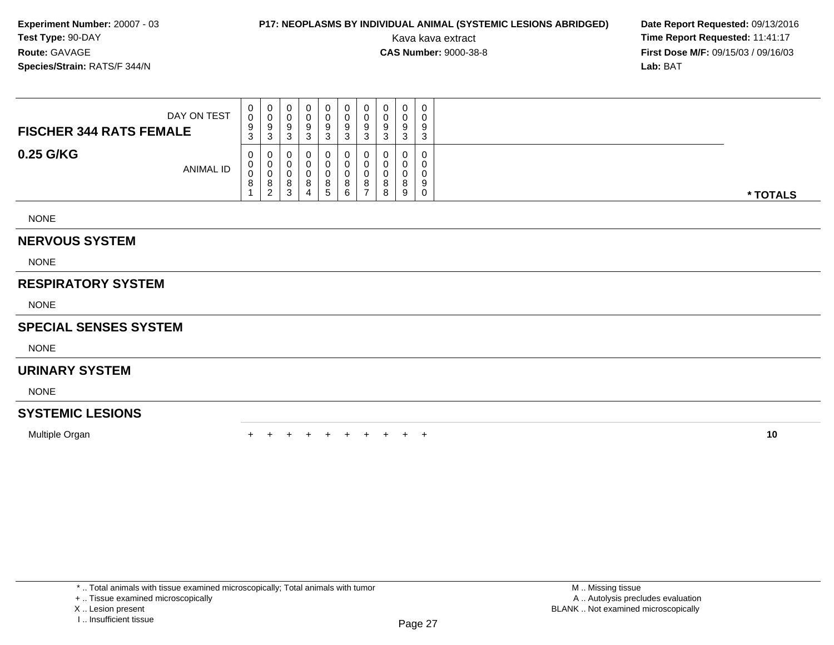### **P17: NEOPLASMS BY INDIVIDUAL ANIMAL (SYSTEMIC LESIONS ABRIDGED) Date Report Requested: 09/13/2016<br>Kava kava extract <b>Time Report Requested:** 11:41:17

Kava kava extract **Time Report Requested:** 11:41:17<br>**CAS Number:** 9000-38-8 **Time Report Requested:** 11:41:17 **First Dose M/F:** 09/15/03 / 09/16/03<br>**Lab:** BAT **Lab:** BAT

| DAY ON TEST<br><b>FISCHER 344 RATS FEMALE</b> | 0<br>0<br>9<br>3 | $\mathbf{0}$<br>v<br>9<br>3  | 0<br>U<br>9<br>◠<br>ື                 | -0 | 0<br>0<br>9<br>3                  | υ<br>9      | 0<br>0<br>9<br>3 | 0<br>U<br>9<br>◡      |         | $\sim$ |          |
|-----------------------------------------------|------------------|------------------------------|---------------------------------------|----|-----------------------------------|-------------|------------------|-----------------------|---------|--------|----------|
| 0.25 G/KG<br><b>ANIMAL ID</b>                 | 0<br>0<br>0<br>8 | 0<br>U<br>ν<br>8<br>$\Omega$ | 0<br>0<br>υ<br>8<br><sup>o</sup><br>ບ |    | 0<br>$\mathbf{0}$<br>0<br>8<br>b. | 0<br>8<br>6 | 0<br>0<br>0<br>8 | 0<br>U<br>U<br>8<br>8 | $\circ$ |        | * TOTALS |

NONE

### **NERVOUS SYSTEM**

NONE

### **RESPIRATORY SYSTEM**

NONE

#### **SPECIAL SENSES SYSTEM**

NONE

### **URINARY SYSTEM**

NONE

### **SYSTEMIC LESIONS**

Multiple Organ

n  $+$ <sup>+</sup> <sup>+</sup> <sup>+</sup> <sup>+</sup> <sup>+</sup> <sup>+</sup> <sup>+</sup> <sup>+</sup> <sup>+</sup> **<sup>10</sup>**

\* .. Total animals with tissue examined microscopically; Total animals with tumor

+ .. Tissue examined microscopically

X .. Lesion present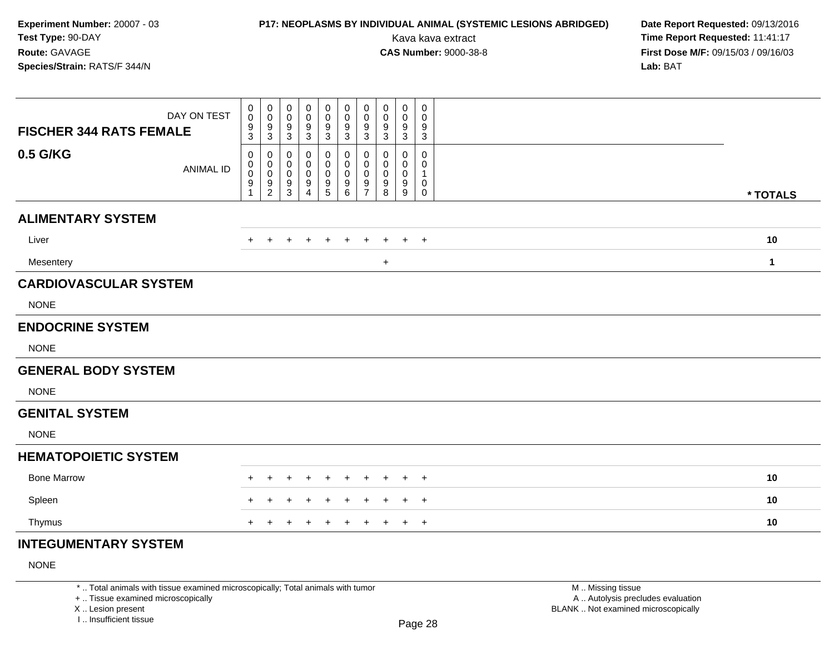# **P17: NEOPLASMS BY INDIVIDUAL ANIMAL (SYSTEMIC LESIONS ABRIDGED) Date Report Requested: 09/13/2016<br>Kava kava extract <b>Time Report Requested:** 11:41:17

Kava kava extract **Time Report Requested:** 11:41:17<br>**CAS Number:** 9000-38-8 **Time Report Requested:** 11:41:17 **First Dose M/F:** 09/15/03 / 09/16/03<br>Lab: BAT **Lab:** BAT

| DAY ON TEST<br><b>FISCHER 344 RATS FEMALE</b> | 0<br>$\pmb{0}$<br>$\frac{9}{3}$          | 0<br>$\mathbf 0$<br>9<br>$\mathbf{3}$                  | 0<br>0<br>9<br>3      | 0<br>0<br>9<br>3                           | 0<br>0<br>9<br>$\mathbf{3}$                                  | $\mathbf 0$<br>$\mathbf 0$<br>$\frac{9}{3}$ | 0<br>0<br>9<br>3                                                 | $\mathbf 0$<br>0<br>9<br>3      | 0<br>0<br>9<br>3      | 0<br>0<br>9<br>$\mathbf{3}$     |              |  |
|-----------------------------------------------|------------------------------------------|--------------------------------------------------------|-----------------------|--------------------------------------------|--------------------------------------------------------------|---------------------------------------------|------------------------------------------------------------------|---------------------------------|-----------------------|---------------------------------|--------------|--|
| 0.5 G/KG<br><b>ANIMAL ID</b>                  | 0<br>0<br>$\pmb{0}$<br>9<br>$\mathbf{1}$ | 0<br>$\mathbf 0$<br>$\mathbf 0$<br>9<br>$\overline{c}$ | 0<br>0<br>0<br>9<br>3 | 0<br>0<br>0<br>9<br>$\boldsymbol{\Lambda}$ | 0<br>0<br>$\pmb{0}$<br>$\begin{array}{c} 9 \\ 5 \end{array}$ | 0<br>0<br>$\mathbf 0$<br>$9\,$<br>6         | $\mathbf 0$<br>$\mathbf 0$<br>$\mathbf 0$<br>9<br>$\overline{7}$ | 0<br>$\mathbf 0$<br>0<br>9<br>8 | 0<br>0<br>0<br>9<br>9 | $\mathbf 0$<br>0<br>1<br>0<br>0 | * TOTALS     |  |
| <b>ALIMENTARY SYSTEM</b>                      |                                          |                                                        |                       |                                            |                                                              |                                             |                                                                  |                                 |                       |                                 |              |  |
| Liver                                         |                                          |                                                        |                       |                                            |                                                              |                                             |                                                                  |                                 |                       | $\overline{+}$                  | 10           |  |
| Mesentery                                     |                                          |                                                        |                       |                                            |                                                              |                                             |                                                                  | $\ddot{}$                       |                       |                                 | $\mathbf{1}$ |  |
| <b>CARDIOVASCULAR SYSTEM</b>                  |                                          |                                                        |                       |                                            |                                                              |                                             |                                                                  |                                 |                       |                                 |              |  |
| <b>NONE</b>                                   |                                          |                                                        |                       |                                            |                                                              |                                             |                                                                  |                                 |                       |                                 |              |  |
| <b>ENDOCRINE SYSTEM</b>                       |                                          |                                                        |                       |                                            |                                                              |                                             |                                                                  |                                 |                       |                                 |              |  |
| <b>NONE</b>                                   |                                          |                                                        |                       |                                            |                                                              |                                             |                                                                  |                                 |                       |                                 |              |  |
| <b>GENERAL BODY SYSTEM</b>                    |                                          |                                                        |                       |                                            |                                                              |                                             |                                                                  |                                 |                       |                                 |              |  |
| <b>NONE</b>                                   |                                          |                                                        |                       |                                            |                                                              |                                             |                                                                  |                                 |                       |                                 |              |  |
| <b>GENITAL SYSTEM</b>                         |                                          |                                                        |                       |                                            |                                                              |                                             |                                                                  |                                 |                       |                                 |              |  |
| <b>NONE</b>                                   |                                          |                                                        |                       |                                            |                                                              |                                             |                                                                  |                                 |                       |                                 |              |  |
| <b>HEMATOPOIETIC SYSTEM</b>                   |                                          |                                                        |                       |                                            |                                                              |                                             |                                                                  |                                 |                       |                                 |              |  |
| <b>Bone Marrow</b>                            |                                          |                                                        |                       |                                            |                                                              |                                             |                                                                  |                                 |                       | $\ddot{}$                       | 10           |  |
| Spleen                                        |                                          |                                                        |                       |                                            |                                                              |                                             |                                                                  |                                 |                       | $\ddot{}$                       | 10           |  |
| Thymus                                        | $+$                                      | $\pm$                                                  | $\ddot{}$             |                                            | $\div$                                                       | $\ddot{}$                                   | $\ddot{}$                                                        | $\ddot{}$                       | $\ddot{}$             | $\overline{+}$                  | 10           |  |
| <b>INTEGUMENTARY SYSTEM</b>                   |                                          |                                                        |                       |                                            |                                                              |                                             |                                                                  |                                 |                       |                                 |              |  |

#### NONE

\* .. Total animals with tissue examined microscopically; Total animals with tumor

+ .. Tissue examined microscopically

X .. Lesion present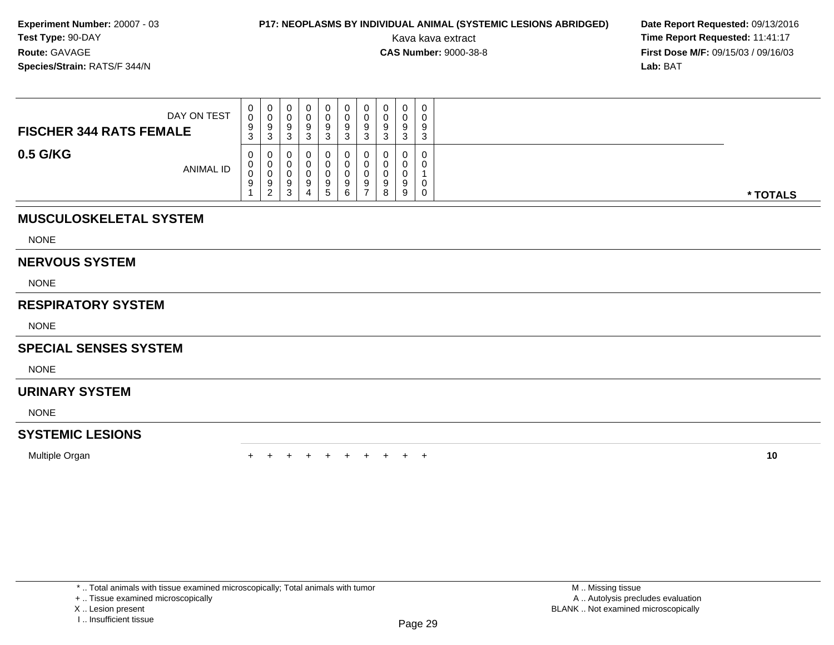### **P17: NEOPLASMS BY INDIVIDUAL ANIMAL (SYSTEMIC LESIONS ABRIDGED) Date Report Requested: 09/13/2016<br>Kava kava extract <b>Time Report Requested:** 11:41:17

Kava kava extract **Time Report Requested:** 11:41:17<br>**CAS Number:** 9000-38-8 **Time Report Requested:** 11:41:17 **First Dose M/F:** 09/15/03 / 09/16/03<br>**Lab:** BAT **Lab:** BAT

| DAY ON TEST<br><b>FISCHER 344 RATS FEMALE</b> | 0<br>0<br>9<br>ົ<br>- J | U<br>ັບ<br>Y<br>3            | 0<br>υ<br>9<br>⌒<br>ບ           | ು | 0<br>0<br>9<br>3      | 0<br>9<br>J | 0<br>9<br>-3 | 0<br>0<br>9<br>ົ<br>ັ | O<br>◡      | 0<br>a<br>د |          |
|-----------------------------------------------|-------------------------|------------------------------|---------------------------------|---|-----------------------|-------------|--------------|-----------------------|-------------|-------------|----------|
| 0.5 G/KG<br><b>ANIMAL ID</b>                  | 0<br>0<br>0<br>9        | 0<br>U<br>◡<br>9<br>$\Omega$ | 0<br>0<br>υ<br>9<br>$\sim$<br>ບ | O | 0<br>0<br>0<br>9<br>5 | 9<br>6      | 0<br>9<br>-  | 0<br>0<br>0<br>9<br>8 | 0<br>O<br>9 | 0<br>0<br>0 | * TOTALS |

### **MUSCULOSKELETAL SYSTEM**

NONE

#### **NERVOUS SYSTEM**

NONE

### **RESPIRATORY SYSTEM**

NONE

### **SPECIAL SENSES SYSTEM**

**NONE** 

#### **URINARY SYSTEM**

NONE

### **SYSTEMIC LESIONS**

Multiple Organn  $+$ 

<sup>+</sup> <sup>+</sup> <sup>+</sup> <sup>+</sup> <sup>+</sup> <sup>+</sup> <sup>+</sup> <sup>+</sup> <sup>+</sup> **<sup>10</sup>**

\* .. Total animals with tissue examined microscopically; Total animals with tumor

+ .. Tissue examined microscopically

X .. Lesion present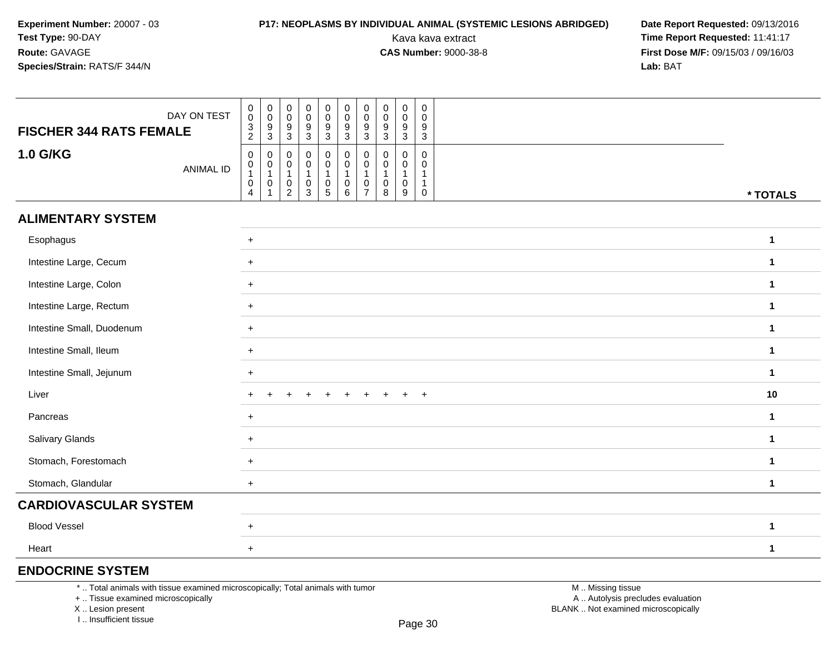### **P17: NEOPLASMS BY INDIVIDUAL ANIMAL (SYSTEMIC LESIONS ABRIDGED) Date Report Requested: 09/13/2016<br>Kava kava extract <b>Time Report Requested:** 11:41:17

Kava kava extract **Time Report Requested:** 11:41:17<br>**CAS Number:** 9000-38-8 **Time Report Requested:** 11:41:17 **First Dose M/F:** 09/15/03 / 09/16/03<br>**Lab:** BAT **Lab:** BAT

| <b>FISCHER 344 RATS FEMALE</b> | DAY ON TEST      | $\begin{smallmatrix} 0\\0\\3 \end{smallmatrix}$<br>$\overline{2}$ | $\begin{array}{c} 0 \\ 0 \\ 9 \\ 3 \end{array}$                   | $\begin{smallmatrix} 0\\0 \end{smallmatrix}$<br>$9\,$<br>3        | $\begin{array}{c} 0 \\ 0 \\ 9 \\ 3 \end{array}$                                   | $\begin{smallmatrix}0\0\0\9\end{smallmatrix}$<br>$\mathbf{3}$   | $\pmb{0}$<br>$\overline{0}$<br>$\boldsymbol{9}$<br>$\mathbf{3}$ | $\mathbf 0$<br>$\pmb{0}$<br>9<br>3 | $\pmb{0}$<br>$\pmb{0}$<br>9<br>3              | $_{\rm 0}^{\rm 0}$<br>$\boldsymbol{9}$<br>$\mathbf{3}$ | $\mathbf 0$<br>$\mathbf 0$<br>9<br>3 |              |
|--------------------------------|------------------|-------------------------------------------------------------------|-------------------------------------------------------------------|-------------------------------------------------------------------|-----------------------------------------------------------------------------------|-----------------------------------------------------------------|-----------------------------------------------------------------|------------------------------------|-----------------------------------------------|--------------------------------------------------------|--------------------------------------|--------------|
| 1.0 G/KG                       | <b>ANIMAL ID</b> | $\mathbf 0$<br>$\mathbf 0$<br>$\mathbf{1}$<br>$\mathsf 0$<br>4    | $\boldsymbol{0}$<br>$\mathbf 0$<br>$\mathbf{1}$<br>$\pmb{0}$<br>1 | 0<br>$\mathbf 0$<br>$\mathbf{1}$<br>$\mathbf 0$<br>$\overline{2}$ | $\pmb{0}$<br>$\mathbf 0$<br>$\mathbf{1}$<br>$\mathsf{O}\xspace$<br>$\overline{3}$ | 0<br>$\mathbf 0$<br>$\mathbf{1}$<br>$\pmb{0}$<br>$\overline{5}$ | $\mathbf 0$<br>$\mathbf 0$<br>$\mathbf{1}$<br>$\mathbf 0$<br>6  | 0<br>0<br>0<br>$\overline{7}$      | $\Omega$<br>$\Omega$<br>1<br>$\mathbf 0$<br>8 | 0<br>0<br>1<br>$\mathbf 0$<br>$\boldsymbol{9}$         | 0<br>$\Omega$<br>0                   | * TOTALS     |
| <b>ALIMENTARY SYSTEM</b>       |                  |                                                                   |                                                                   |                                                                   |                                                                                   |                                                                 |                                                                 |                                    |                                               |                                                        |                                      |              |
| Esophagus                      |                  | $+$                                                               |                                                                   |                                                                   |                                                                                   |                                                                 |                                                                 |                                    |                                               |                                                        |                                      | $\mathbf{1}$ |
| Intestine Large, Cecum         |                  | $+$                                                               |                                                                   |                                                                   |                                                                                   |                                                                 |                                                                 |                                    |                                               |                                                        |                                      | $\mathbf{1}$ |
| Intestine Large, Colon         |                  | $+$                                                               |                                                                   |                                                                   |                                                                                   |                                                                 |                                                                 |                                    |                                               |                                                        |                                      | $\mathbf{1}$ |
| Intestine Large, Rectum        |                  | $+$                                                               |                                                                   |                                                                   |                                                                                   |                                                                 |                                                                 |                                    |                                               |                                                        |                                      | $\mathbf{1}$ |
| Intestine Small, Duodenum      |                  | $+$                                                               |                                                                   |                                                                   |                                                                                   |                                                                 |                                                                 |                                    |                                               |                                                        |                                      | $\mathbf{1}$ |
| Intestine Small, Ileum         |                  | $+$                                                               |                                                                   |                                                                   |                                                                                   |                                                                 |                                                                 |                                    |                                               |                                                        |                                      | $\mathbf{1}$ |
| Intestine Small, Jejunum       |                  | $+$                                                               |                                                                   |                                                                   |                                                                                   |                                                                 |                                                                 |                                    |                                               |                                                        |                                      | $\mathbf{1}$ |
| Liver                          |                  |                                                                   |                                                                   |                                                                   |                                                                                   |                                                                 |                                                                 |                                    |                                               |                                                        | $\ddot{}$                            | 10           |
| Pancreas                       |                  | $+$                                                               |                                                                   |                                                                   |                                                                                   |                                                                 |                                                                 |                                    |                                               |                                                        |                                      | $\mathbf{1}$ |
| Salivary Glands                |                  | $+$                                                               |                                                                   |                                                                   |                                                                                   |                                                                 |                                                                 |                                    |                                               |                                                        |                                      | $\mathbf{1}$ |
| Stomach, Forestomach           |                  | $+$                                                               |                                                                   |                                                                   |                                                                                   |                                                                 |                                                                 |                                    |                                               |                                                        |                                      | $\mathbf{1}$ |
| Stomach, Glandular             |                  | $+$                                                               |                                                                   |                                                                   |                                                                                   |                                                                 |                                                                 |                                    |                                               |                                                        |                                      | $\mathbf{1}$ |
| <b>CARDIOVASCULAR SYSTEM</b>   |                  |                                                                   |                                                                   |                                                                   |                                                                                   |                                                                 |                                                                 |                                    |                                               |                                                        |                                      |              |
| <b>Blood Vessel</b>            |                  | $+$                                                               |                                                                   |                                                                   |                                                                                   |                                                                 |                                                                 |                                    |                                               |                                                        |                                      | $\mathbf{1}$ |
| Heart                          |                  | $+$                                                               |                                                                   |                                                                   |                                                                                   |                                                                 |                                                                 |                                    |                                               |                                                        |                                      | $\mathbf{1}$ |

### **ENDOCRINE SYSTEM**

\* .. Total animals with tissue examined microscopically; Total animals with tumor

+ .. Tissue examined microscopically

X .. Lesion present

I .. Insufficient tissue

 M .. Missing tissuey the contract of the contract of the contract of the contract of the contract of  $\mathsf A$  . Autolysis precludes evaluation Lesion present BLANK .. Not examined microscopically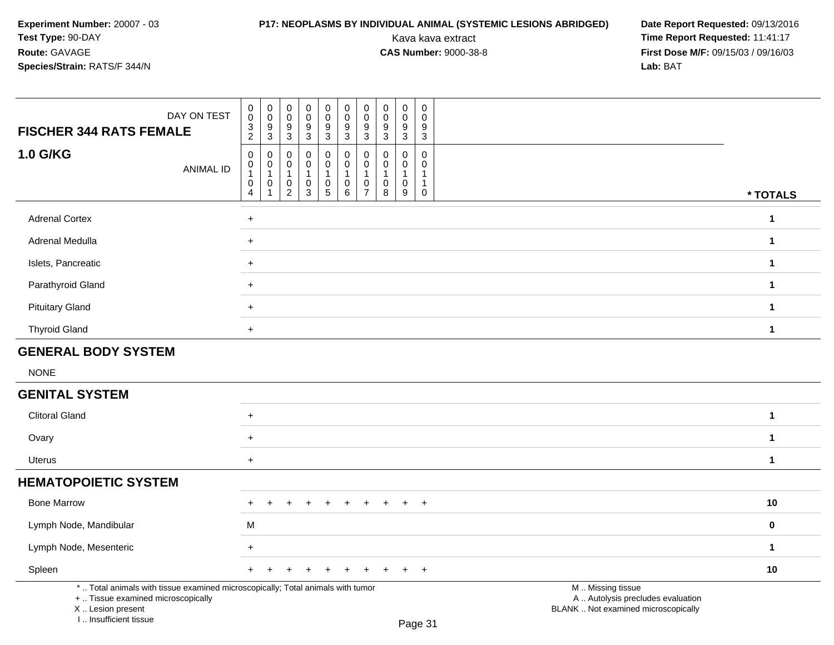# **P17: NEOPLASMS BY INDIVIDUAL ANIMAL (SYSTEMIC LESIONS ABRIDGED) Date Report Requested: 09/13/2016<br>Kava kava extract <b>Time Report Requested:** 11:41:17

| DAY ON TEST<br><b>FISCHER 344 RATS FEMALE</b>                                                                                                                       | $\mathsf{O}\xspace$<br>$\pmb{0}$<br>$\boldsymbol{0}$<br>$\pmb{0}$<br>$\pmb{0}$<br>$\mathbf 0$<br>0<br>$\boldsymbol{0}$<br>$\pmb{0}$<br>0<br>$\mathsf{O}\xspace$<br>$\mathsf 0$<br>$\pmb{0}$<br>$\mathbf 0$<br>$\mathbf 0$<br>$\mathsf 0$<br>$\mathbf 0$<br>$\pmb{0}$<br>$\mathbf 0$<br>$\mathbf 0$<br>$\frac{3}{2}$<br>$\boldsymbol{9}$<br>$9\,$<br>$\boldsymbol{9}$<br>9<br>9<br>9<br>9<br>9<br>9<br>$\mathbf{3}$<br>3<br>$\mathbf{3}$<br>3<br>$\mathbf{3}$<br>$\mathbf{3}$<br>$\mathbf{3}$<br>$\mathbf{3}$<br>$\sqrt{3}$                                                                     |              |
|---------------------------------------------------------------------------------------------------------------------------------------------------------------------|------------------------------------------------------------------------------------------------------------------------------------------------------------------------------------------------------------------------------------------------------------------------------------------------------------------------------------------------------------------------------------------------------------------------------------------------------------------------------------------------------------------------------------------------------------------------------------------------|--------------|
| <b>1.0 G/KG</b><br><b>ANIMAL ID</b>                                                                                                                                 | $\mathbf 0$<br>$\mathbf 0$<br>$\mathbf 0$<br>$\mathsf{O}\xspace$<br>0<br>0<br>0<br>$\mathbf 0$<br>$\mathbf 0$<br>0<br>$\pmb{0}$<br>$\mathbf 0$<br>0<br>$\mathbf 0$<br>0<br>$\mathbf 0$<br>0<br>$\mathbf 0$<br>$\Omega$<br>0<br>$\mathbf{1}$<br>1<br>$\mathbf{1}$<br>$\overline{1}$<br>$\overline{1}$<br>$\mathbf{1}$<br>1<br>1<br>$\mathbf{1}$<br>$\overline{1}$<br>$\mathsf 0$<br>0<br>$\pmb{0}$<br>$\pmb{0}$<br>$\boldsymbol{0}$<br>0<br>0<br>0<br>0<br>$\mathbf{1}$<br>$\overline{2}$<br>$\mathbf{3}$<br>$\sqrt{5}$<br>$\,6\,$<br>$\overline{7}$<br>8<br>9<br>$\mathsf 0$<br>$\overline{4}$ | * TOTALS     |
| <b>Adrenal Cortex</b>                                                                                                                                               | $\ddot{}$                                                                                                                                                                                                                                                                                                                                                                                                                                                                                                                                                                                      | $\mathbf{1}$ |
| Adrenal Medulla                                                                                                                                                     | $+$                                                                                                                                                                                                                                                                                                                                                                                                                                                                                                                                                                                            | $\mathbf{1}$ |
| Islets, Pancreatic                                                                                                                                                  | $+$                                                                                                                                                                                                                                                                                                                                                                                                                                                                                                                                                                                            | $\mathbf{1}$ |
| Parathyroid Gland                                                                                                                                                   | $+$                                                                                                                                                                                                                                                                                                                                                                                                                                                                                                                                                                                            | $\mathbf{1}$ |
| <b>Pituitary Gland</b>                                                                                                                                              | $+$                                                                                                                                                                                                                                                                                                                                                                                                                                                                                                                                                                                            | $\mathbf{1}$ |
| <b>Thyroid Gland</b>                                                                                                                                                | $+$                                                                                                                                                                                                                                                                                                                                                                                                                                                                                                                                                                                            | 1            |
| <b>GENERAL BODY SYSTEM</b>                                                                                                                                          |                                                                                                                                                                                                                                                                                                                                                                                                                                                                                                                                                                                                |              |
| <b>NONE</b>                                                                                                                                                         |                                                                                                                                                                                                                                                                                                                                                                                                                                                                                                                                                                                                |              |
| <b>GENITAL SYSTEM</b>                                                                                                                                               |                                                                                                                                                                                                                                                                                                                                                                                                                                                                                                                                                                                                |              |
| <b>Clitoral Gland</b>                                                                                                                                               | $+$                                                                                                                                                                                                                                                                                                                                                                                                                                                                                                                                                                                            | $\mathbf{1}$ |
| Ovary                                                                                                                                                               | $\ddot{}$                                                                                                                                                                                                                                                                                                                                                                                                                                                                                                                                                                                      | $\mathbf{1}$ |
| <b>Uterus</b>                                                                                                                                                       | $\ddot{}$                                                                                                                                                                                                                                                                                                                                                                                                                                                                                                                                                                                      | $\mathbf{1}$ |
| <b>HEMATOPOIETIC SYSTEM</b>                                                                                                                                         |                                                                                                                                                                                                                                                                                                                                                                                                                                                                                                                                                                                                |              |
| <b>Bone Marrow</b>                                                                                                                                                  | $+$<br>$+$<br>$\div$                                                                                                                                                                                                                                                                                                                                                                                                                                                                                                                                                                           | 10           |
| Lymph Node, Mandibular                                                                                                                                              | M                                                                                                                                                                                                                                                                                                                                                                                                                                                                                                                                                                                              | 0            |
| Lymph Node, Mesenteric                                                                                                                                              | $\ddot{}$                                                                                                                                                                                                                                                                                                                                                                                                                                                                                                                                                                                      | $\mathbf{1}$ |
| Spleen                                                                                                                                                              | $+$<br>$+$                                                                                                                                                                                                                                                                                                                                                                                                                                                                                                                                                                                     | 10           |
| *  Total animals with tissue examined microscopically; Total animals with tumor<br>+  Tissue examined microscopically<br>X  Lesion present<br>I Insufficient tissue | M  Missing tissue<br>A  Autolysis precludes evaluation<br>BLANK  Not examined microscopically<br>$D_{200}$ 21                                                                                                                                                                                                                                                                                                                                                                                                                                                                                  |              |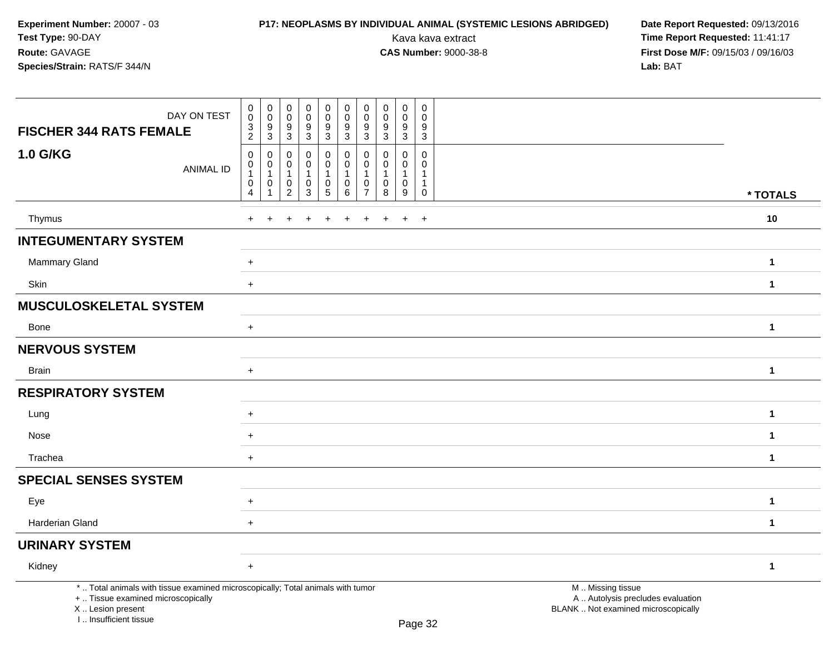# **P17: NEOPLASMS BY INDIVIDUAL ANIMAL (SYSTEMIC LESIONS ABRIDGED) Date Report Requested: 09/13/2016<br>Kava kava extract <b>Time Report Requested:** 11:41:17

| DAY ON TEST<br><b>FISCHER 344 RATS FEMALE</b>                                                                                                                       | $\pmb{0}$<br>$\mathbf 0$<br>$\pmb{0}$<br>$\mathbf 0$<br>$\mathbf 0$<br>$\pmb{0}$<br>$\pmb{0}$<br>0<br>0<br>0<br>$\mathbf 0$<br>$\pmb{0}$<br>$\pmb{0}$<br>$\mathbf 0$<br>$\mathbf 0$<br>$\mathbf 0$<br>$\mathbf 0$<br>$\mathbf 0$<br>0<br>$\mathbf 0$<br>$\boldsymbol{9}$<br>$\boldsymbol{9}$<br>$\boldsymbol{9}$<br>$\frac{3}{2}$<br>9<br>9<br>9<br>9<br>9<br>9<br>$\mathbf{3}$<br>3<br>$\mathbf{3}$<br>$\mathbf{3}$<br>3<br>$\mathbf{3}$<br>3<br>$\mathbf{3}$<br>3                                                                                 |              |
|---------------------------------------------------------------------------------------------------------------------------------------------------------------------|-----------------------------------------------------------------------------------------------------------------------------------------------------------------------------------------------------------------------------------------------------------------------------------------------------------------------------------------------------------------------------------------------------------------------------------------------------------------------------------------------------------------------------------------------------|--------------|
| <b>1.0 G/KG</b><br><b>ANIMAL ID</b>                                                                                                                                 | $\mathbf 0$<br>$\mathbf 0$<br>0<br>0<br>0<br>$\mathbf 0$<br>$\mathbf 0$<br>$\mathbf 0$<br>$\mathbf 0$<br>0<br>0<br>$\mathbf 0$<br>0<br>$\mathbf 0$<br>$\mathbf{0}$<br>$\mathbf 0$<br>$\mathbf 0$<br>$\Omega$<br>0<br>$\Omega$<br>$\mathbf{1}$<br>$\mathbf{1}$<br>$\mathbf{1}$<br>1<br>$\overline{1}$<br>$\mathbf{1}$<br>$\mathbf 1$<br>$\mathbf{1}$<br>-1<br>0<br>$\mathbf 0$<br>$\mathbf 0$<br>$\mathbf 0$<br>$\mathbf 0$<br>0<br>0<br>0<br>$\mathbf{1}$<br>0<br>3<br>2<br>$5\phantom{.0}$<br>6<br>8<br>9<br>$\overline{4}$<br>$\overline{7}$<br>0 | * TOTALS     |
| Thymus                                                                                                                                                              | $\ddot{}$<br>$\ddot{}$<br>$\ddot{}$                                                                                                                                                                                                                                                                                                                                                                                                                                                                                                                 | 10           |
| <b>INTEGUMENTARY SYSTEM</b>                                                                                                                                         |                                                                                                                                                                                                                                                                                                                                                                                                                                                                                                                                                     |              |
| <b>Mammary Gland</b>                                                                                                                                                | $+$                                                                                                                                                                                                                                                                                                                                                                                                                                                                                                                                                 | $\mathbf{1}$ |
| Skin                                                                                                                                                                | $+$                                                                                                                                                                                                                                                                                                                                                                                                                                                                                                                                                 | $\mathbf{1}$ |
| <b>MUSCULOSKELETAL SYSTEM</b>                                                                                                                                       |                                                                                                                                                                                                                                                                                                                                                                                                                                                                                                                                                     |              |
| Bone                                                                                                                                                                | $+$                                                                                                                                                                                                                                                                                                                                                                                                                                                                                                                                                 | $\mathbf{1}$ |
| <b>NERVOUS SYSTEM</b>                                                                                                                                               |                                                                                                                                                                                                                                                                                                                                                                                                                                                                                                                                                     |              |
| <b>Brain</b>                                                                                                                                                        | $+$                                                                                                                                                                                                                                                                                                                                                                                                                                                                                                                                                 | $\mathbf{1}$ |
| <b>RESPIRATORY SYSTEM</b>                                                                                                                                           |                                                                                                                                                                                                                                                                                                                                                                                                                                                                                                                                                     |              |
| Lung                                                                                                                                                                | $+$                                                                                                                                                                                                                                                                                                                                                                                                                                                                                                                                                 | $\mathbf{1}$ |
| Nose                                                                                                                                                                | $\ddot{}$                                                                                                                                                                                                                                                                                                                                                                                                                                                                                                                                           | $\mathbf{1}$ |
| Trachea                                                                                                                                                             | $+$                                                                                                                                                                                                                                                                                                                                                                                                                                                                                                                                                 | $\mathbf{1}$ |
| <b>SPECIAL SENSES SYSTEM</b>                                                                                                                                        |                                                                                                                                                                                                                                                                                                                                                                                                                                                                                                                                                     |              |
| Eye                                                                                                                                                                 | $+$                                                                                                                                                                                                                                                                                                                                                                                                                                                                                                                                                 | $\mathbf{1}$ |
| Harderian Gland                                                                                                                                                     | $+$                                                                                                                                                                                                                                                                                                                                                                                                                                                                                                                                                 | $\mathbf{1}$ |
| <b>URINARY SYSTEM</b>                                                                                                                                               |                                                                                                                                                                                                                                                                                                                                                                                                                                                                                                                                                     |              |
| Kidney                                                                                                                                                              | $+$                                                                                                                                                                                                                                                                                                                                                                                                                                                                                                                                                 | $\mathbf{1}$ |
| *  Total animals with tissue examined microscopically; Total animals with tumor<br>+  Tissue examined microscopically<br>X  Lesion present<br>I Insufficient tissue | M  Missing tissue<br>A  Autolysis precludes evaluation<br>BLANK  Not examined microscopically<br>$D_{200}$ 22                                                                                                                                                                                                                                                                                                                                                                                                                                       |              |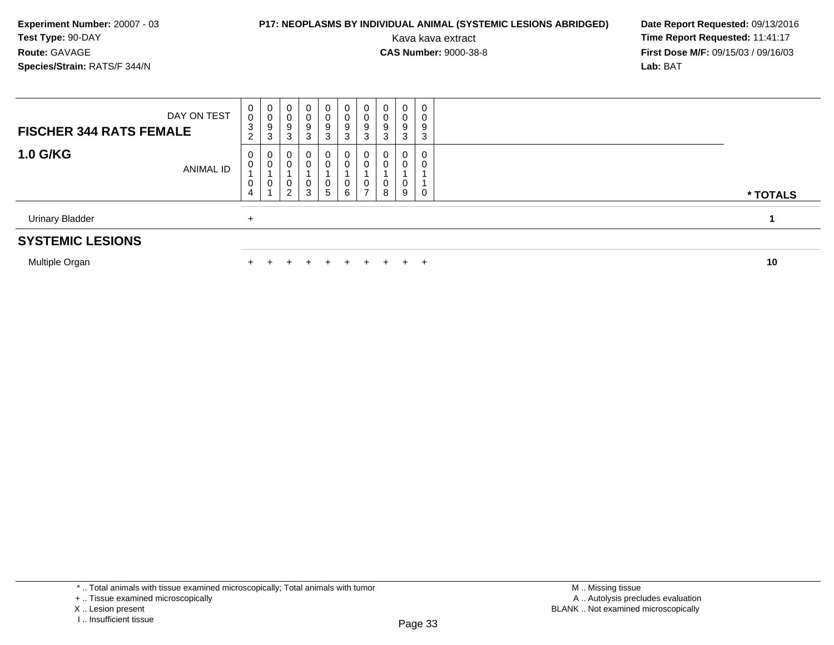### **P17: NEOPLASMS BY INDIVIDUAL ANIMAL (SYSTEMIC LESIONS ABRIDGED) Date Report Requested: 09/13/2016<br>Kava kava extract <b>Time Report Requested:** 11:41:17

Kava kava extract **Time Report Requested:** 11:41:17<br>**CAS Number:** 9000-38-8 **Time Report Requested:** 11:41:17 **First Dose M/F:** 09/15/03 / 09/16/03<br>**Lab:** BAT **Lab:** BAT

| <b>SYSTEMIC LESIONS</b>        |                  |                                           |                  |                  |                       |                                        |                             |                                         |                          |                  |                  |          |
|--------------------------------|------------------|-------------------------------------------|------------------|------------------|-----------------------|----------------------------------------|-----------------------------|-----------------------------------------|--------------------------|------------------|------------------|----------|
| <b>Urinary Bladder</b>         |                  | ÷                                         |                  |                  |                       |                                        |                             |                                         |                          |                  |                  |          |
| <b>1.0 G/KG</b>                | <b>ANIMAL ID</b> | $\mathbf{0}$<br>0<br>0<br>$\overline{4}$  | 0<br>0<br>U      | 0<br>0<br>0<br>2 | 0<br>υ<br>3           | $\mathbf{0}$<br>$\mathbf{0}$<br>U<br>5 | 0<br>0<br>$\mathbf{0}$<br>6 | 0<br>υ<br>U<br>$\overline{\phantom{a}}$ | 0<br>0<br>0<br>8         | 0<br>0<br>0<br>9 | 0<br>0<br>0      | * TOTALS |
| <b>FISCHER 344 RATS FEMALE</b> | DAY ON TEST      | $\mathbf{0}$<br>0<br>3<br>ົ<br>$\epsilon$ | 0<br>0<br>9<br>3 | 0<br>0<br>9<br>3 | 0<br>9<br>$\sim$<br>3 | $\mathbf{0}$<br>0<br>9<br>3            | $\mathbf{0}$<br>0<br>9<br>3 | 0<br>U<br>9<br>3                        | 0<br>$\pmb{0}$<br>9<br>3 | 0<br>0<br>9<br>3 | 0<br>0<br>9<br>3 |          |

Multiple Organn  $+$ 

<sup>+</sup> <sup>+</sup> <sup>+</sup> <sup>+</sup> <sup>+</sup> <sup>+</sup> <sup>+</sup> <sup>+</sup> <sup>+</sup> **<sup>10</sup>**

\* .. Total animals with tissue examined microscopically; Total animals with tumor

X .. Lesion present

<sup>+ ..</sup> Tissue examined microscopically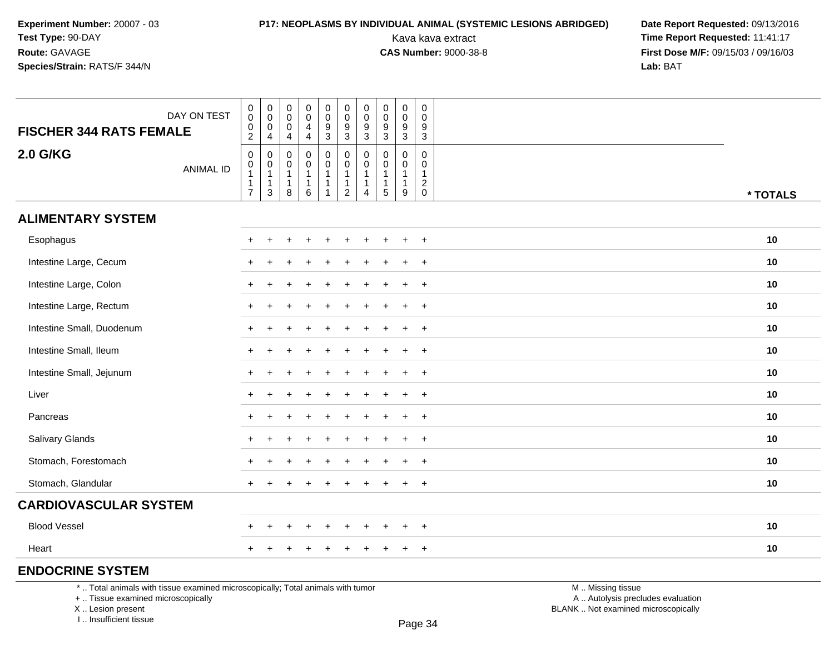Kava kava extract **Time Report Requested:** 11:41:17<br>**CAS Number:** 9000-38-8 **Time Report Requested:** 11:41:17 **First Dose M/F:** 09/15/03 / 09/16/03<br>Lab: BAT **Lab:** BAT

| <b>FISCHER 344 RATS FEMALE</b>                                                                                        | DAY ON TEST      | $\pmb{0}$<br>$\mathbf 0$<br>$\begin{smallmatrix} 0\\2 \end{smallmatrix}$ | $\mathbf 0$<br>$\ddot{\mathbf{0}}$<br>$\mathbf 0$                                                  | $\pmb{0}$<br>$\mathbf 0$<br>$\mathbf 0$              | $\pmb{0}$<br>$\mathbf 0$<br>$\overline{4}$<br>$\overline{4}$        | $\pmb{0}$<br>$\mathbf 0$<br>$\boldsymbol{9}$ | $\boldsymbol{0}$<br>$\mathbf 0$<br>$\boldsymbol{9}$                   | $\pmb{0}$<br>$\ddot{\mathbf{0}}$<br>$\boldsymbol{9}$<br>3 | $\mathbf 0$<br>0<br>$\boldsymbol{9}$<br>$\mathbf{3}$                          | $\mathbf 0$<br>$\mathbf 0$<br>$\boldsymbol{9}$                           | $\pmb{0}$<br>$\mathbf 0$<br>9                                          |                                                        |          |
|-----------------------------------------------------------------------------------------------------------------------|------------------|--------------------------------------------------------------------------|----------------------------------------------------------------------------------------------------|------------------------------------------------------|---------------------------------------------------------------------|----------------------------------------------|-----------------------------------------------------------------------|-----------------------------------------------------------|-------------------------------------------------------------------------------|--------------------------------------------------------------------------|------------------------------------------------------------------------|--------------------------------------------------------|----------|
| <b>2.0 G/KG</b>                                                                                                       | <b>ANIMAL ID</b> | $\pmb{0}$<br>$\pmb{0}$<br>$\mathbf{1}$<br>1<br>$\overline{7}$            | $\overline{4}$<br>0<br>$\begin{smallmatrix}0\\1\end{smallmatrix}$<br>$\overline{1}$<br>$\mathsf 3$ | 4<br>0<br>0<br>$\overline{1}$<br>$\overline{1}$<br>8 | 0<br>$\mathbf 0$<br>$\mathbf{1}$<br>$\mathbf{1}$<br>$6\phantom{1}6$ | 3<br>0<br>$\pmb{0}$<br>$\mathbf{1}$<br>1     | 3<br>0<br>$\pmb{0}$<br>$\mathbf{1}$<br>$\mathbf{1}$<br>$\overline{c}$ | 0<br>0<br>$\mathbf{1}$<br>$\mathbf{1}$<br>4               | $\mathbf 0$<br>$\mathbf{0}$<br>$\overline{1}$<br>$\overline{1}$<br>$\sqrt{5}$ | 3<br>$\mathbf 0$<br>$\mathbf 0$<br>$\overline{1}$<br>$\overline{1}$<br>9 | 3<br>0<br>$\mathbf 0$<br>$\mathbf{1}$<br>$\overline{2}$<br>$\mathbf 0$ |                                                        | * TOTALS |
| <b>ALIMENTARY SYSTEM</b>                                                                                              |                  |                                                                          |                                                                                                    |                                                      |                                                                     |                                              |                                                                       |                                                           |                                                                               |                                                                          |                                                                        |                                                        |          |
| Esophagus                                                                                                             |                  |                                                                          |                                                                                                    |                                                      |                                                                     |                                              |                                                                       |                                                           |                                                                               |                                                                          | $+$                                                                    |                                                        | 10       |
| Intestine Large, Cecum                                                                                                |                  |                                                                          |                                                                                                    |                                                      |                                                                     |                                              |                                                                       |                                                           |                                                                               |                                                                          | $\ddot{}$                                                              |                                                        | 10       |
| Intestine Large, Colon                                                                                                |                  |                                                                          |                                                                                                    |                                                      |                                                                     |                                              |                                                                       |                                                           |                                                                               |                                                                          | $\ddot{}$                                                              |                                                        | 10       |
| Intestine Large, Rectum                                                                                               |                  | $\pm$                                                                    |                                                                                                    |                                                      |                                                                     |                                              |                                                                       |                                                           |                                                                               |                                                                          | $+$                                                                    |                                                        | 10       |
| Intestine Small, Duodenum                                                                                             |                  |                                                                          |                                                                                                    |                                                      |                                                                     |                                              |                                                                       |                                                           |                                                                               |                                                                          | $\ddot{}$                                                              |                                                        | 10       |
| Intestine Small, Ileum                                                                                                |                  |                                                                          |                                                                                                    |                                                      |                                                                     |                                              |                                                                       |                                                           |                                                                               |                                                                          | $\overline{+}$                                                         |                                                        | 10       |
| Intestine Small, Jejunum                                                                                              |                  | $+$                                                                      |                                                                                                    |                                                      |                                                                     |                                              |                                                                       |                                                           |                                                                               |                                                                          | $+$                                                                    |                                                        | 10       |
| Liver                                                                                                                 |                  | $\pm$                                                                    |                                                                                                    |                                                      |                                                                     |                                              |                                                                       |                                                           |                                                                               |                                                                          | $+$                                                                    |                                                        | 10       |
| Pancreas                                                                                                              |                  |                                                                          |                                                                                                    |                                                      |                                                                     |                                              |                                                                       |                                                           |                                                                               |                                                                          | $\ddot{}$                                                              |                                                        | 10       |
| Salivary Glands                                                                                                       |                  |                                                                          |                                                                                                    |                                                      |                                                                     |                                              |                                                                       |                                                           |                                                                               |                                                                          | $+$                                                                    |                                                        | 10       |
| Stomach, Forestomach                                                                                                  |                  |                                                                          |                                                                                                    |                                                      |                                                                     |                                              |                                                                       |                                                           |                                                                               |                                                                          | $+$                                                                    |                                                        | 10       |
| Stomach, Glandular                                                                                                    |                  |                                                                          |                                                                                                    |                                                      |                                                                     |                                              |                                                                       |                                                           |                                                                               |                                                                          | $+$                                                                    |                                                        | 10       |
| <b>CARDIOVASCULAR SYSTEM</b>                                                                                          |                  |                                                                          |                                                                                                    |                                                      |                                                                     |                                              |                                                                       |                                                           |                                                                               |                                                                          |                                                                        |                                                        |          |
| <b>Blood Vessel</b>                                                                                                   |                  |                                                                          |                                                                                                    |                                                      |                                                                     |                                              |                                                                       |                                                           |                                                                               |                                                                          | $\ddot{}$                                                              |                                                        | 10       |
| Heart                                                                                                                 |                  | $+$                                                                      |                                                                                                    |                                                      |                                                                     |                                              |                                                                       |                                                           |                                                                               |                                                                          | $+$                                                                    |                                                        | 10       |
| <b>ENDOCRINE SYSTEM</b>                                                                                               |                  |                                                                          |                                                                                                    |                                                      |                                                                     |                                              |                                                                       |                                                           |                                                                               |                                                                          |                                                                        |                                                        |          |
| *  Total animals with tissue examined microscopically; Total animals with tumor<br>+  Tissue examined microscopically |                  |                                                                          |                                                                                                    |                                                      |                                                                     |                                              |                                                                       |                                                           |                                                                               |                                                                          |                                                                        | M  Missing tissue<br>A  Autolysis precludes evaluation |          |

X .. Lesion present

I .. Insufficient tissue

Lesion present BLANK .. Not examined microscopically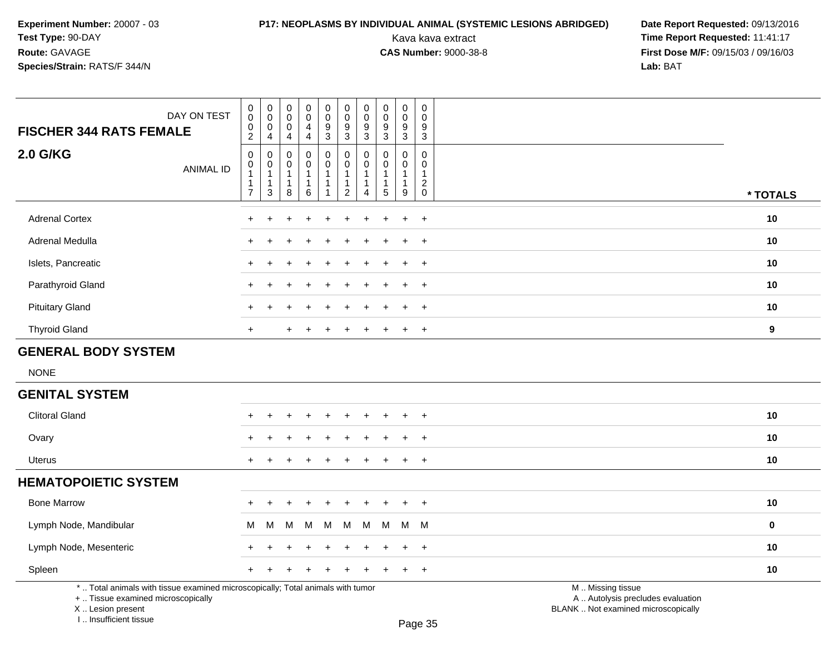# **P17: NEOPLASMS BY INDIVIDUAL ANIMAL (SYSTEMIC LESIONS ABRIDGED) Date Report Requested: 09/13/2016<br>Kava kava extract <b>Time Report Requested:** 11:41:17

Kava kava extract **Time Report Requested:** 11:41:17<br>**CAS Number:** 9000-38-8 **Time Report Requested:** 11:41:17 **First Dose M/F:** 09/15/03 / 09/16/03<br>Lab: BAT **Lab:** BAT

| <b>FISCHER 344 RATS FEMALE</b>                                                                                        | DAY ON TEST      | $\begin{smallmatrix} 0\\0 \end{smallmatrix}$<br>$\pmb{0}$<br>$\overline{2}$                        | $\pmb{0}$<br>$\overline{0}$<br>$\mathbf 0$<br>4                       | $\pmb{0}$<br>$\boldsymbol{0}$<br>$\mathbf 0$<br>4       | $\pmb{0}$<br>$\mathbf 0$<br>$\overline{4}$<br>4 | $\mathsf 0$<br>$\ddot{\mathbf{0}}$<br>9<br>$\overline{3}$          | $\pmb{0}$<br>$\overline{0}$<br>$\frac{9}{3}$                      | $\pmb{0}$<br>$\ddot{\mathbf{0}}$<br>$\frac{9}{3}$                            | $\pmb{0}$<br>$\pmb{0}$<br>$\boldsymbol{9}$<br>$\overline{3}$    | $\pmb{0}$<br>$\ddot{\mathbf{0}}$<br>9<br>$\overline{3}$ | $\pmb{0}$<br>$\overline{0}$<br>9<br>$\overline{3}$                             |                                                        |           |
|-----------------------------------------------------------------------------------------------------------------------|------------------|----------------------------------------------------------------------------------------------------|-----------------------------------------------------------------------|---------------------------------------------------------|-------------------------------------------------|--------------------------------------------------------------------|-------------------------------------------------------------------|------------------------------------------------------------------------------|-----------------------------------------------------------------|---------------------------------------------------------|--------------------------------------------------------------------------------|--------------------------------------------------------|-----------|
| <b>2.0 G/KG</b>                                                                                                       | <b>ANIMAL ID</b> | $\mathsf{O}\xspace$<br>$\begin{smallmatrix}0\\1\end{smallmatrix}$<br>$\mathbf 1$<br>$\overline{7}$ | 0<br>0<br>$\overline{1}$<br>$\mathbf{1}$<br>$\ensuremath{\mathsf{3}}$ | $\mathbf 0$<br>0<br>$\overline{1}$<br>$\mathbf{1}$<br>8 | 0<br>0<br>$\mathbf{1}$<br>1<br>6                | $\mathsf 0$<br>0<br>$\mathbf{1}$<br>$\mathbf{1}$<br>$\overline{1}$ | $\pmb{0}$<br>$\mathbf 0$<br>$\mathbf{1}$<br>1<br>$\boldsymbol{2}$ | $\mathbf 0$<br>$\mathbf 0$<br>$\mathbf{1}$<br>$\mathbf{1}$<br>$\overline{A}$ | $\mathbf 0$<br>$\mathbf 0$<br>$\mathbf{1}$<br>$\mathbf{1}$<br>5 | 0<br>0<br>$\mathbf{1}$<br>1<br>9                        | $\mathbf 0$<br>$\mathbf 0$<br>$\mathbf{1}$<br>$\overline{c}$<br>$\overline{0}$ |                                                        | * TOTALS  |
| <b>Adrenal Cortex</b>                                                                                                 |                  |                                                                                                    |                                                                       |                                                         |                                                 |                                                                    |                                                                   |                                                                              |                                                                 | $\ddot{}$                                               | $\overline{+}$                                                                 |                                                        | 10        |
| Adrenal Medulla                                                                                                       |                  |                                                                                                    |                                                                       |                                                         |                                                 |                                                                    |                                                                   |                                                                              |                                                                 |                                                         | $+$                                                                            |                                                        | 10        |
| Islets, Pancreatic                                                                                                    |                  |                                                                                                    |                                                                       |                                                         |                                                 |                                                                    |                                                                   |                                                                              |                                                                 |                                                         | $\ddot{}$                                                                      |                                                        | 10        |
| Parathyroid Gland                                                                                                     |                  |                                                                                                    |                                                                       |                                                         |                                                 |                                                                    |                                                                   |                                                                              |                                                                 | ÷                                                       | $\overline{+}$                                                                 |                                                        | 10        |
| <b>Pituitary Gland</b>                                                                                                |                  | $\ddot{}$                                                                                          |                                                                       |                                                         |                                                 |                                                                    |                                                                   |                                                                              |                                                                 | $\ddot{}$                                               | $\ddot{}$                                                                      |                                                        | 10        |
| <b>Thyroid Gland</b>                                                                                                  |                  | $\ddot{}$                                                                                          |                                                                       |                                                         |                                                 |                                                                    |                                                                   |                                                                              |                                                                 |                                                         | $\overline{+}$                                                                 |                                                        | 9         |
| <b>GENERAL BODY SYSTEM</b>                                                                                            |                  |                                                                                                    |                                                                       |                                                         |                                                 |                                                                    |                                                                   |                                                                              |                                                                 |                                                         |                                                                                |                                                        |           |
| <b>NONE</b>                                                                                                           |                  |                                                                                                    |                                                                       |                                                         |                                                 |                                                                    |                                                                   |                                                                              |                                                                 |                                                         |                                                                                |                                                        |           |
| <b>GENITAL SYSTEM</b>                                                                                                 |                  |                                                                                                    |                                                                       |                                                         |                                                 |                                                                    |                                                                   |                                                                              |                                                                 |                                                         |                                                                                |                                                        |           |
| <b>Clitoral Gland</b>                                                                                                 |                  |                                                                                                    |                                                                       |                                                         |                                                 |                                                                    |                                                                   |                                                                              |                                                                 |                                                         | $\ddot{}$                                                                      |                                                        | 10        |
| Ovary                                                                                                                 |                  |                                                                                                    |                                                                       |                                                         |                                                 |                                                                    |                                                                   |                                                                              |                                                                 |                                                         |                                                                                |                                                        | 10        |
| <b>Uterus</b>                                                                                                         |                  | $\ddot{}$                                                                                          |                                                                       |                                                         |                                                 |                                                                    |                                                                   |                                                                              |                                                                 | $\ddot{}$                                               | $+$                                                                            |                                                        | 10        |
| <b>HEMATOPOIETIC SYSTEM</b>                                                                                           |                  |                                                                                                    |                                                                       |                                                         |                                                 |                                                                    |                                                                   |                                                                              |                                                                 |                                                         |                                                                                |                                                        |           |
| <b>Bone Marrow</b>                                                                                                    |                  |                                                                                                    |                                                                       |                                                         |                                                 |                                                                    |                                                                   |                                                                              |                                                                 | ÷                                                       | $+$                                                                            |                                                        | 10        |
| Lymph Node, Mandibular                                                                                                |                  | M                                                                                                  | м                                                                     | M                                                       | M                                               | M                                                                  | M                                                                 | M                                                                            | M                                                               | M                                                       | M                                                                              |                                                        | $\pmb{0}$ |
| Lymph Node, Mesenteric                                                                                                |                  |                                                                                                    |                                                                       |                                                         |                                                 |                                                                    |                                                                   |                                                                              |                                                                 | $\div$                                                  | $^{+}$                                                                         |                                                        | 10        |
| Spleen                                                                                                                |                  | $\ddot{}$                                                                                          |                                                                       |                                                         |                                                 |                                                                    |                                                                   |                                                                              |                                                                 | $\pm$                                                   | $+$                                                                            |                                                        | 10        |
| *  Total animals with tissue examined microscopically; Total animals with tumor<br>+  Tissue examined microscopically |                  |                                                                                                    |                                                                       |                                                         |                                                 |                                                                    |                                                                   |                                                                              |                                                                 |                                                         |                                                                                | M  Missing tissue<br>A  Autolysis precludes evaluation |           |

X .. Lesion present

I .. Insufficient tissue

Lesion present BLANK .. Not examined microscopically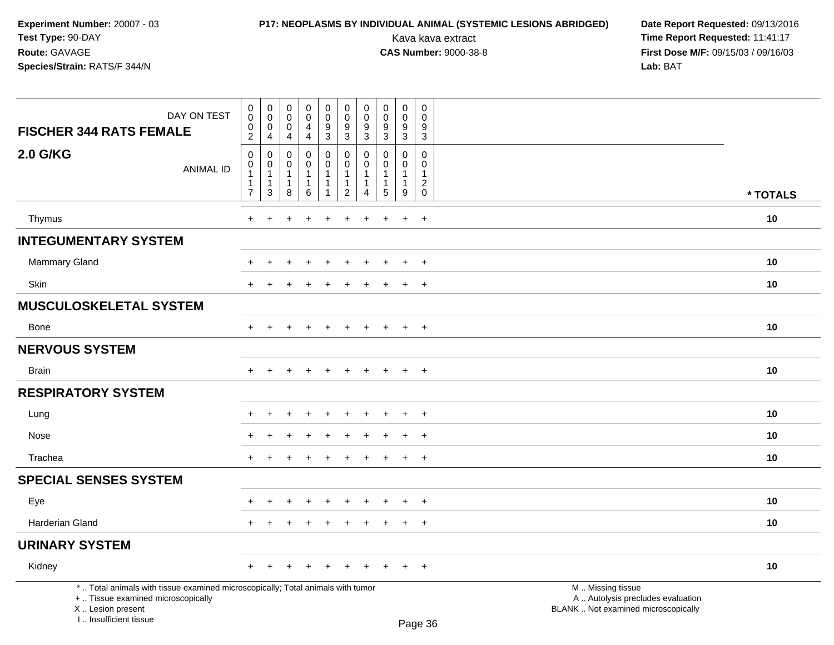# **P17: NEOPLASMS BY INDIVIDUAL ANIMAL (SYSTEMIC LESIONS ABRIDGED) Date Report Requested: 09/13/2016<br>Kava kava extract <b>Time Report Requested:** 11:41:17

| DAY ON TEST<br><b>FISCHER 344 RATS FEMALE</b>                                                                                                                       | $\mathbf 0$<br>$\mathbf 0$<br>0<br>$\overline{2}$                                | $\boldsymbol{0}$<br>$\mathbf 0$<br>$\mathbf 0$<br>4               | $\pmb{0}$<br>$\mathbf 0$<br>$\mathbf 0$<br>$\overline{4}$ | $\pmb{0}$<br>$\mathbf 0$<br>$\overline{4}$<br>$\overline{4}$    | 0<br>$\overline{0}$<br>9<br>3 | $\mathbf 0$<br>$\mathbf 0$<br>$9\,$<br>3                                         | $\pmb{0}$<br>$\mathbf 0$<br>9<br>$\mathbf{3}$                                | $\mathbf 0$<br>$\mathbf 0$<br>$\boldsymbol{9}$<br>$\mathfrak{S}$ | $\mathsf 0$<br>$\mathbf 0$<br>9<br>3                             | 0<br>$\mathbf 0$<br>9<br>3                                               |                                                                                               |          |
|---------------------------------------------------------------------------------------------------------------------------------------------------------------------|----------------------------------------------------------------------------------|-------------------------------------------------------------------|-----------------------------------------------------------|-----------------------------------------------------------------|-------------------------------|----------------------------------------------------------------------------------|------------------------------------------------------------------------------|------------------------------------------------------------------|------------------------------------------------------------------|--------------------------------------------------------------------------|-----------------------------------------------------------------------------------------------|----------|
| <b>2.0 G/KG</b><br><b>ANIMAL ID</b>                                                                                                                                 | $\mathsf 0$<br>$\mathbf 0$<br>$\overline{1}$<br>$\overline{1}$<br>$\overline{7}$ | $\mathbf 0$<br>$\mathbf 0$<br>$\mathbf{1}$<br>$\overline{1}$<br>3 | 0<br>$\Omega$<br>$\mathbf{1}$<br>$\mathbf{1}$<br>8        | $\mathbf 0$<br>$\mathbf 0$<br>$\mathbf{1}$<br>$\mathbf{1}$<br>6 | 0<br>$\mathbf 0$<br>1         | $\mathbf 0$<br>$\mathbf 0$<br>$\overline{1}$<br>$\overline{1}$<br>$\overline{2}$ | $\mathbf 0$<br>$\mathbf 0$<br>$\mathbf{1}$<br>$\mathbf{1}$<br>$\overline{4}$ | $\mathbf 0$<br>$\mathbf 0$<br>$\mathbf{1}$<br>$\mathbf{1}$<br>5  | $\mathbf 0$<br>$\mathbf{0}$<br>$\mathbf{1}$<br>$\mathbf{1}$<br>9 | $\mathbf 0$<br>$\Omega$<br>$\mathbf{1}$<br>$\overline{c}$<br>$\mathbf 0$ |                                                                                               | * TOTALS |
| Thymus                                                                                                                                                              | $+$                                                                              | $\ddot{}$                                                         |                                                           | $\ddot{}$                                                       | $\ddot{}$                     | $\ddot{}$                                                                        | $\ddot{}$                                                                    | $\div$                                                           | $\ddot{}$                                                        | $+$                                                                      |                                                                                               | 10       |
| <b>INTEGUMENTARY SYSTEM</b>                                                                                                                                         |                                                                                  |                                                                   |                                                           |                                                                 |                               |                                                                                  |                                                                              |                                                                  |                                                                  |                                                                          |                                                                                               |          |
| <b>Mammary Gland</b>                                                                                                                                                |                                                                                  |                                                                   |                                                           |                                                                 |                               |                                                                                  |                                                                              |                                                                  | $\ddot{}$                                                        | $+$                                                                      |                                                                                               | 10       |
| Skin                                                                                                                                                                | $+$                                                                              | $\pm$                                                             |                                                           | $\ddot{}$                                                       | $\ddot{}$                     | $\div$                                                                           | $\div$                                                                       | $\div$                                                           | $+$                                                              | $+$                                                                      |                                                                                               | 10       |
| <b>MUSCULOSKELETAL SYSTEM</b>                                                                                                                                       |                                                                                  |                                                                   |                                                           |                                                                 |                               |                                                                                  |                                                                              |                                                                  |                                                                  |                                                                          |                                                                                               |          |
| <b>Bone</b>                                                                                                                                                         | $+$                                                                              | $+$                                                               | $+$                                                       | $+$                                                             | $+$                           | $+$                                                                              | $+$                                                                          | $+$                                                              | $+$                                                              | $+$                                                                      |                                                                                               | 10       |
| <b>NERVOUS SYSTEM</b>                                                                                                                                               |                                                                                  |                                                                   |                                                           |                                                                 |                               |                                                                                  |                                                                              |                                                                  |                                                                  |                                                                          |                                                                                               |          |
| <b>Brain</b>                                                                                                                                                        | $+$                                                                              | $+$                                                               | $\ddot{}$                                                 | $\ddot{}$                                                       | $\ddot{}$                     | $\ddot{}$                                                                        | $+$                                                                          | $\pm$                                                            | $+$                                                              | $+$                                                                      |                                                                                               | 10       |
| <b>RESPIRATORY SYSTEM</b>                                                                                                                                           |                                                                                  |                                                                   |                                                           |                                                                 |                               |                                                                                  |                                                                              |                                                                  |                                                                  |                                                                          |                                                                                               |          |
| Lung                                                                                                                                                                |                                                                                  |                                                                   |                                                           | $\div$                                                          |                               |                                                                                  |                                                                              |                                                                  | $\overline{+}$                                                   | $\overline{+}$                                                           |                                                                                               | 10       |
| Nose                                                                                                                                                                |                                                                                  |                                                                   |                                                           |                                                                 |                               |                                                                                  |                                                                              |                                                                  |                                                                  | $\ddot{}$                                                                |                                                                                               | 10       |
| Trachea                                                                                                                                                             | $\ddot{}$                                                                        |                                                                   |                                                           |                                                                 |                               |                                                                                  |                                                                              |                                                                  | $+$                                                              | $+$                                                                      |                                                                                               | 10       |
| <b>SPECIAL SENSES SYSTEM</b>                                                                                                                                        |                                                                                  |                                                                   |                                                           |                                                                 |                               |                                                                                  |                                                                              |                                                                  |                                                                  |                                                                          |                                                                                               |          |
| Eye                                                                                                                                                                 |                                                                                  |                                                                   |                                                           |                                                                 |                               |                                                                                  |                                                                              |                                                                  | $\div$                                                           | $\overline{+}$                                                           |                                                                                               | 10       |
| Harderian Gland                                                                                                                                                     | $+$                                                                              | $\ddot{}$                                                         |                                                           | $\ddot{}$                                                       | $\div$                        |                                                                                  |                                                                              |                                                                  | $+$                                                              | $+$                                                                      |                                                                                               | 10       |
| <b>URINARY SYSTEM</b>                                                                                                                                               |                                                                                  |                                                                   |                                                           |                                                                 |                               |                                                                                  |                                                                              |                                                                  |                                                                  |                                                                          |                                                                                               |          |
| Kidney                                                                                                                                                              | $+$                                                                              | $+$                                                               | $\pm$                                                     | $+$                                                             | $+$                           | $+$                                                                              | $\ddot{}$                                                                    | $\pm$                                                            | $+$                                                              | $+$                                                                      |                                                                                               | 10       |
| *  Total animals with tissue examined microscopically; Total animals with tumor<br>+  Tissue examined microscopically<br>X  Lesion present<br>I Insufficient tissue |                                                                                  |                                                                   |                                                           |                                                                 |                               |                                                                                  |                                                                              |                                                                  |                                                                  | $D_{200}$ $26$                                                           | M  Missing tissue<br>A  Autolysis precludes evaluation<br>BLANK  Not examined microscopically |          |